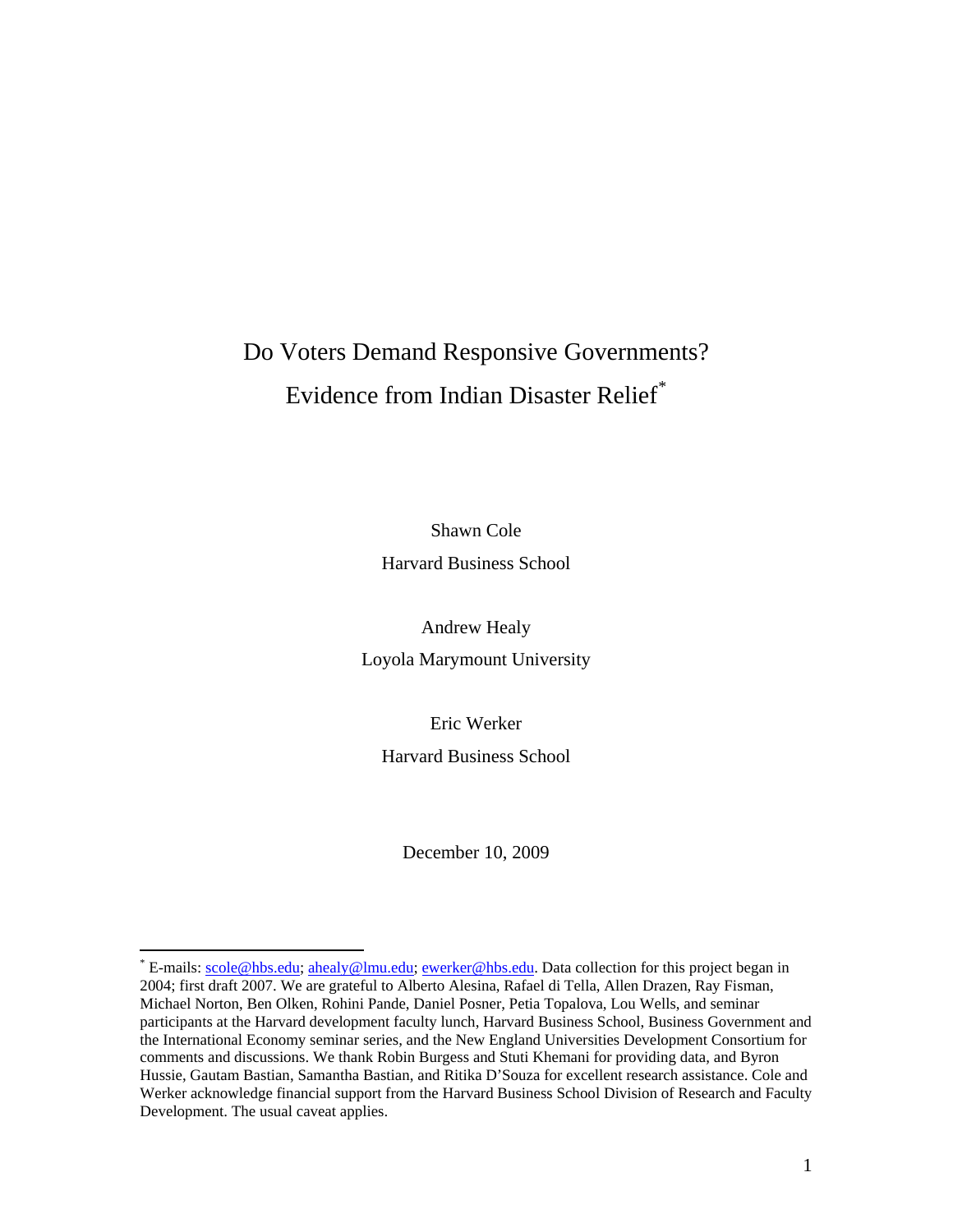# Do Voters Demand Responsive Governments? Evidence from Indian Disaster Relief[\\*](#page-0-0)

Shawn Cole Harvard Business School

Andrew Healy Loyola Marymount University

Eric Werker Harvard Business School

December 10, 2009

 $\overline{a}$ 

<span id="page-0-0"></span><sup>\*</sup> E-mails: [scole@hbs.edu;](mailto:scole@hbs.edu) [ahealy@lmu.edu;](mailto:ahealy@lmu.edu) [ewerker@hbs.edu](mailto:ewerker@hbs.edu). Data collection for this project began in 2004; first draft 2007. We are grateful to Alberto Alesina, Rafael di Tella, Allen Drazen, Ray Fisman, Michael Norton, Ben Olken, Rohini Pande, Daniel Posner, Petia Topalova, Lou Wells, and seminar participants at the Harvard development faculty lunch, Harvard Business School, Business Government and the International Economy seminar series, and the New England Universities Development Consortium for comments and discussions. We thank Robin Burgess and Stuti Khemani for providing data, and Byron Hussie, Gautam Bastian, Samantha Bastian, and Ritika D'Souza for excellent research assistance. Cole and Werker acknowledge financial support from the Harvard Business School Division of Research and Faculty Development. The usual caveat applies.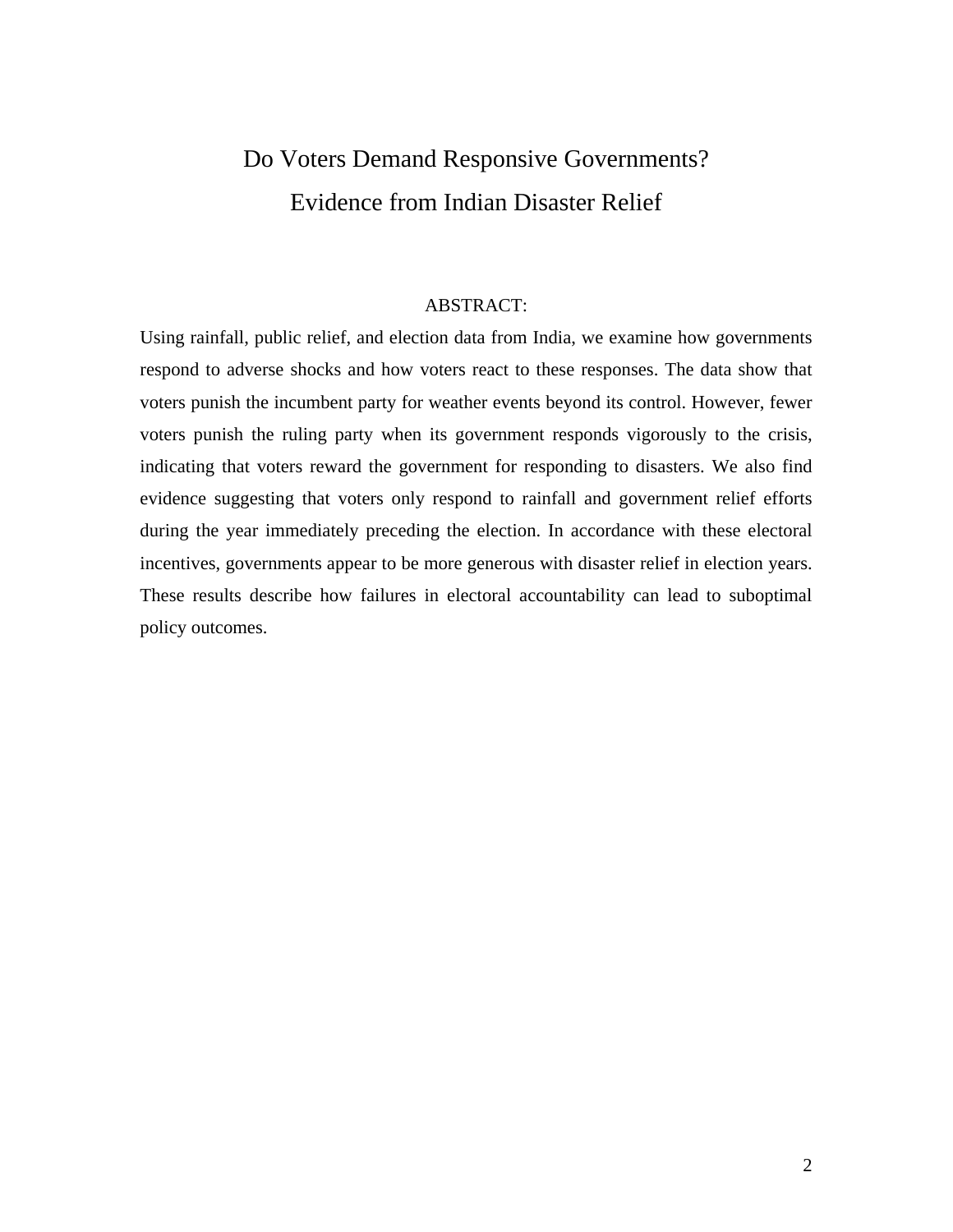# Do Voters Demand Responsive Governments? Evidence from Indian Disaster Relief

#### ABSTRACT:

Using rainfall, public relief, and election data from India, we examine how governments respond to adverse shocks and how voters react to these responses. The data show that voters punish the incumbent party for weather events beyond its control. However, fewer voters punish the ruling party when its government responds vigorously to the crisis, indicating that voters reward the government for responding to disasters. We also find evidence suggesting that voters only respond to rainfall and government relief efforts during the year immediately preceding the election. In accordance with these electoral incentives, governments appear to be more generous with disaster relief in election years. These results describe how failures in electoral accountability can lead to suboptimal policy outcomes.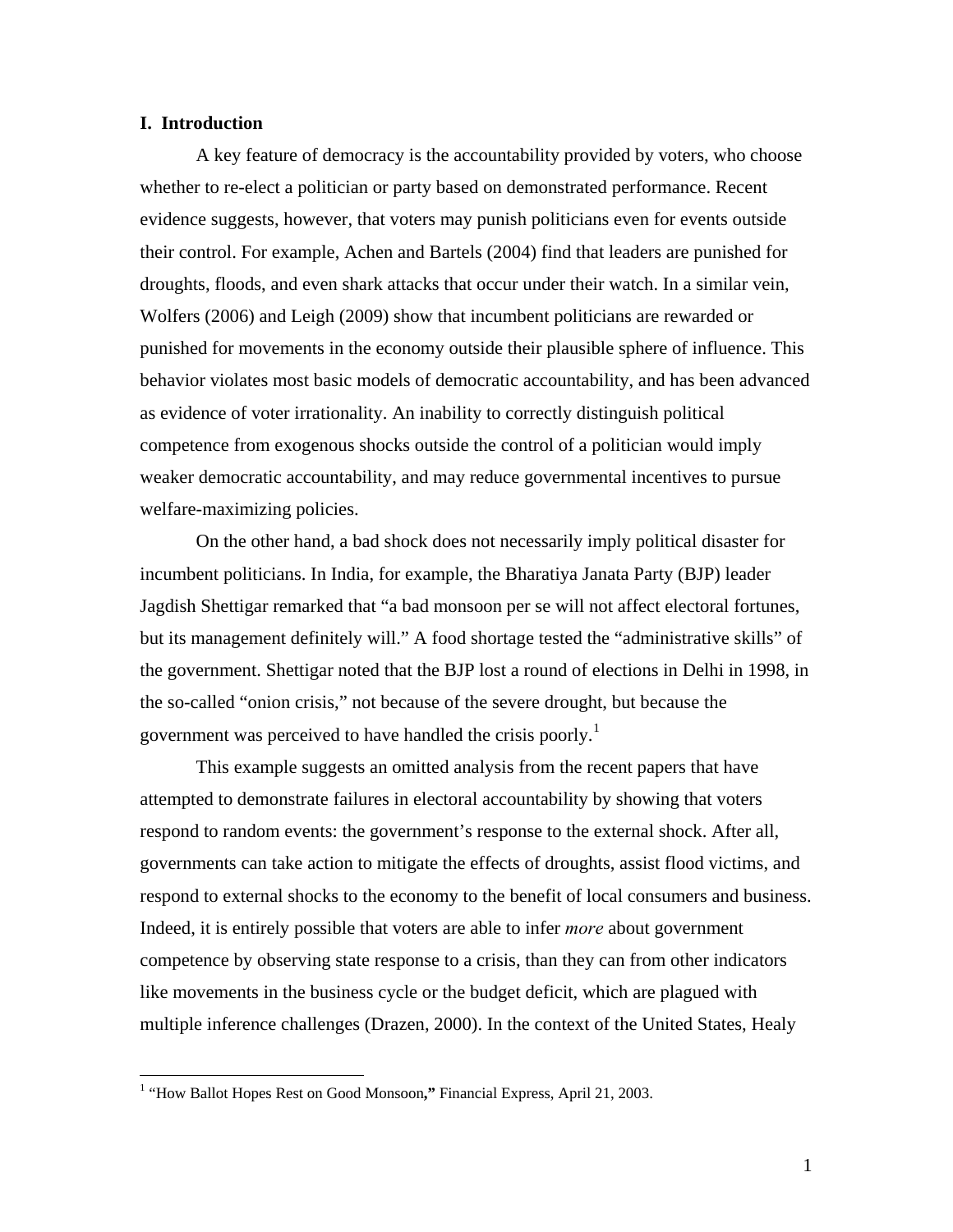## **I. Introduction**

A key feature of democracy is the accountability provided by voters, who choose whether to re-elect a politician or party based on demonstrated performance. Recent evidence suggests, however, that voters may punish politicians even for events outside their control. For example, Achen and Bartels (2004) find that leaders are punished for droughts, floods, and even shark attacks that occur under their watch. In a similar vein, Wolfers (2006) and Leigh (2009) show that incumbent politicians are rewarded or punished for movements in the economy outside their plausible sphere of influence. This behavior violates most basic models of democratic accountability, and has been advanced as evidence of voter irrationality. An inability to correctly distinguish political competence from exogenous shocks outside the control of a politician would imply weaker democratic accountability, and may reduce governmental incentives to pursue welfare-maximizing policies.

On the other hand, a bad shock does not necessarily imply political disaster for incumbent politicians. In India, for example, the Bharatiya Janata Party (BJP) leader Jagdish Shettigar remarked that "a bad monsoon per se will not affect electoral fortunes, but its management definitely will." A food shortage tested the "administrative skills" of the government. Shettigar noted that the BJP lost a round of elections in Delhi in 1998, in the so-called "onion crisis," not because of the severe drought, but because the government was perceived to have handled the crisis poorly.<sup>[1](#page-2-0)</sup>

This example suggests an omitted analysis from the recent papers that have attempted to demonstrate failures in electoral accountability by showing that voters respond to random events: the government's response to the external shock. After all, governments can take action to mitigate the effects of droughts, assist flood victims, and respond to external shocks to the economy to the benefit of local consumers and business. Indeed, it is entirely possible that voters are able to infer *more* about government competence by observing state response to a crisis, than they can from other indicators like movements in the business cycle or the budget deficit, which are plagued with multiple inference challenges (Drazen, 2000). In the context of the United States, Healy

<span id="page-2-0"></span> 1 "How Ballot Hopes Rest on Good Monsoon**,"** Financial Express, April 21, 2003.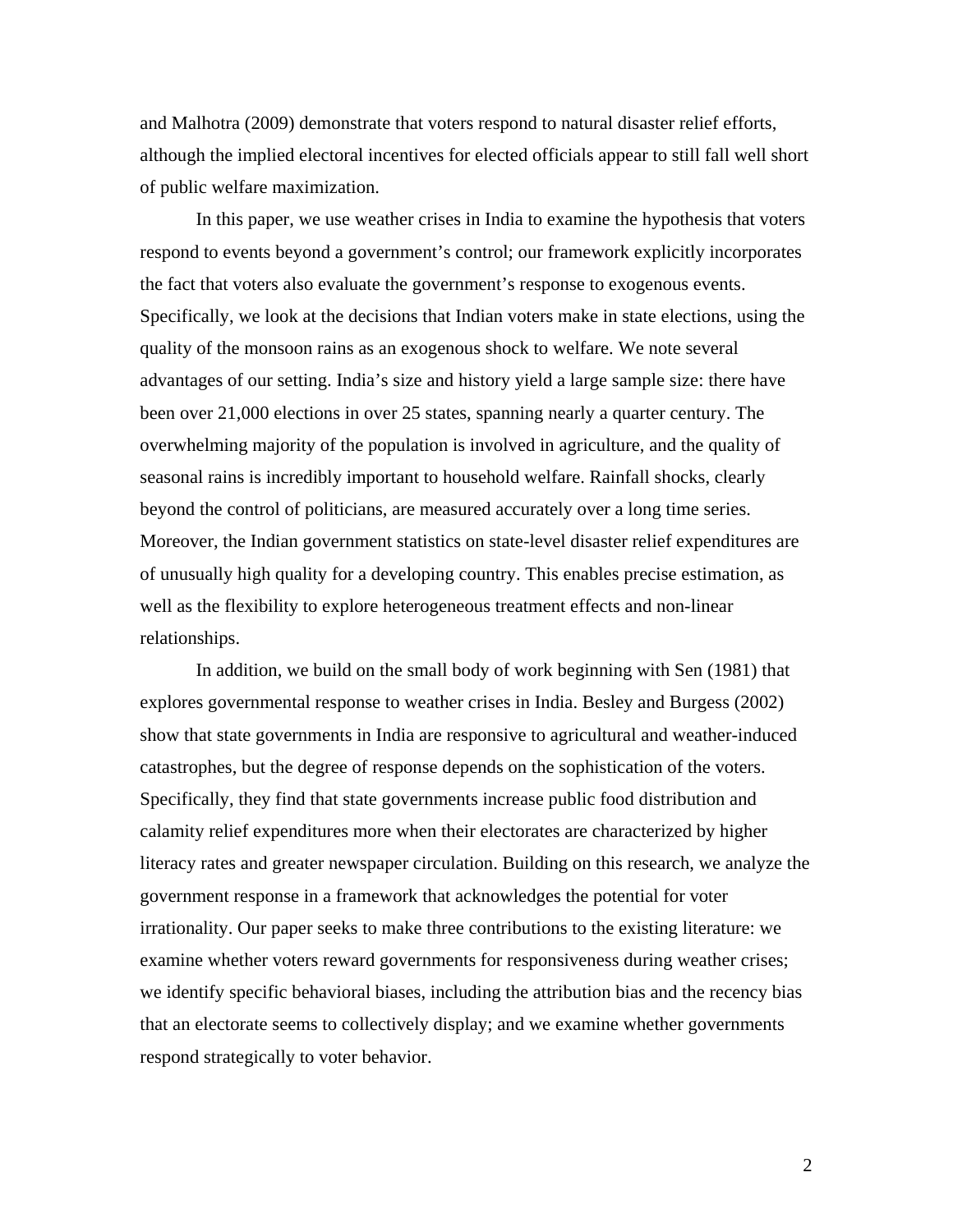and Malhotra (2009) demonstrate that voters respond to natural disaster relief efforts, although the implied electoral incentives for elected officials appear to still fall well short of public welfare maximization.

In this paper, we use weather crises in India to examine the hypothesis that voters respond to events beyond a government's control; our framework explicitly incorporates the fact that voters also evaluate the government's response to exogenous events. Specifically, we look at the decisions that Indian voters make in state elections, using the quality of the monsoon rains as an exogenous shock to welfare. We note several advantages of our setting. India's size and history yield a large sample size: there have been over 21,000 elections in over 25 states, spanning nearly a quarter century. The overwhelming majority of the population is involved in agriculture, and the quality of seasonal rains is incredibly important to household welfare. Rainfall shocks, clearly beyond the control of politicians, are measured accurately over a long time series. Moreover, the Indian government statistics on state-level disaster relief expenditures are of unusually high quality for a developing country. This enables precise estimation, as well as the flexibility to explore heterogeneous treatment effects and non-linear relationships.

In addition, we build on the small body of work beginning with Sen (1981) that explores governmental response to weather crises in India. Besley and Burgess (2002) show that state governments in India are responsive to agricultural and weather-induced catastrophes, but the degree of response depends on the sophistication of the voters. Specifically, they find that state governments increase public food distribution and calamity relief expenditures more when their electorates are characterized by higher literacy rates and greater newspaper circulation. Building on this research, we analyze the government response in a framework that acknowledges the potential for voter irrationality. Our paper seeks to make three contributions to the existing literature: we examine whether voters reward governments for responsiveness during weather crises; we identify specific behavioral biases, including the attribution bias and the recency bias that an electorate seems to collectively display; and we examine whether governments respond strategically to voter behavior.

2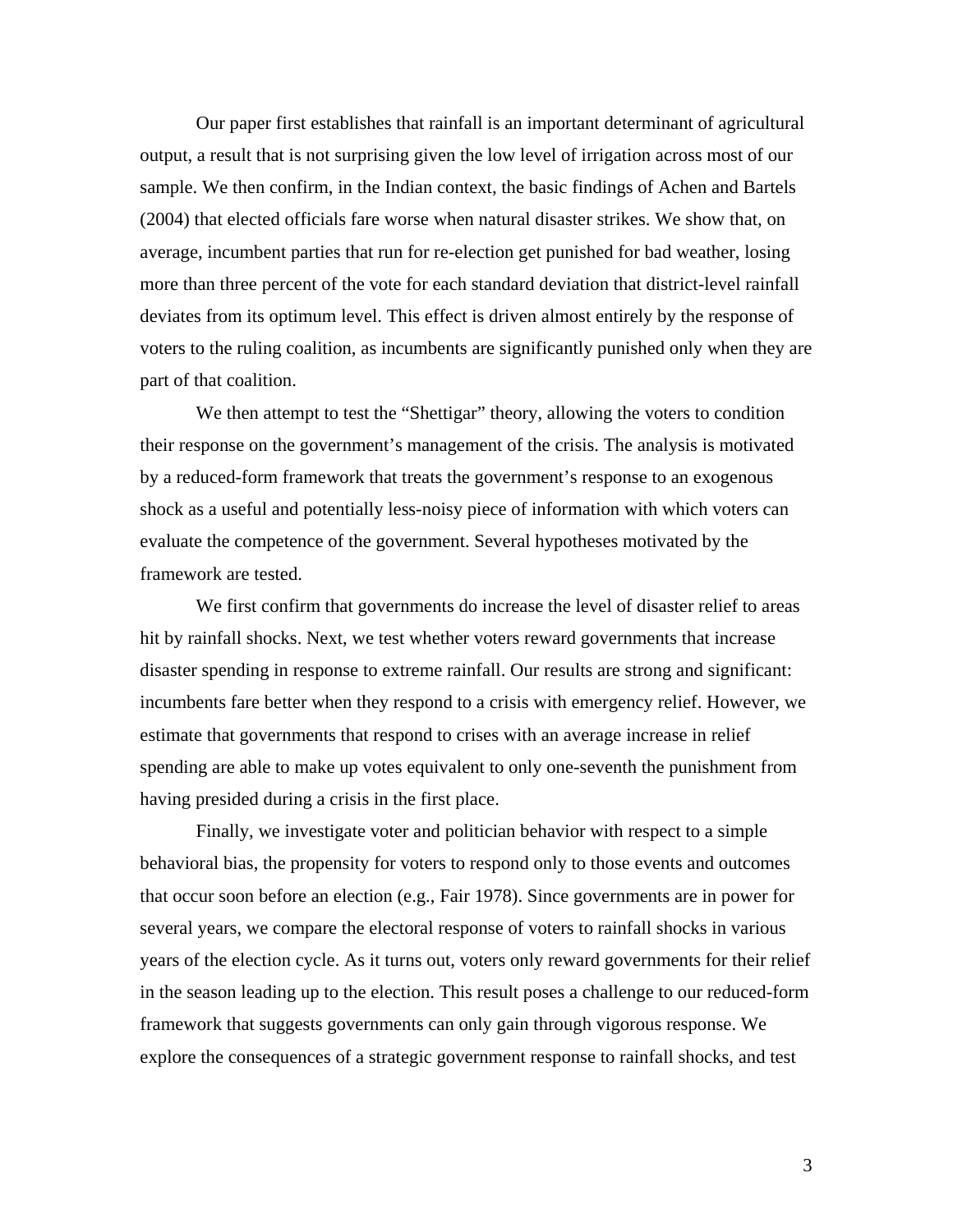Our paper first establishes that rainfall is an important determinant of agricultural output, a result that is not surprising given the low level of irrigation across most of our sample. We then confirm, in the Indian context, the basic findings of Achen and Bartels (2004) that elected officials fare worse when natural disaster strikes. We show that, on average, incumbent parties that run for re-election get punished for bad weather, losing more than three percent of the vote for each standard deviation that district-level rainfall deviates from its optimum level. This effect is driven almost entirely by the response of voters to the ruling coalition, as incumbents are significantly punished only when they are part of that coalition.

We then attempt to test the "Shettigar" theory, allowing the voters to condition their response on the government's management of the crisis. The analysis is motivated by a reduced-form framework that treats the government's response to an exogenous shock as a useful and potentially less-noisy piece of information with which voters can evaluate the competence of the government. Several hypotheses motivated by the framework are tested.

We first confirm that governments do increase the level of disaster relief to areas hit by rainfall shocks. Next, we test whether voters reward governments that increase disaster spending in response to extreme rainfall. Our results are strong and significant: incumbents fare better when they respond to a crisis with emergency relief. However, we estimate that governments that respond to crises with an average increase in relief spending are able to make up votes equivalent to only one-seventh the punishment from having presided during a crisis in the first place.

Finally, we investigate voter and politician behavior with respect to a simple behavioral bias, the propensity for voters to respond only to those events and outcomes that occur soon before an election (e.g., Fair 1978). Since governments are in power for several years, we compare the electoral response of voters to rainfall shocks in various years of the election cycle. As it turns out, voters only reward governments for their relief in the season leading up to the election. This result poses a challenge to our reduced-form framework that suggests governments can only gain through vigorous response. We explore the consequences of a strategic government response to rainfall shocks, and test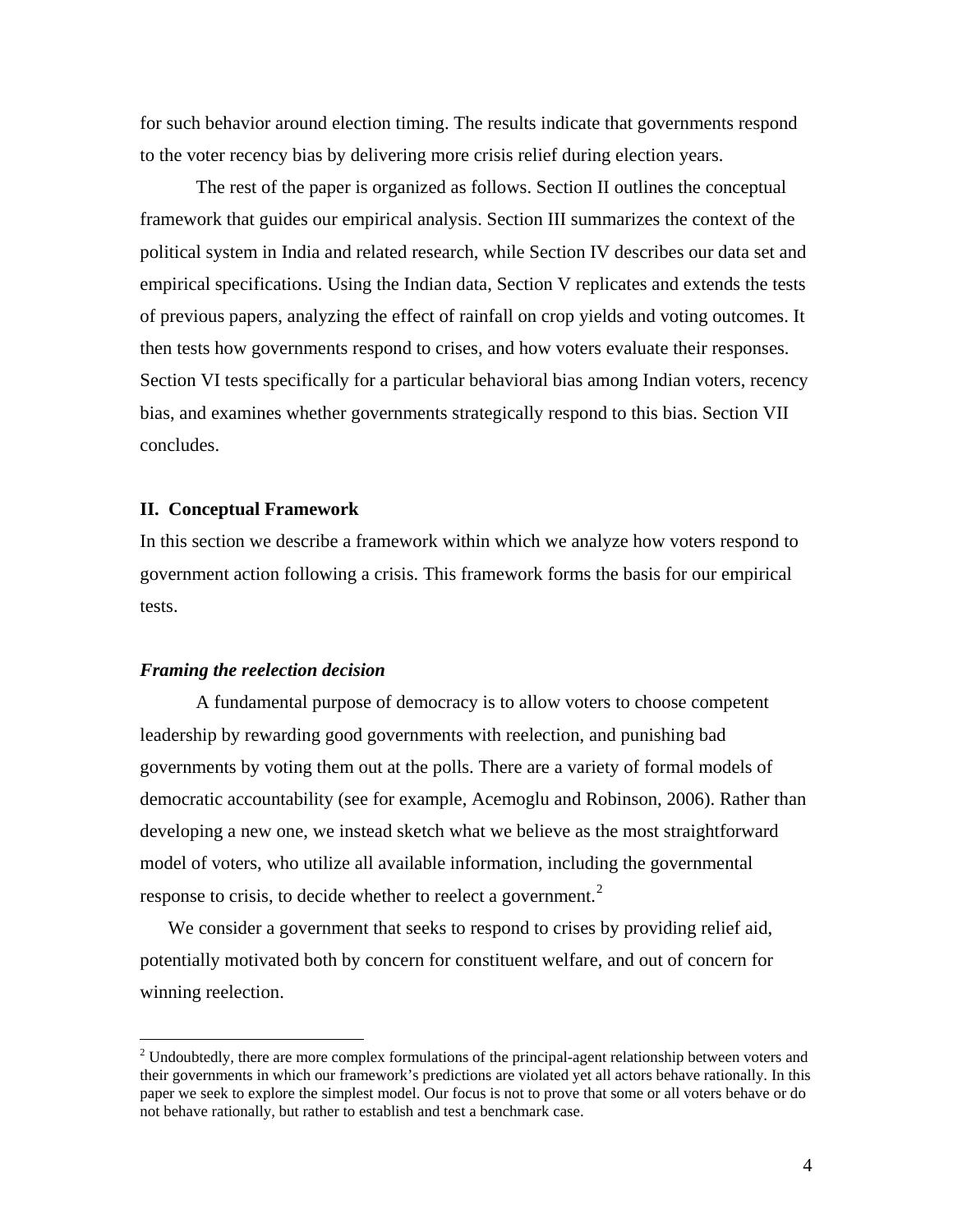for such behavior around election timing. The results indicate that governments respond to the voter recency bias by delivering more crisis relief during election years.

The rest of the paper is organized as follows. Section II outlines the conceptual framework that guides our empirical analysis. Section III summarizes the context of the political system in India and related research, while Section IV describes our data set and empirical specifications. Using the Indian data, Section V replicates and extends the tests of previous papers, analyzing the effect of rainfall on crop yields and voting outcomes. It then tests how governments respond to crises, and how voters evaluate their responses. Section VI tests specifically for a particular behavioral bias among Indian voters, recency bias, and examines whether governments strategically respond to this bias. Section VII concludes.

#### **II. Conceptual Framework**

In this section we describe a framework within which we analyze how voters respond to government action following a crisis. This framework forms the basis for our empirical tests.

## *Framing the reelection decision*

 $\overline{a}$ 

 A fundamental purpose of democracy is to allow voters to choose competent leadership by rewarding good governments with reelection, and punishing bad governments by voting them out at the polls. There are a variety of formal models of democratic accountability (see for example, Acemoglu and Robinson, 2006). Rather than developing a new one, we instead sketch what we believe as the most straightforward model of voters, who utilize all available information, including the governmental response to crisis, to decide whether to reelect a government. $2$ 

We consider a government that seeks to respond to crises by providing relief aid, potentially motivated both by concern for constituent welfare, and out of concern for winning reelection.

<span id="page-5-0"></span> $2^2$  Undoubtedly, there are more complex formulations of the principal-agent relationship between voters and their governments in which our framework's predictions are violated yet all actors behave rationally. In this paper we seek to explore the simplest model. Our focus is not to prove that some or all voters behave or do not behave rationally, but rather to establish and test a benchmark case.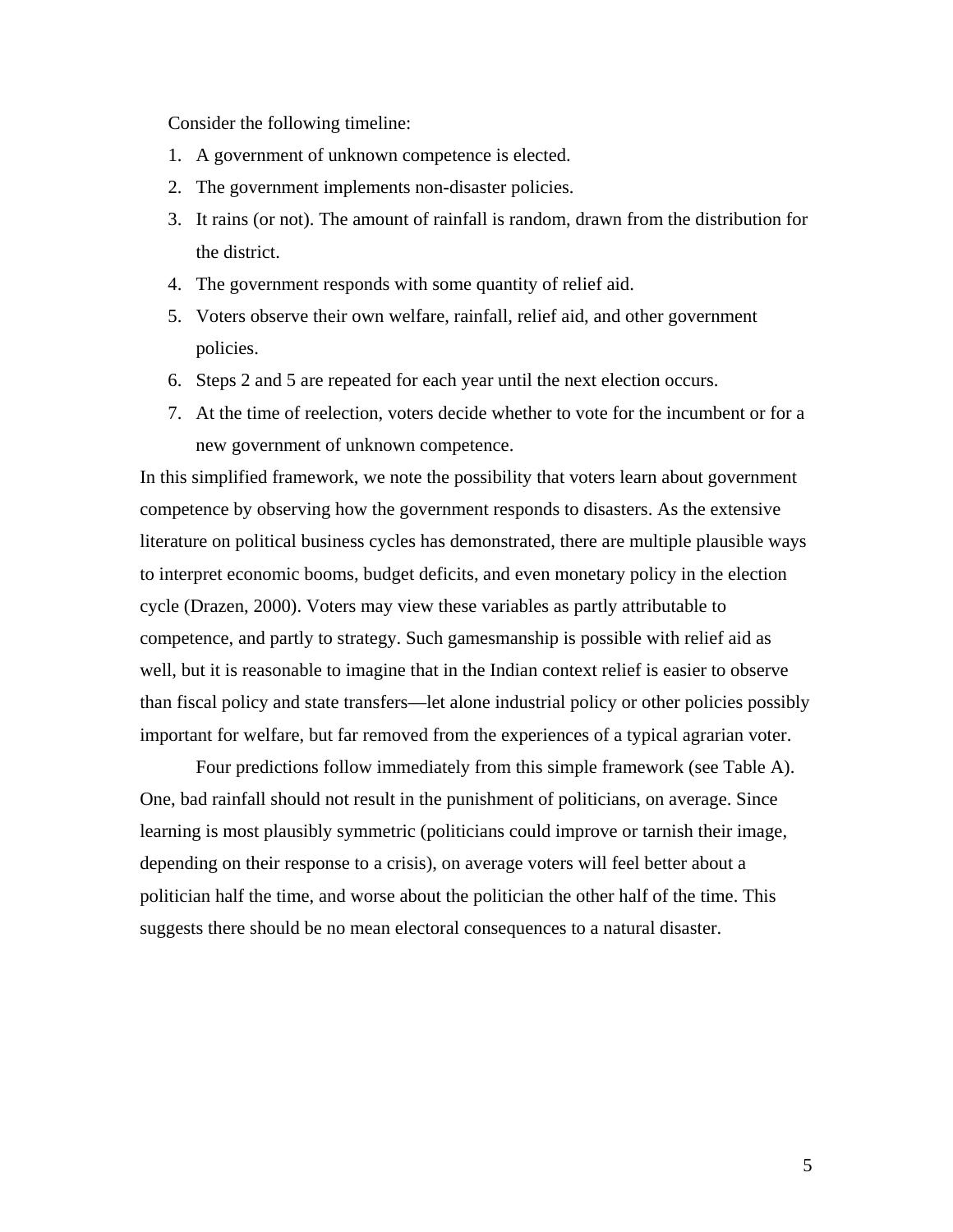Consider the following timeline:

- 1. A government of unknown competence is elected.
- 2. The government implements non-disaster policies.
- 3. It rains (or not). The amount of rainfall is random, drawn from the distribution for the district.
- 4. The government responds with some quantity of relief aid.
- 5. Voters observe their own welfare, rainfall, relief aid, and other government policies.
- 6. Steps 2 and 5 are repeated for each year until the next election occurs.
- 7. At the time of reelection, voters decide whether to vote for the incumbent or for a new government of unknown competence.

In this simplified framework, we note the possibility that voters learn about government competence by observing how the government responds to disasters. As the extensive literature on political business cycles has demonstrated, there are multiple plausible ways to interpret economic booms, budget deficits, and even monetary policy in the election cycle (Drazen, 2000). Voters may view these variables as partly attributable to competence, and partly to strategy. Such gamesmanship is possible with relief aid as well, but it is reasonable to imagine that in the Indian context relief is easier to observe than fiscal policy and state transfers—let alone industrial policy or other policies possibly important for welfare, but far removed from the experiences of a typical agrarian voter.

Four predictions follow immediately from this simple framework (see Table A). One, bad rainfall should not result in the punishment of politicians, on average. Since learning is most plausibly symmetric (politicians could improve or tarnish their image, depending on their response to a crisis), on average voters will feel better about a politician half the time, and worse about the politician the other half of the time. This suggests there should be no mean electoral consequences to a natural disaster.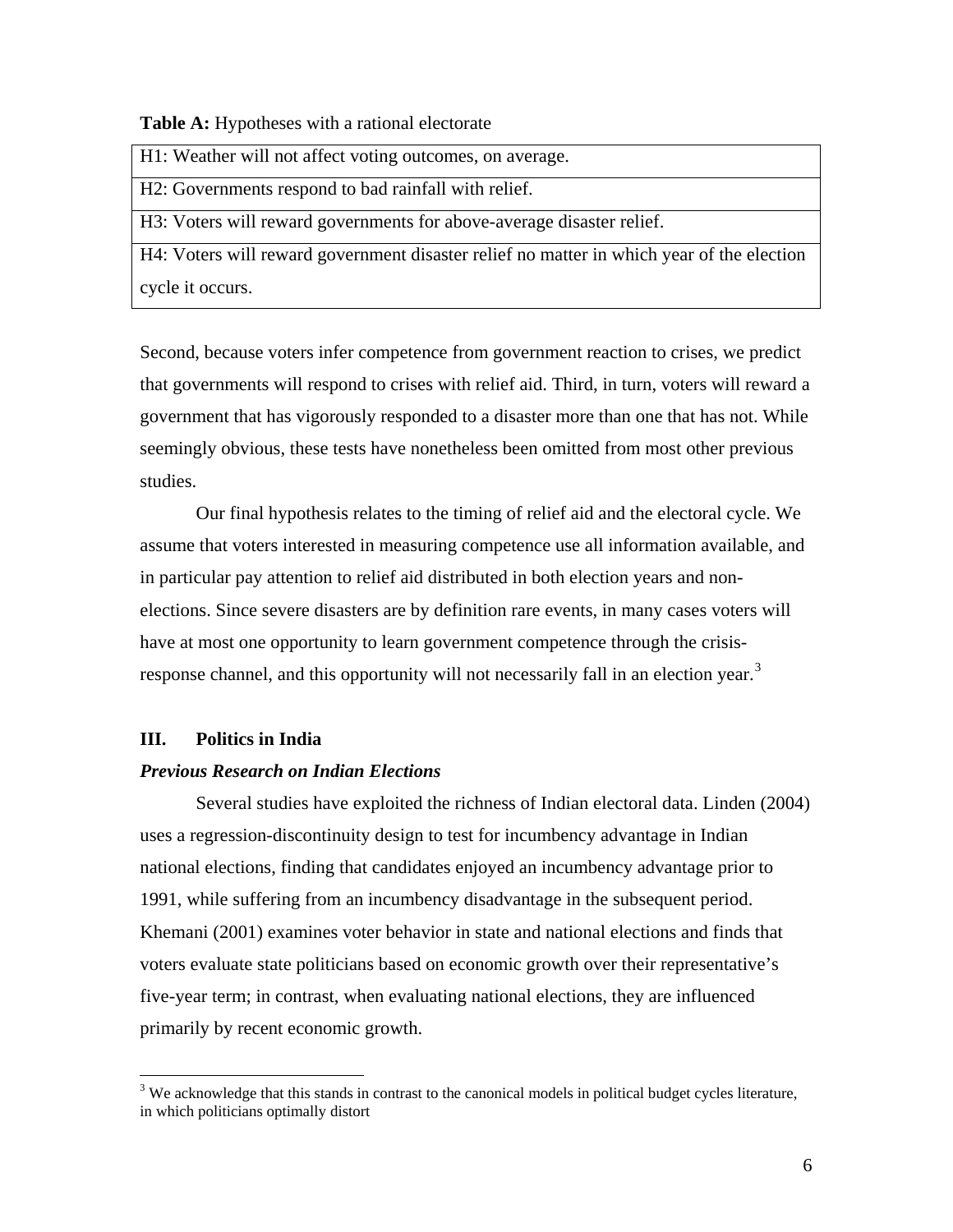**Table A:** Hypotheses with a rational electorate

H1: Weather will not affect voting outcomes, on average.

H2: Governments respond to bad rainfall with relief.

H3: Voters will reward governments for above-average disaster relief.

H4: Voters will reward government disaster relief no matter in which year of the election cycle it occurs.

Second, because voters infer competence from government reaction to crises, we predict that governments will respond to crises with relief aid. Third, in turn, voters will reward a government that has vigorously responded to a disaster more than one that has not. While seemingly obvious, these tests have nonetheless been omitted from most other previous studies.

Our final hypothesis relates to the timing of relief aid and the electoral cycle. We assume that voters interested in measuring competence use all information available, and in particular pay attention to relief aid distributed in both election years and nonelections. Since severe disasters are by definition rare events, in many cases voters will have at most one opportunity to learn government competence through the crisis-response channel, and this opportunity will not necessarily fall in an election year.<sup>[3](#page-7-0)</sup>

# **III. Politics in India**

 $\overline{a}$ 

#### *Previous Research on Indian Elections*

Several studies have exploited the richness of Indian electoral data. Linden (2004) uses a regression-discontinuity design to test for incumbency advantage in Indian national elections, finding that candidates enjoyed an incumbency advantage prior to 1991, while suffering from an incumbency disadvantage in the subsequent period. Khemani (2001) examines voter behavior in state and national elections and finds that voters evaluate state politicians based on economic growth over their representative's five-year term; in contrast, when evaluating national elections, they are influenced primarily by recent economic growth.

<span id="page-7-0"></span><sup>&</sup>lt;sup>3</sup> We acknowledge that this stands in contrast to the canonical models in political budget cycles literature, in which politicians optimally distort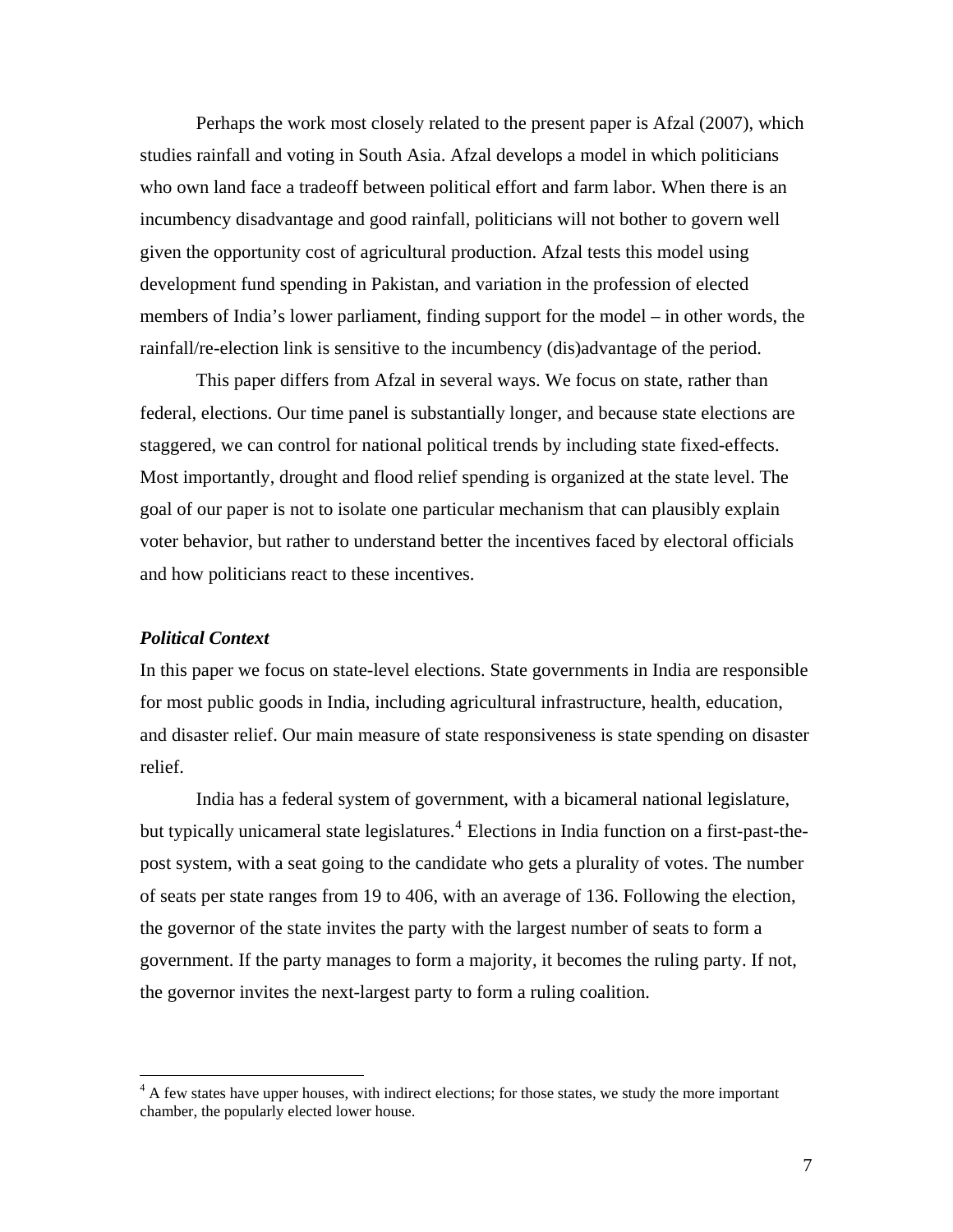Perhaps the work most closely related to the present paper is Afzal (2007), which studies rainfall and voting in South Asia. Afzal develops a model in which politicians who own land face a tradeoff between political effort and farm labor. When there is an incumbency disadvantage and good rainfall, politicians will not bother to govern well given the opportunity cost of agricultural production. Afzal tests this model using development fund spending in Pakistan, and variation in the profession of elected members of India's lower parliament, finding support for the model – in other words, the rainfall/re-election link is sensitive to the incumbency (dis)advantage of the period.

This paper differs from Afzal in several ways. We focus on state, rather than federal, elections. Our time panel is substantially longer, and because state elections are staggered, we can control for national political trends by including state fixed-effects. Most importantly, drought and flood relief spending is organized at the state level. The goal of our paper is not to isolate one particular mechanism that can plausibly explain voter behavior, but rather to understand better the incentives faced by electoral officials and how politicians react to these incentives.

# *Political Context*

 $\overline{a}$ 

In this paper we focus on state-level elections. State governments in India are responsible for most public goods in India, including agricultural infrastructure, health, education, and disaster relief. Our main measure of state responsiveness is state spending on disaster relief.

 India has a federal system of government, with a bicameral national legislature, but typically unicameral state legislatures.<sup>[4](#page-8-0)</sup> Elections in India function on a first-past-thepost system, with a seat going to the candidate who gets a plurality of votes. The number of seats per state ranges from 19 to 406, with an average of 136. Following the election, the governor of the state invites the party with the largest number of seats to form a government. If the party manages to form a majority, it becomes the ruling party. If not, the governor invites the next-largest party to form a ruling coalition.

<span id="page-8-0"></span><sup>&</sup>lt;sup>4</sup> A few states have upper houses, with indirect elections; for those states, we study the more important chamber, the popularly elected lower house.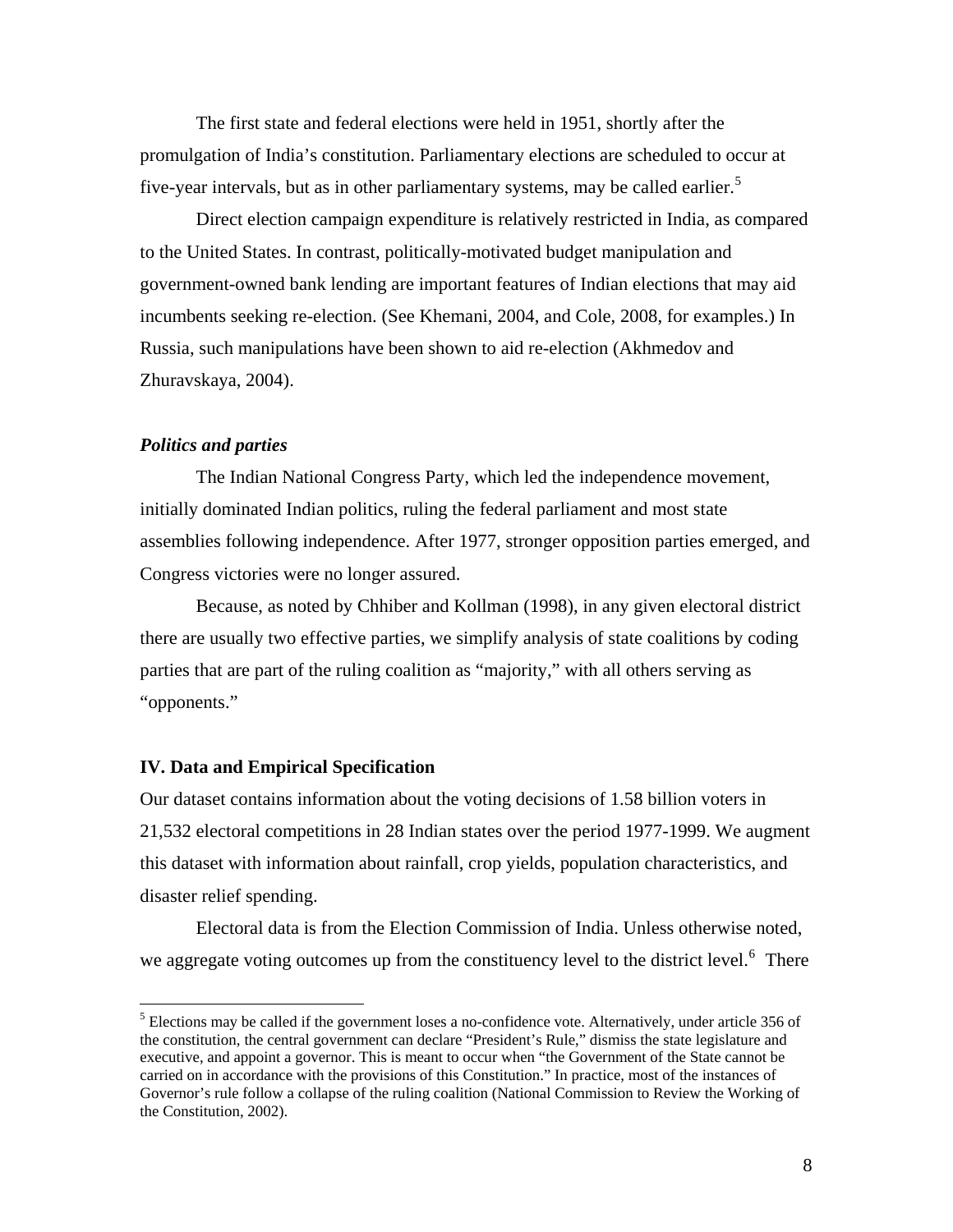The first state and federal elections were held in 1951, shortly after the promulgation of India's constitution. Parliamentary elections are scheduled to occur at five-year intervals, but as in other parliamentary systems, may be called earlier.<sup>[5](#page-9-0)</sup>

 Direct election campaign expenditure is relatively restricted in India, as compared to the United States. In contrast, politically-motivated budget manipulation and government-owned bank lending are important features of Indian elections that may aid incumbents seeking re-election. (See Khemani, 2004, and Cole, 2008, for examples.) In Russia, such manipulations have been shown to aid re-election (Akhmedov and Zhuravskaya, 2004).

### *Politics and parties*

1

 The Indian National Congress Party, which led the independence movement, initially dominated Indian politics, ruling the federal parliament and most state assemblies following independence. After 1977, stronger opposition parties emerged, and Congress victories were no longer assured.

Because, as noted by Chhiber and Kollman (1998), in any given electoral district there are usually two effective parties, we simplify analysis of state coalitions by coding parties that are part of the ruling coalition as "majority," with all others serving as "opponents."

## **IV. Data and Empirical Specification**

Our dataset contains information about the voting decisions of 1.58 billion voters in 21,532 electoral competitions in 28 Indian states over the period 1977-1999. We augment this dataset with information about rainfall, crop yields, population characteristics, and disaster relief spending.

<span id="page-9-1"></span> Electoral data is from the Election Commission of India. Unless otherwise noted, we aggregate voting outcomes up from the constituency level to the district level.<sup>[6](#page-9-1)</sup> There

<span id="page-9-0"></span><sup>&</sup>lt;sup>5</sup> Elections may be called if the government loses a no-confidence vote. Alternatively, under article 356 of the constitution, the central government can declare "President's Rule," dismiss the state legislature and executive, and appoint a governor. This is meant to occur when "the Government of the State cannot be carried on in accordance with the provisions of this Constitution." In practice, most of the instances of Governor's rule follow a collapse of the ruling coalition (National Commission to Review the Working of the Constitution, 2002).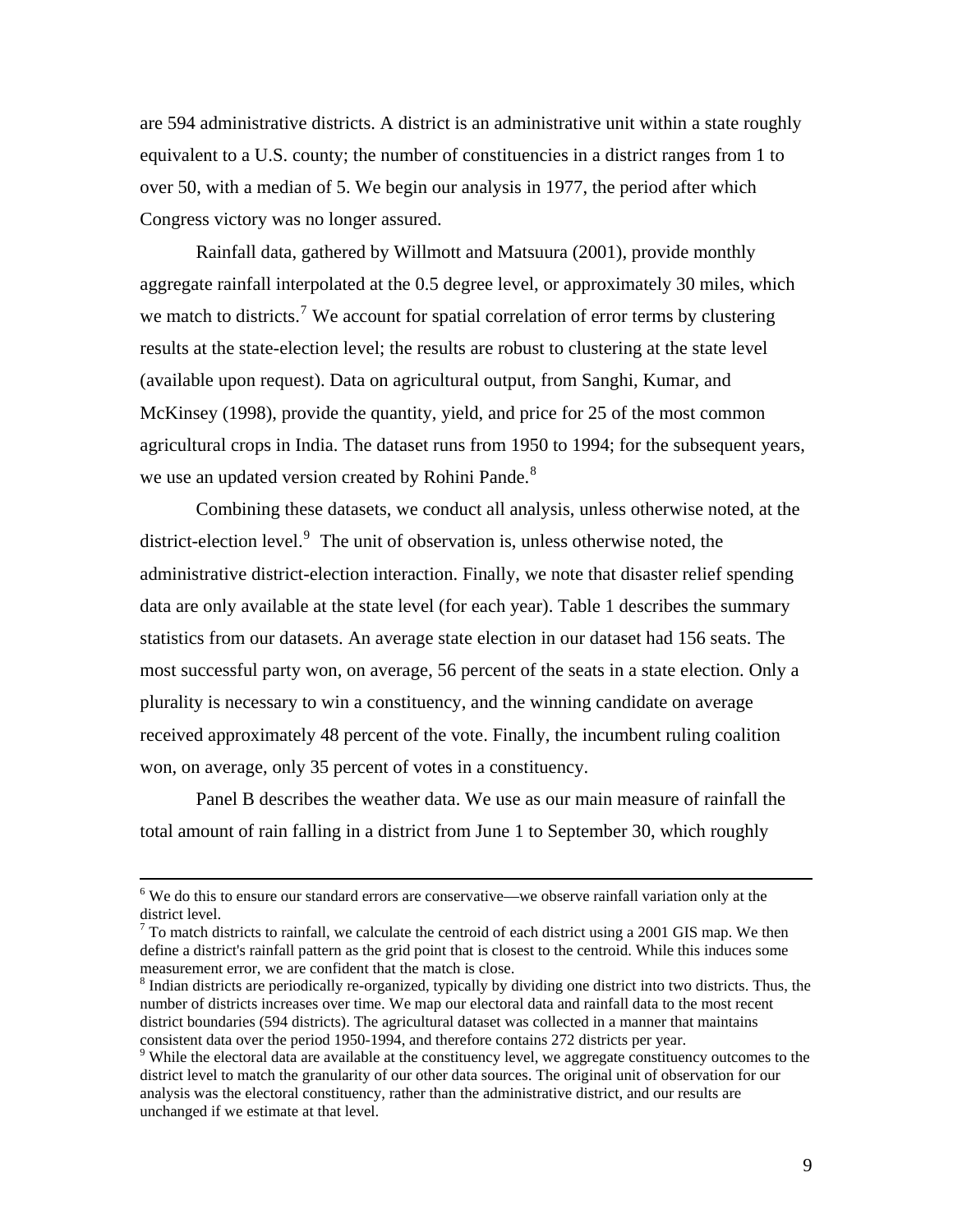are 594 administrative districts. A district is an administrative unit within a state roughly equivalent to a U.S. county; the number of constituencies in a district ranges from 1 to over 50, with a median of 5. We begin our analysis in 1977, the period after which Congress victory was no longer assured.

Rainfall data, gathered by Willmott and Matsuura (2001), provide monthly aggregate rainfall interpolated at the 0.5 degree level, or approximately 30 miles, which we match to districts.<sup>[7](#page-10-0)</sup> We account for spatial correlation of error terms by clustering results at the state-election level; the results are robust to clustering at the state level (available upon request). Data on agricultural output, from Sanghi, Kumar, and McKinsey (1998), provide the quantity, yield, and price for 25 of the most common agricultural crops in India. The dataset runs from 1950 to 1994; for the subsequent years, we use an updated version created by Rohini Pande.<sup>[8](#page-10-1)</sup>

Combining these datasets, we conduct all analysis, unless otherwise noted, at the district-election level. $9$  The unit of observation is, unless otherwise noted, the administrative district-election interaction. Finally, we note that disaster relief spending data are only available at the state level (for each year). Table 1 describes the summary statistics from our datasets. An average state election in our dataset had 156 seats. The most successful party won, on average, 56 percent of the seats in a state election. Only a plurality is necessary to win a constituency, and the winning candidate on average received approximately 48 percent of the vote. Finally, the incumbent ruling coalition won, on average, only 35 percent of votes in a constituency.

Panel B describes the weather data. We use as our main measure of rainfall the total amount of rain falling in a district from June 1 to September 30, which roughly

 $\overline{a}$ 

<sup>&</sup>lt;sup>6</sup> We do this to ensure our standard errors are conservative—we observe rainfall variation only at the district level.

<span id="page-10-0"></span> $7$  To match districts to rainfall, we calculate the centroid of each district using a 2001 GIS map. We then define a district's rainfall pattern as the grid point that is closest to the centroid. While this induces some measurement error, we are confident that the match is close.

<span id="page-10-1"></span><sup>&</sup>lt;sup>8</sup> Indian districts are periodically re-organized, typically by dividing one district into two districts. Thus, the number of districts increases over time. We map our electoral data and rainfall data to the most recent district boundaries (594 districts). The agricultural dataset was collected in a manner that maintains consistent data over the period 1950-1994, and therefore contains 272 districts per year.

<span id="page-10-2"></span><sup>&</sup>lt;sup>9</sup> While the electoral data are available at the constituency level, we aggregate constituency outcomes to the district level to match the granularity of our other data sources. The original unit of observation for our analysis was the electoral constituency, rather than the administrative district, and our results are unchanged if we estimate at that level.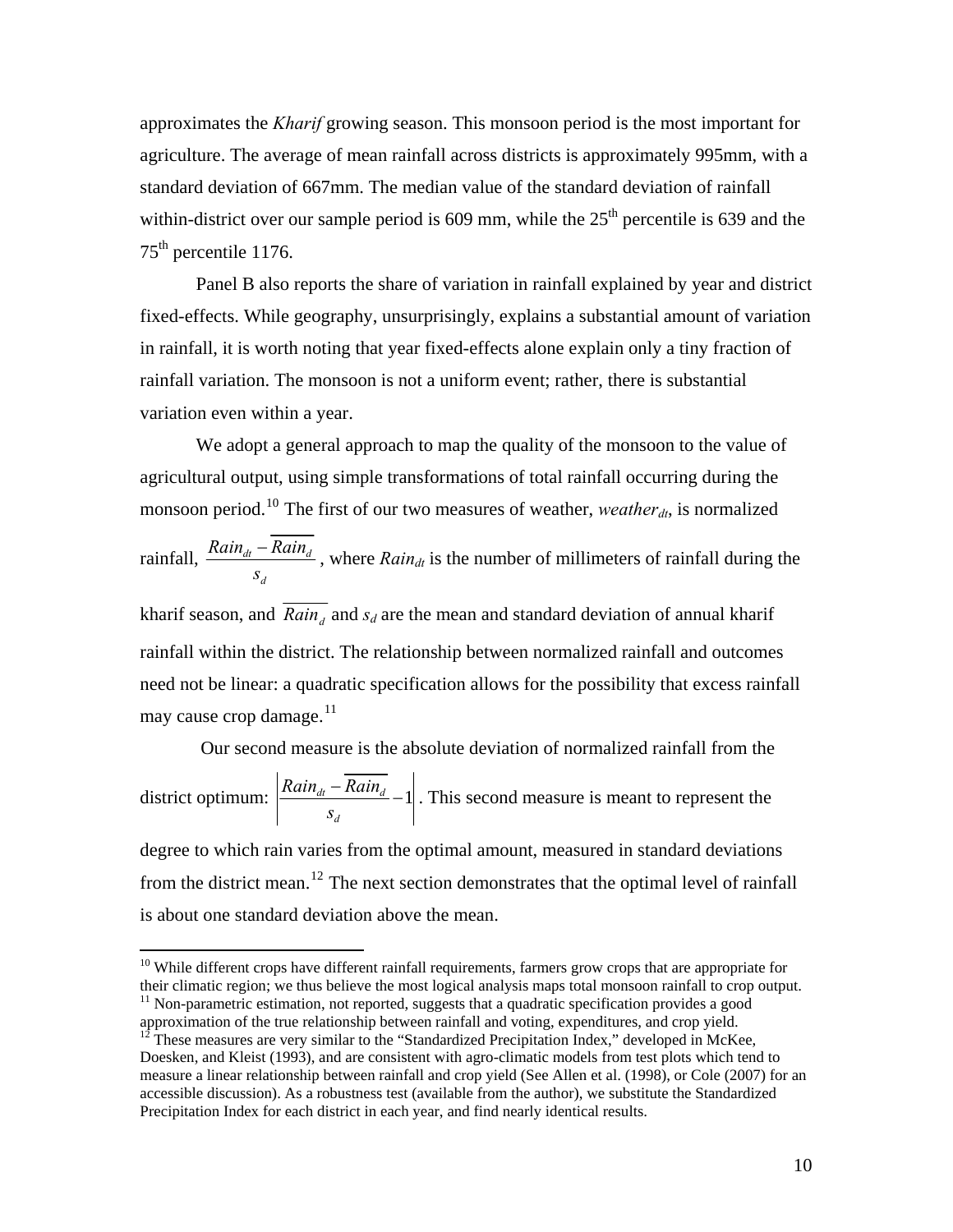approximates the *Kharif* growing season. This monsoon period is the most important for agriculture. The average of mean rainfall across districts is approximately 995mm, with a standard deviation of 667mm. The median value of the standard deviation of rainfall within-district over our sample period is  $609$  mm, while the  $25<sup>th</sup>$  percentile is 639 and the 75<sup>th</sup> percentile 1176.

Panel B also reports the share of variation in rainfall explained by year and district fixed-effects. While geography, unsurprisingly, explains a substantial amount of variation in rainfall, it is worth noting that year fixed-effects alone explain only a tiny fraction of rainfall variation. The monsoon is not a uniform event; rather, there is substantial variation even within a year.

 We adopt a general approach to map the quality of the monsoon to the value of agricultural output, using simple transformations of total rainfall occurring during the monsoon period.<sup>[10](#page-11-0)</sup> The first of our two measures of weather, *weather<sub>dt*</sub>, is normalized rainfall,  $\frac{K a u_n}{dt} - K a u_n$ *d*  $Rain_{dt} - Rain$ *s*  $-\frac{Rain_d}{d}$ , where  $Rain_{dt}$  is the number of millimeters of rainfall during the kharif season, and  $\overline{Rain_d}$  and  $s_d$  are the mean and standard deviation of annual kharif rainfall within the district. The relationship between normalized rainfall and outcomes

need not be linear: a quadratic specification allows for the possibility that excess rainfall may cause crop damage.<sup>[11](#page-11-1)</sup>

 Our second measure is the absolute deviation of normalized rainfall from the district optimum:  $\frac{\left|\frac{\mathbf{A}}{d} \mathbf{A} \mathbf{B}\right|}{\left|\frac{\mathbf{A}}{d} \mathbf{B}\right|} - 1$ *d*  $Rain_{dt} - Rain$ *s*  $\frac{-Rain_d}{-1}$ . This second measure is meant to represent the degree to which rain varies from the optimal amount, measured in standard deviations from the district mean.<sup>[12](#page-11-2)</sup> The next section demonstrates that the optimal level of rainfall is about one standard deviation above the mean.

-

<span id="page-11-0"></span> $10$  While different crops have different rainfall requirements, farmers grow crops that are appropriate for their climatic region; we thus believe the most logical analysis maps total monsoon rainfall to crop output.  $11$  Non-parametric estimation, not reported, suggests that a quadratic specification provides a good

<span id="page-11-2"></span><span id="page-11-1"></span>approximation of the true relationship between rainfall and voting, expenditures, and crop yield.  $12$ <sup>12</sup> These measures are very similar to the "Standardized Precipitation Index," developed in McKee, Doesken, and Kleist (1993), and are consistent with agro-climatic models from test plots which tend to measure a linear relationship between rainfall and crop yield (See Allen et al. (1998), or Cole (2007) for an accessible discussion). As a robustness test (available from the author), we substitute the Standardized Precipitation Index for each district in each year, and find nearly identical results.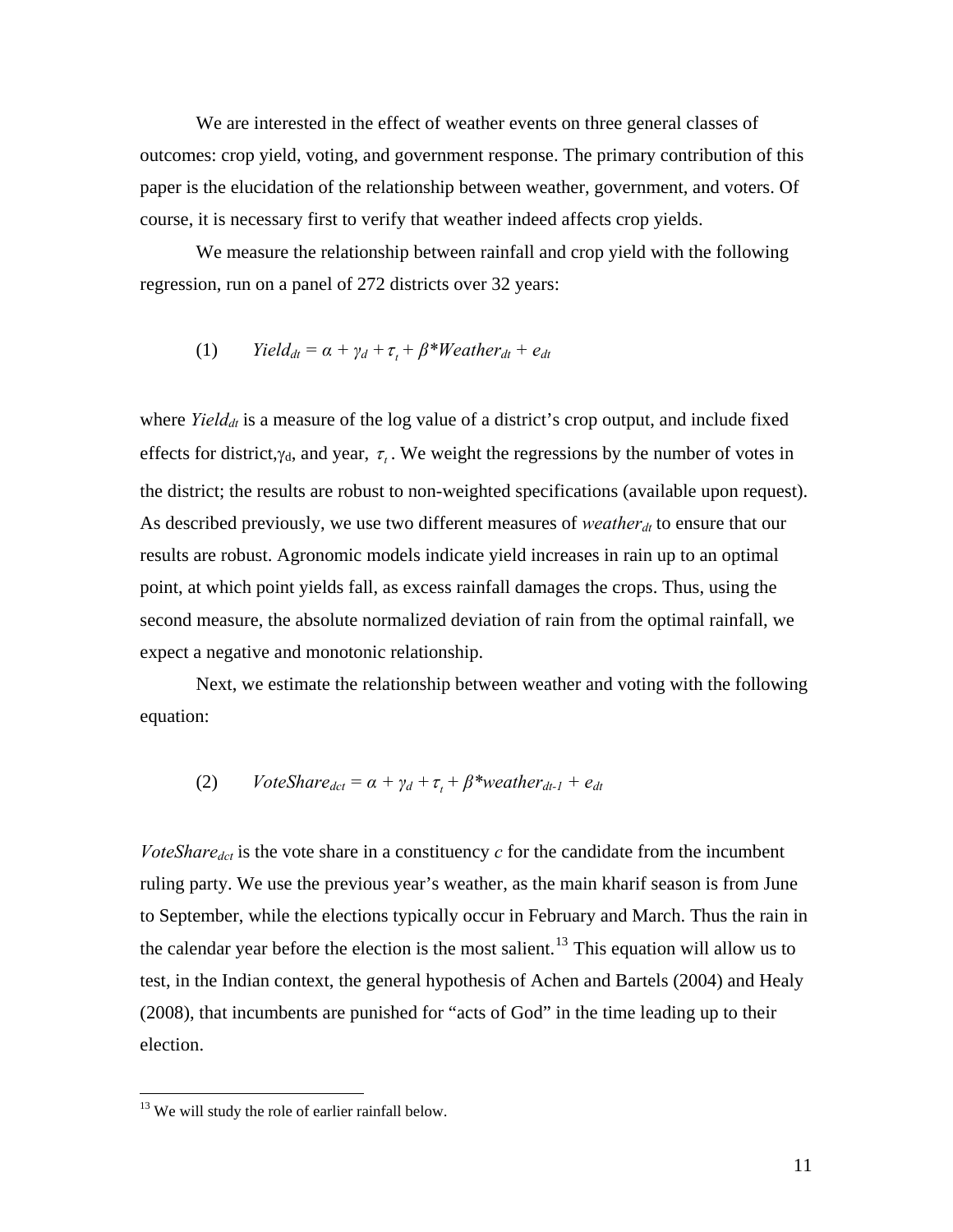We are interested in the effect of weather events on three general classes of outcomes: crop yield, voting, and government response. The primary contribution of this paper is the elucidation of the relationship between weather, government, and voters. Of course, it is necessary first to verify that weather indeed affects crop yields.

 We measure the relationship between rainfall and crop yield with the following regression, run on a panel of 272 districts over 32 years:

$$
(1) \qquad Yield_{dt} = \alpha + \gamma_d + \tau_t + \beta^* Weather_{dt} + e_{dt}
$$

where  $Yield_{dt}$  is a measure of the log value of a district's crop output, and include fixed effects for district,  $\gamma_d$ , and year,  $\tau_t$ . We weight the regressions by the number of votes in the district; the results are robust to non-weighted specifications (available upon request). As described previously, we use two different measures of *weather*<sub>dt</sub> to ensure that our results are robust. Agronomic models indicate yield increases in rain up to an optimal point, at which point yields fall, as excess rainfall damages the crops. Thus, using the second measure, the absolute normalized deviation of rain from the optimal rainfall, we expect a negative and monotonic relationship.

 Next, we estimate the relationship between weather and voting with the following equation:

(2) *VoteShare<sub>det</sub>* = 
$$
\alpha + \gamma_d + \tau_t + \beta^*
$$
 *weather<sub>dt-1</sub>* +  $e_{dt}$ 

*VoteShare<sub>dct</sub>* is the vote share in a constituency  $c$  for the candidate from the incumbent ruling party. We use the previous year's weather, as the main kharif season is from June to September, while the elections typically occur in February and March. Thus the rain in the calendar year before the election is the most salient.<sup>[13](#page-12-0)</sup> This equation will allow us to test, in the Indian context, the general hypothesis of Achen and Bartels (2004) and Healy (2008), that incumbents are punished for "acts of God" in the time leading up to their election.

 $\overline{a}$ 

<span id="page-12-0"></span><sup>&</sup>lt;sup>13</sup> We will study the role of earlier rainfall below.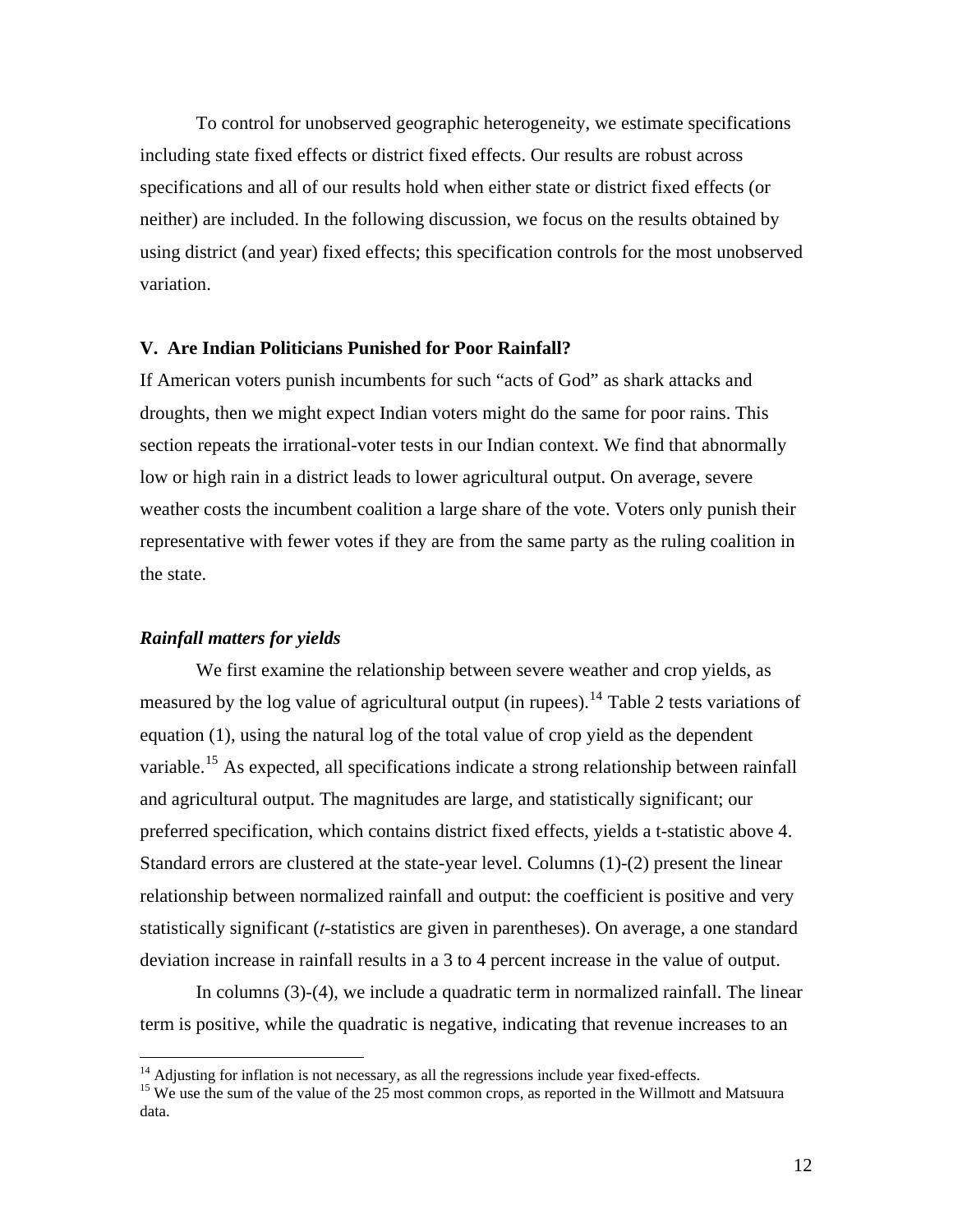To control for unobserved geographic heterogeneity, we estimate specifications including state fixed effects or district fixed effects. Our results are robust across specifications and all of our results hold when either state or district fixed effects (or neither) are included. In the following discussion, we focus on the results obtained by using district (and year) fixed effects; this specification controls for the most unobserved variation.

#### **V. Are Indian Politicians Punished for Poor Rainfall?**

If American voters punish incumbents for such "acts of God" as shark attacks and droughts, then we might expect Indian voters might do the same for poor rains. This section repeats the irrational-voter tests in our Indian context. We find that abnormally low or high rain in a district leads to lower agricultural output. On average, severe weather costs the incumbent coalition a large share of the vote. Voters only punish their representative with fewer votes if they are from the same party as the ruling coalition in the state.

# *Rainfall matters for yields*

 We first examine the relationship between severe weather and crop yields, as measured by the log value of agricultural output (in rupees).<sup>[14](#page-13-0)</sup> Table 2 tests variations of equation (1), using the natural log of the total value of crop yield as the dependent variable.<sup>[15](#page-13-1)</sup> As expected, all specifications indicate a strong relationship between rainfall and agricultural output. The magnitudes are large, and statistically significant; our preferred specification, which contains district fixed effects, yields a t-statistic above 4. Standard errors are clustered at the state-year level. Columns (1)-(2) present the linear relationship between normalized rainfall and output: the coefficient is positive and very statistically significant (*t*-statistics are given in parentheses). On average, a one standard deviation increase in rainfall results in a 3 to 4 percent increase in the value of output.

In columns (3)-(4), we include a quadratic term in normalized rainfall. The linear term is positive, while the quadratic is negative, indicating that revenue increases to an

<span id="page-13-1"></span><span id="page-13-0"></span><sup>&</sup>lt;sup>14</sup> Adjusting for inflation is not necessary, as all the regressions include year fixed-effects.<br><sup>15</sup> We use the sum of the value of the 25 most common crops, as reported in the Willmott and Matsuura data.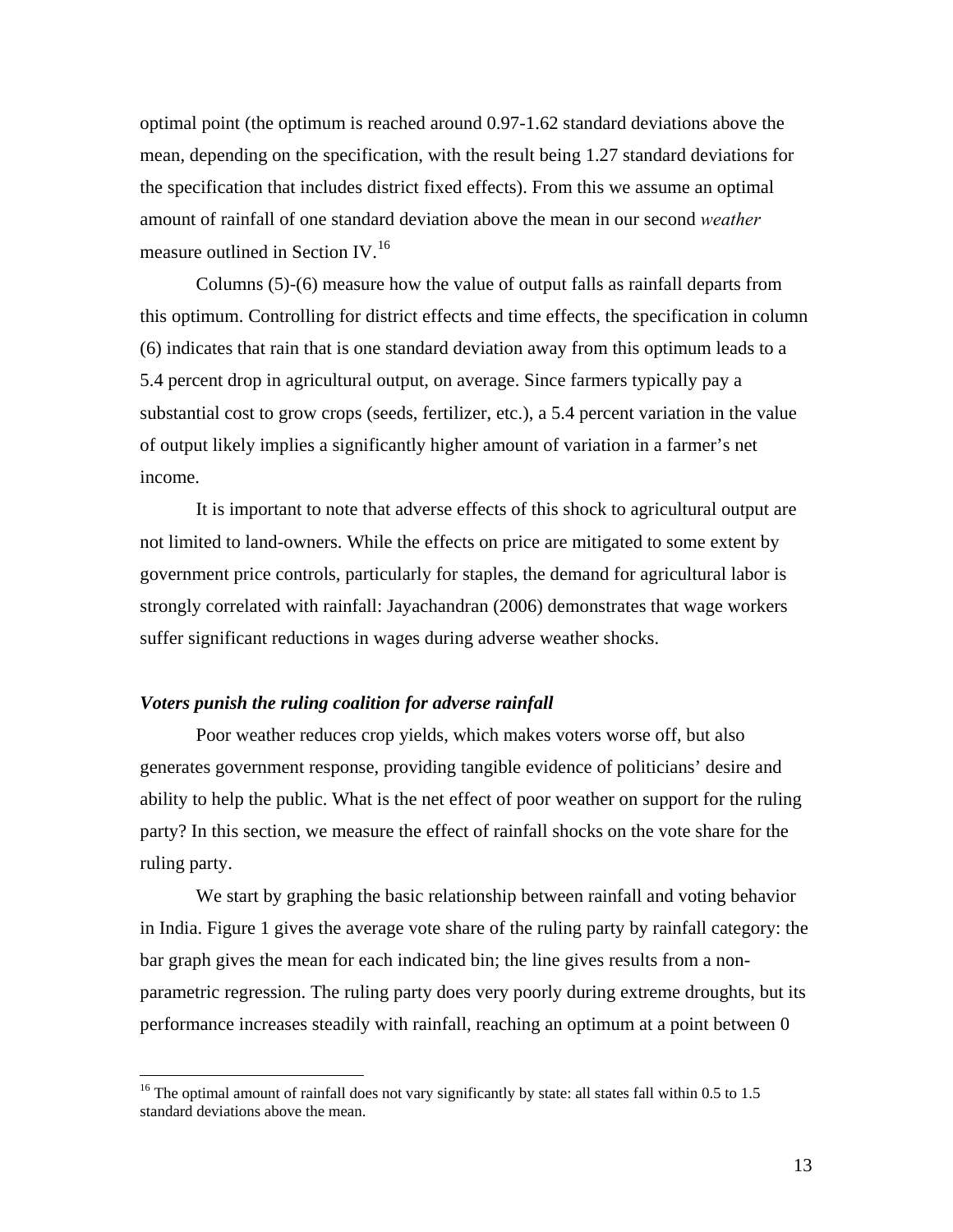optimal point (the optimum is reached around 0.97-1.62 standard deviations above the mean, depending on the specification, with the result being 1.27 standard deviations for the specification that includes district fixed effects). From this we assume an optimal amount of rainfall of one standard deviation above the mean in our second *weather*  measure outlined in Section IV.<sup>[16](#page-14-0)</sup>

 Columns (5)-(6) measure how the value of output falls as rainfall departs from this optimum. Controlling for district effects and time effects, the specification in column (6) indicates that rain that is one standard deviation away from this optimum leads to a 5.4 percent drop in agricultural output, on average. Since farmers typically pay a substantial cost to grow crops (seeds, fertilizer, etc.), a 5.4 percent variation in the value of output likely implies a significantly higher amount of variation in a farmer's net income.

 It is important to note that adverse effects of this shock to agricultural output are not limited to land-owners. While the effects on price are mitigated to some extent by government price controls, particularly for staples, the demand for agricultural labor is strongly correlated with rainfall: Jayachandran (2006) demonstrates that wage workers suffer significant reductions in wages during adverse weather shocks.

## *Voters punish the ruling coalition for adverse rainfall*

 $\overline{a}$ 

 Poor weather reduces crop yields, which makes voters worse off, but also generates government response, providing tangible evidence of politicians' desire and ability to help the public. What is the net effect of poor weather on support for the ruling party? In this section, we measure the effect of rainfall shocks on the vote share for the ruling party.

We start by graphing the basic relationship between rainfall and voting behavior in India. Figure 1 gives the average vote share of the ruling party by rainfall category: the bar graph gives the mean for each indicated bin; the line gives results from a nonparametric regression. The ruling party does very poorly during extreme droughts, but its performance increases steadily with rainfall, reaching an optimum at a point between 0

<span id="page-14-0"></span><sup>&</sup>lt;sup>16</sup> The optimal amount of rainfall does not vary significantly by state: all states fall within 0.5 to 1.5 standard deviations above the mean.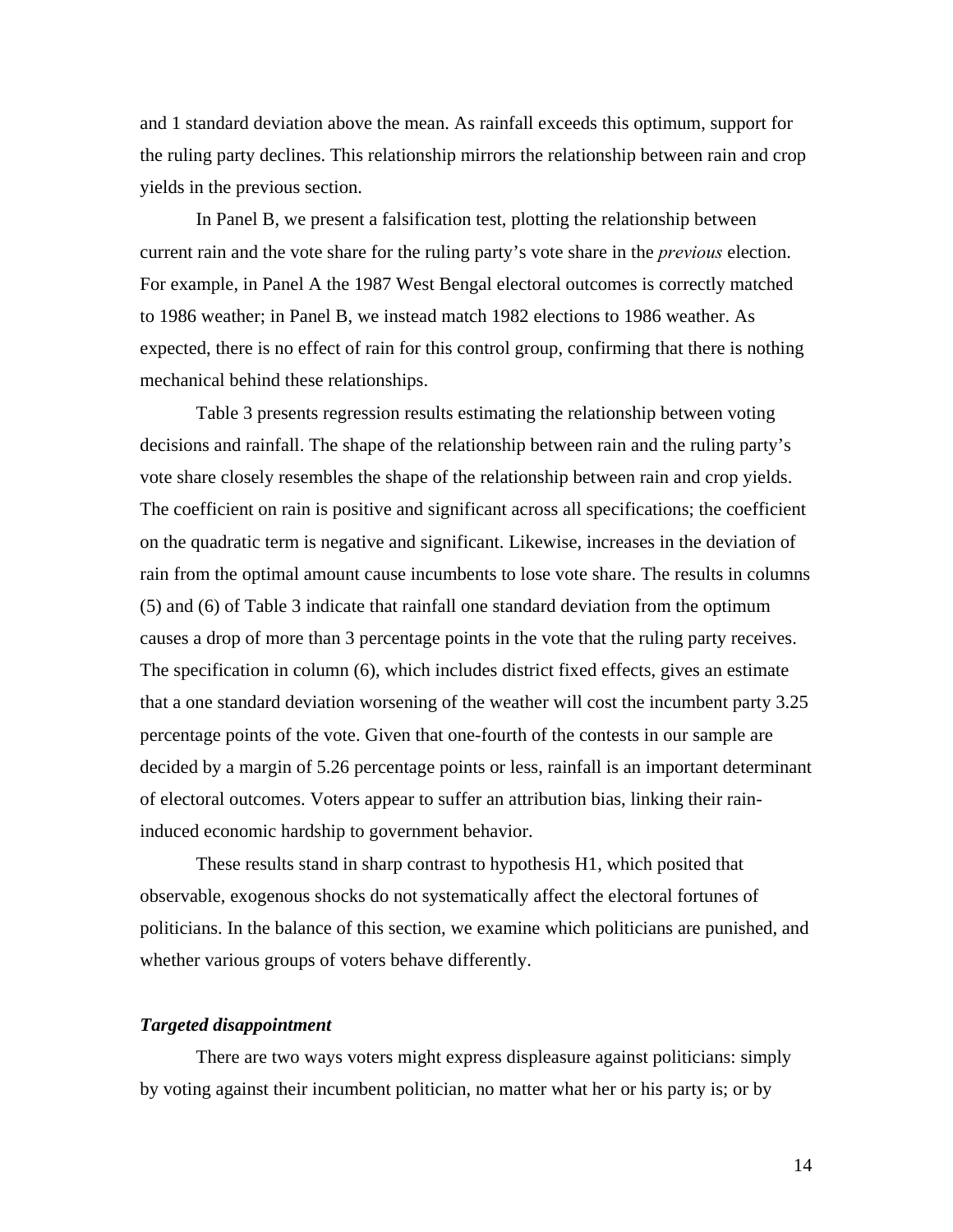and 1 standard deviation above the mean. As rainfall exceeds this optimum, support for the ruling party declines. This relationship mirrors the relationship between rain and crop yields in the previous section.

In Panel B, we present a falsification test, plotting the relationship between current rain and the vote share for the ruling party's vote share in the *previous* election. For example, in Panel A the 1987 West Bengal electoral outcomes is correctly matched to 1986 weather; in Panel B, we instead match 1982 elections to 1986 weather. As expected, there is no effect of rain for this control group, confirming that there is nothing mechanical behind these relationships.

 Table 3 presents regression results estimating the relationship between voting decisions and rainfall. The shape of the relationship between rain and the ruling party's vote share closely resembles the shape of the relationship between rain and crop yields. The coefficient on rain is positive and significant across all specifications; the coefficient on the quadratic term is negative and significant. Likewise, increases in the deviation of rain from the optimal amount cause incumbents to lose vote share. The results in columns (5) and (6) of Table 3 indicate that rainfall one standard deviation from the optimum causes a drop of more than 3 percentage points in the vote that the ruling party receives. The specification in column (6), which includes district fixed effects, gives an estimate that a one standard deviation worsening of the weather will cost the incumbent party 3.25 percentage points of the vote. Given that one-fourth of the contests in our sample are decided by a margin of 5.26 percentage points or less, rainfall is an important determinant of electoral outcomes. Voters appear to suffer an attribution bias, linking their raininduced economic hardship to government behavior.

 These results stand in sharp contrast to hypothesis H1, which posited that observable, exogenous shocks do not systematically affect the electoral fortunes of politicians. In the balance of this section, we examine which politicians are punished, and whether various groups of voters behave differently.

## *Targeted disappointment*

There are two ways voters might express displeasure against politicians: simply by voting against their incumbent politician, no matter what her or his party is; or by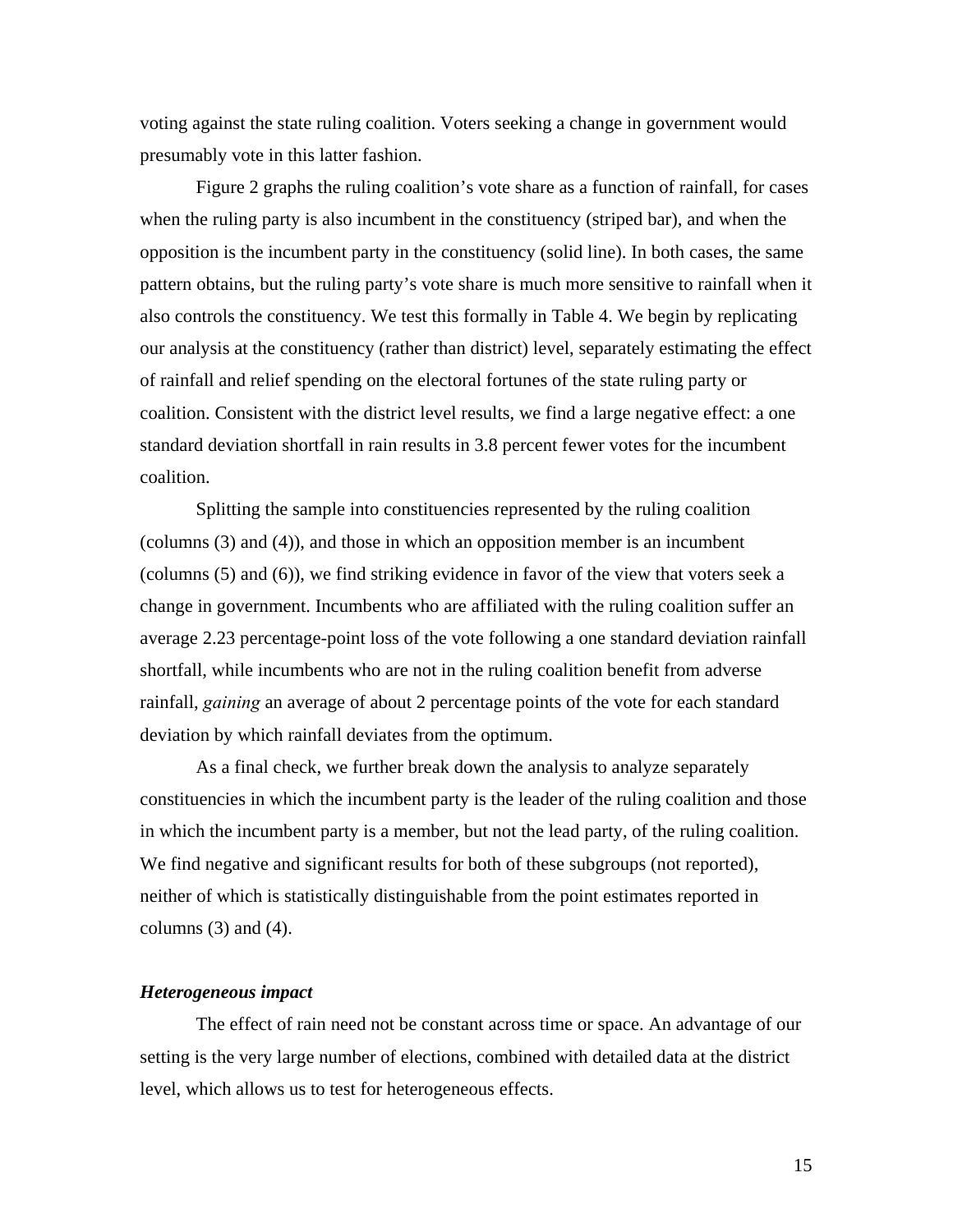voting against the state ruling coalition. Voters seeking a change in government would presumably vote in this latter fashion.

Figure 2 graphs the ruling coalition's vote share as a function of rainfall, for cases when the ruling party is also incumbent in the constituency (striped bar), and when the opposition is the incumbent party in the constituency (solid line). In both cases, the same pattern obtains, but the ruling party's vote share is much more sensitive to rainfall when it also controls the constituency. We test this formally in Table 4. We begin by replicating our analysis at the constituency (rather than district) level, separately estimating the effect of rainfall and relief spending on the electoral fortunes of the state ruling party or coalition. Consistent with the district level results, we find a large negative effect: a one standard deviation shortfall in rain results in 3.8 percent fewer votes for the incumbent coalition.

Splitting the sample into constituencies represented by the ruling coalition (columns (3) and (4)), and those in which an opposition member is an incumbent (columns (5) and (6)), we find striking evidence in favor of the view that voters seek a change in government. Incumbents who are affiliated with the ruling coalition suffer an average 2.23 percentage-point loss of the vote following a one standard deviation rainfall shortfall, while incumbents who are not in the ruling coalition benefit from adverse rainfall, *gaining* an average of about 2 percentage points of the vote for each standard deviation by which rainfall deviates from the optimum.

As a final check, we further break down the analysis to analyze separately constituencies in which the incumbent party is the leader of the ruling coalition and those in which the incumbent party is a member, but not the lead party, of the ruling coalition. We find negative and significant results for both of these subgroups (not reported), neither of which is statistically distinguishable from the point estimates reported in columns  $(3)$  and  $(4)$ .

# *Heterogeneous impact*

 The effect of rain need not be constant across time or space. An advantage of our setting is the very large number of elections, combined with detailed data at the district level, which allows us to test for heterogeneous effects.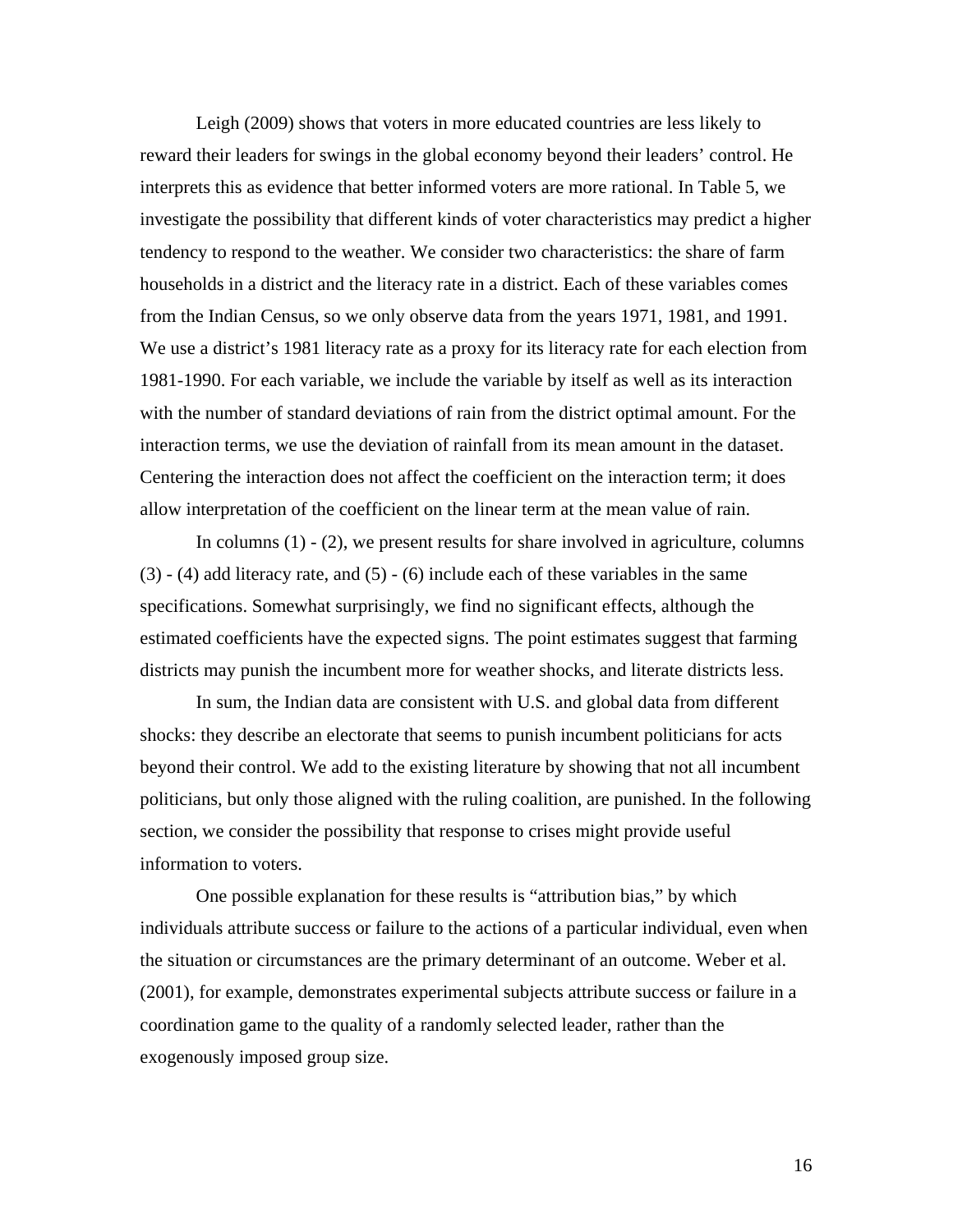Leigh (2009) shows that voters in more educated countries are less likely to reward their leaders for swings in the global economy beyond their leaders' control. He interprets this as evidence that better informed voters are more rational. In Table 5, we investigate the possibility that different kinds of voter characteristics may predict a higher tendency to respond to the weather. We consider two characteristics: the share of farm households in a district and the literacy rate in a district. Each of these variables comes from the Indian Census, so we only observe data from the years 1971, 1981, and 1991. We use a district's 1981 literacy rate as a proxy for its literacy rate for each election from 1981-1990. For each variable, we include the variable by itself as well as its interaction with the number of standard deviations of rain from the district optimal amount. For the interaction terms, we use the deviation of rainfall from its mean amount in the dataset. Centering the interaction does not affect the coefficient on the interaction term; it does allow interpretation of the coefficient on the linear term at the mean value of rain.

In columns  $(1)$  -  $(2)$ , we present results for share involved in agriculture, columns  $(3)$  - (4) add literacy rate, and  $(5)$  - (6) include each of these variables in the same specifications. Somewhat surprisingly, we find no significant effects, although the estimated coefficients have the expected signs. The point estimates suggest that farming districts may punish the incumbent more for weather shocks, and literate districts less.

In sum, the Indian data are consistent with U.S. and global data from different shocks: they describe an electorate that seems to punish incumbent politicians for acts beyond their control. We add to the existing literature by showing that not all incumbent politicians, but only those aligned with the ruling coalition, are punished. In the following section, we consider the possibility that response to crises might provide useful information to voters.

 One possible explanation for these results is "attribution bias," by which individuals attribute success or failure to the actions of a particular individual, even when the situation or circumstances are the primary determinant of an outcome. Weber et al. (2001), for example, demonstrates experimental subjects attribute success or failure in a coordination game to the quality of a randomly selected leader, rather than the exogenously imposed group size.

16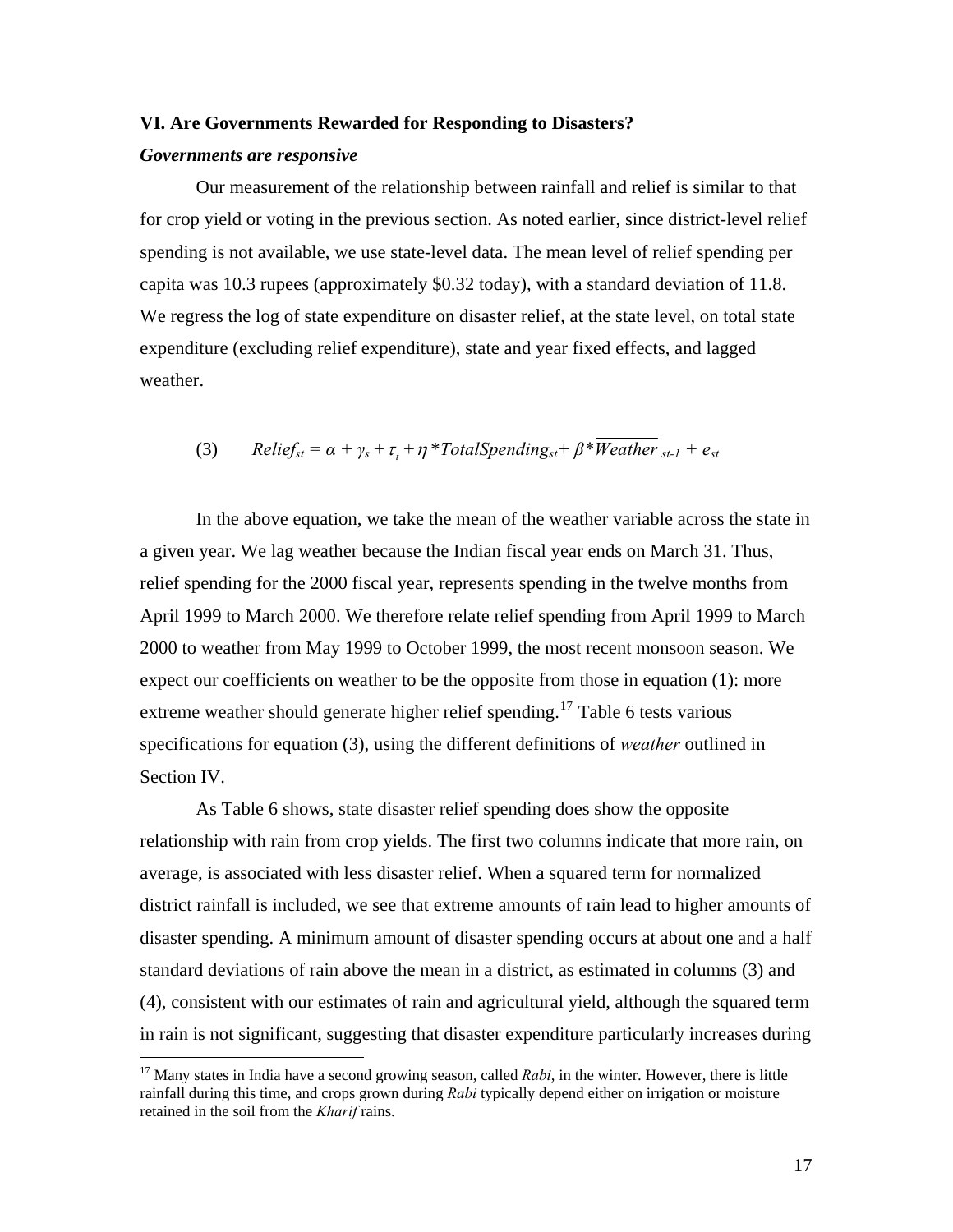#### **VI. Are Governments Rewarded for Responding to Disasters?**

#### *Governments are responsive*

 Our measurement of the relationship between rainfall and relief is similar to that for crop yield or voting in the previous section. As noted earlier, since district-level relief spending is not available, we use state-level data. The mean level of relief spending per capita was 10.3 rupees (approximately \$0.32 today), with a standard deviation of 11.8. We regress the log of state expenditure on disaster relief, at the state level, on total state expenditure (excluding relief expenditure), state and year fixed effects, and lagged weather.

(3) 
$$
Relief_{st} = \alpha + \gamma_s + \tau_t + \eta * TotalSpending_{st} + \beta * Weather_{st-1} + e_s
$$

In the above equation, we take the mean of the weather variable across the state in a given year. We lag weather because the Indian fiscal year ends on March 31. Thus, relief spending for the 2000 fiscal year, represents spending in the twelve months from April 1999 to March 2000. We therefore relate relief spending from April 1999 to March 2000 to weather from May 1999 to October 1999, the most recent monsoon season. We expect our coefficients on weather to be the opposite from those in equation (1): more extreme weather should generate higher relief spending.<sup>[17](#page-18-0)</sup> Table 6 tests various specifications for equation (3), using the different definitions of *weather* outlined in Section IV.

 As Table 6 shows, state disaster relief spending does show the opposite relationship with rain from crop yields. The first two columns indicate that more rain, on average, is associated with less disaster relief. When a squared term for normalized district rainfall is included, we see that extreme amounts of rain lead to higher amounts of disaster spending. A minimum amount of disaster spending occurs at about one and a half standard deviations of rain above the mean in a district, as estimated in columns (3) and (4), consistent with our estimates of rain and agricultural yield, although the squared term in rain is not significant, suggesting that disaster expenditure particularly increases during

<span id="page-18-0"></span><sup>&</sup>lt;sup>17</sup> Many states in India have a second growing season, called *Rabi*, in the winter. However, there is little rainfall during this time, and crops grown during *Rabi* typically depend either on irrigation or moisture retained in the soil from the *Kharif* rains.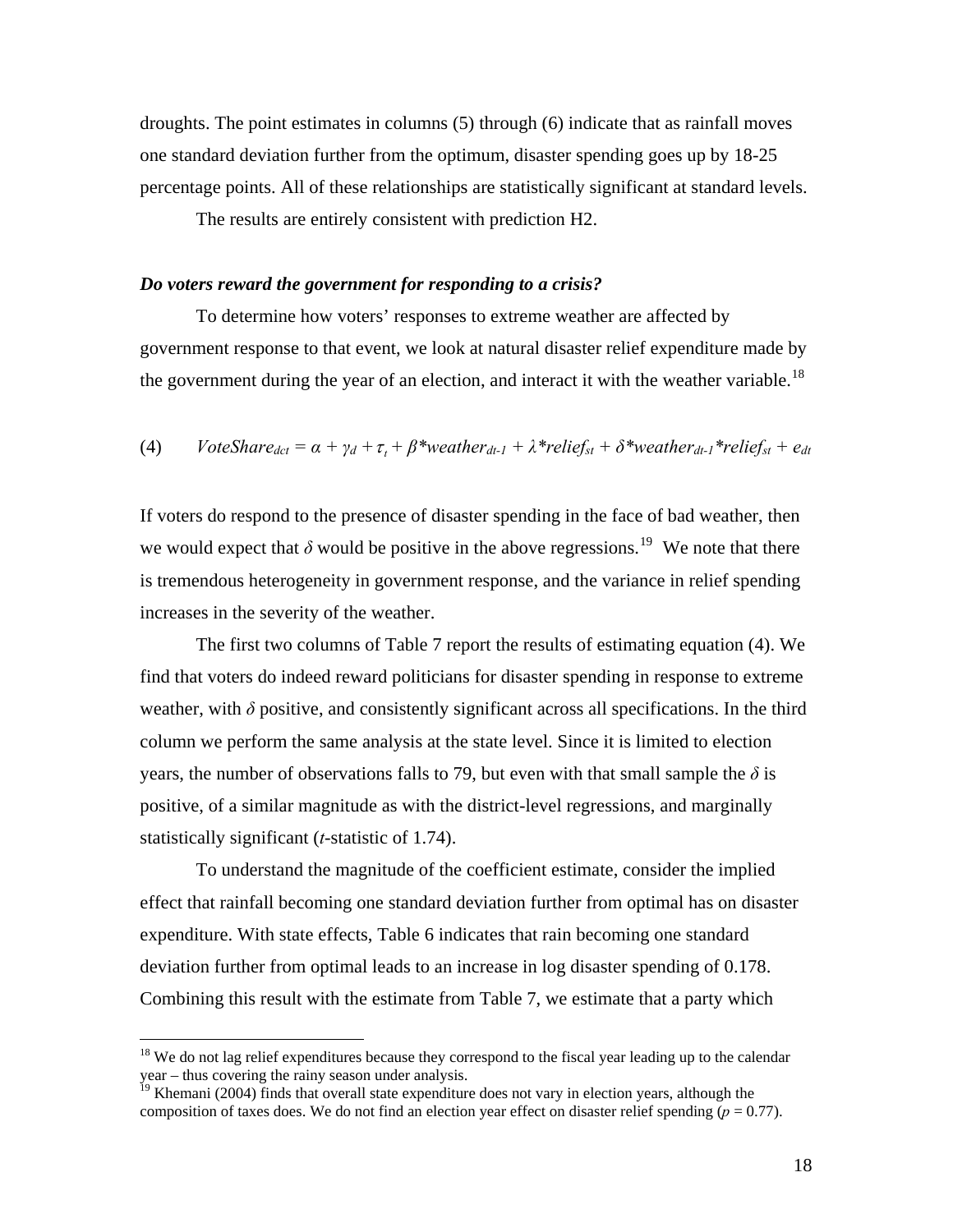droughts. The point estimates in columns (5) through (6) indicate that as rainfall moves one standard deviation further from the optimum, disaster spending goes up by 18-25 percentage points. All of these relationships are statistically significant at standard leve ls.

The results are entirely consistent with prediction H2.

#### *Do voters reward the government for responding to a crisis?*

To determine how voters' responses to extreme weather are affected by government response to that event, we look at natural disaster relief expenditure made by the government during the year of an election, and interact it with the weather variable.<sup>[18](#page-19-0)</sup>

(4) *VoteShare<sub>det</sub>* = 
$$
\alpha + \gamma_d + \tau_t + \beta^*
$$
 *weather<sub>dt-1</sub>* +  $\lambda^*$  *relief<sub>st</sub>* +  $\delta^*$  *weather<sub>dt-1</sub>* \* *relief<sub>st</sub>* + *e<sub>dt</sub>*

If voters do respond to the presence of disaster spending in the face of bad weather, then we would expect that  $\delta$  would be positive in the above regressions.<sup>[19](#page-19-1)</sup> We note that there is tremendous heterogeneity in government response, and the variance in relief spending increases in the severity of the weather.

The first two columns of Table 7 report the results of estimating equation (4). We find that voters do indeed reward politicians for disaster spending in response to extreme weather, with  $\delta$  positive, and consistently significant across all specifications. In the third column we perform the same analysis at the state level. Since it is limited to election years, the number of observations falls to 79, but even with that small sample the  $\delta$  is positive, of a similar magnitude as with the district-level regressions, and marginally statistically significant (*t*-statistic of 1.74).

To understand the magnitude of the coefficient estimate, consider the implied effect that rainfall becoming one standard deviation further from optimal has on disaster deviation further from optimal leads to an increase in log disaster spending of 0.178. expenditure. With state effects, Table 6 indicates that rain becoming one standard Combining this result with the estimate from Table 7, we estimate that a party which

 $\overline{a}$ 

<span id="page-19-0"></span><sup>&</sup>lt;sup>18</sup> We do not lag relief expenditures because they correspond to the fiscal year leading up to the calendar year – thus covering the rainy season under analysis.

<span id="page-19-1"></span><sup>&</sup>lt;sup>19</sup> Khemani (2004) finds that overall state expenditure does not vary in election years, although the composition of taxes does. We do not find an election year effect on disaster relief spending  $(p = 0.77)$ .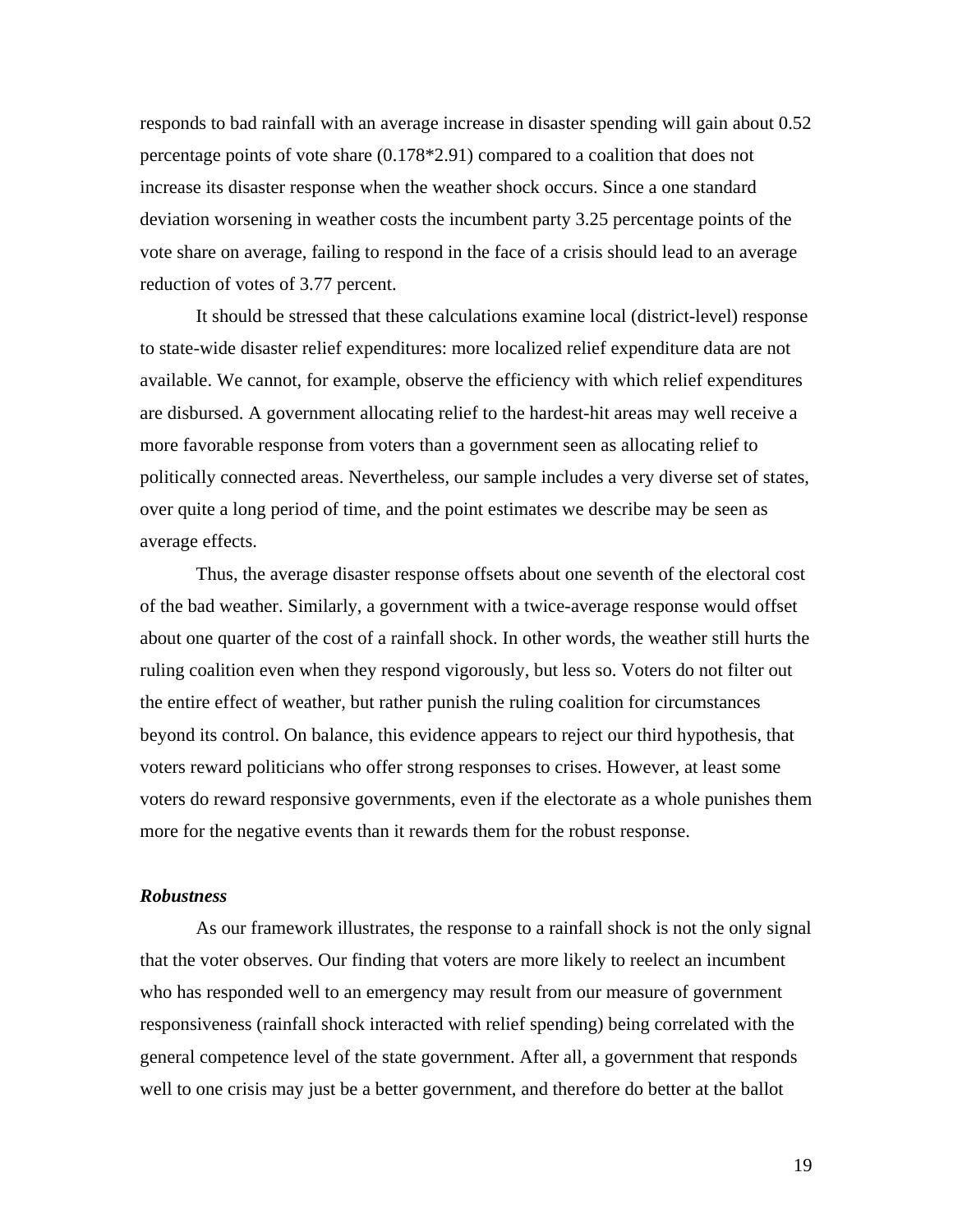responds to bad rainfall with an average increase in disaster spending will gain about 0 .52 percentage points of vote share (0.178\*2.91) compared to a coalition that does not increase its disaster response when the weather shock occurs. Since a one standard deviation worsening in weather costs the incumbent party 3.25 percentage points of the vote share on average, failing to respond in the face of a crisis should lead to an average reduction of votes of 3.77 percent.

 It should be stressed that the se calculations examine local (district-level) response politically connected areas. Nevertheless, our sample includes a very diverse set of states, to state-wide disaster relief expenditures: more localized relief expenditure data are not available. We cannot, for example, observe the efficiency with which relief expenditures are disbursed. A government allocating relief to the hardest-hit areas may well receive a more favorable response from voters than a government seen as allocating relief to over quite a long period of time, and the point estimates we describe may be seen as average effects.

Thus, the average disaster response offsets about one seventh of the electoral cost of the b ad weather. Similarly, a government with a twice-average response would offset beyond its control. On balance, this evidence appears to reject our third hypothesis, that voters do reward responsive governments, even if the electorate as a whole punishes them about one quarter of the cost of a rainfall shock. In other words, the weather still hurts the ruling coalition even when they respond vigorously, but less so. Voters do not filter out the entire effect of weather, but rather punish the ruling coalition for circumstances voters reward politicians who offer strong responses to crises. However, at least some more for the negative events than it rewards them for the robust response.

#### *Robustness*

As our framework illustrates, the response to a rainfall shock is not the only signal that the voter observes. Our finding that voters are more likely to reelect an incumbent who has responded well to an emergency may result from our measure of government responsiveness (rainfall shock interacted with relief spending) being correlated with the general competence level of the state government. After all, a government that responds well to one crisis may just be a better government, and therefore do better at the ballot

19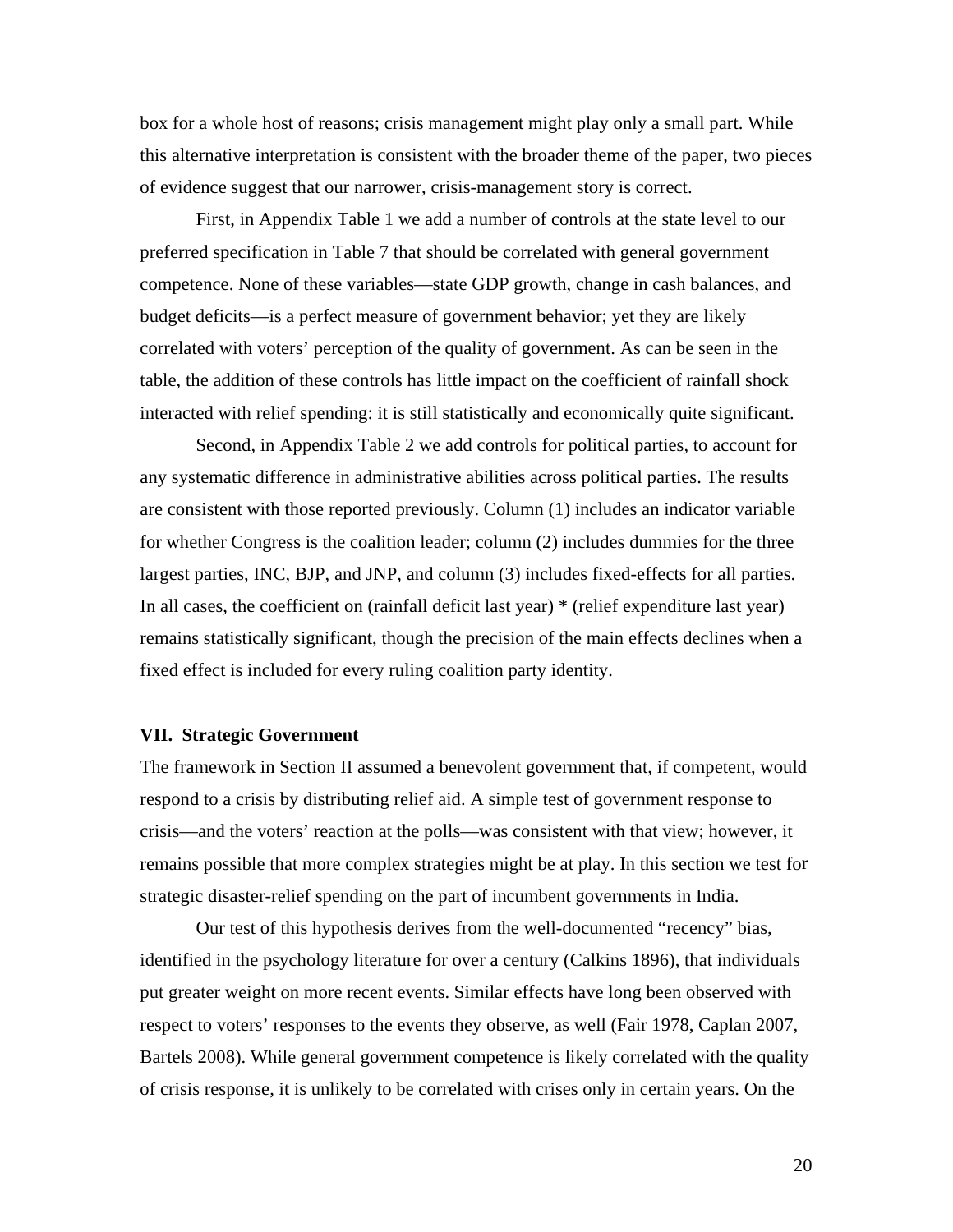box for a whole host of reasons; crisis management might play only a small part. While this alternative interpretation is consistent with the broader theme of the paper, two piece s of evidence suggest that our narrower, crisis-management story is correct.

 First, in Appendix Table 1 we add a number of controls at the state level to our competence. None of these variables—state GDP growth, change in cash balances, and correlated with voters' perception of the quality of government. As can be seen in the preferred specification in Table 7 that should be correlated with general government budget deficits—is a perfect measure of government behavior; yet they are likely table, the addition of these controls has little impact on the coefficient of rainfall shock interacted with relief spending: it is still statistically and economically quite significant.

any sys tematic difference in administrative abilities across political parties. The results remains statistically significant, though the precision of the main effects declines when a Second, in Appendix Table 2 we add controls for political parties, to account for are consistent with those reported previously. Column (1) includes an indicator variable for whether Congress is the coalition leader; column (2) includes dummies for the three largest parties, INC, BJP, and JNP, and column (3) includes fixed-effects for all parties. In all cases, the coefficient on (rainfall deficit last year) \* (relief expenditure last year) fixed effect is included for every ruling coalition party identity.

#### **VII. Strategic Government**

The framework in Section II assumed a benevolent government that, if competent, would crisis—and the voters' reaction at the polls—was consistent with that view; however, it remains possible that more complex strategies might be at play. In this section we test for respond to a crisis by distributing relief aid. A simple test of government response to strategic disaster-relief spending on the part of incumbent governments in India.

Our test of this hypothesis derives from the well-documented "recency" bias, identified in the psychology literature for over a century (Calkins 1896), that individuals put greater weight on more recent events. Similar effects have long been observed with respect to voters' responses to the events they observe, as well (Fair 1978, Caplan 2007, Bartels 2008). While general government competence is likely correlated with the quality of crisis response, it is unlikely to be correlated with crises only in certain years. On the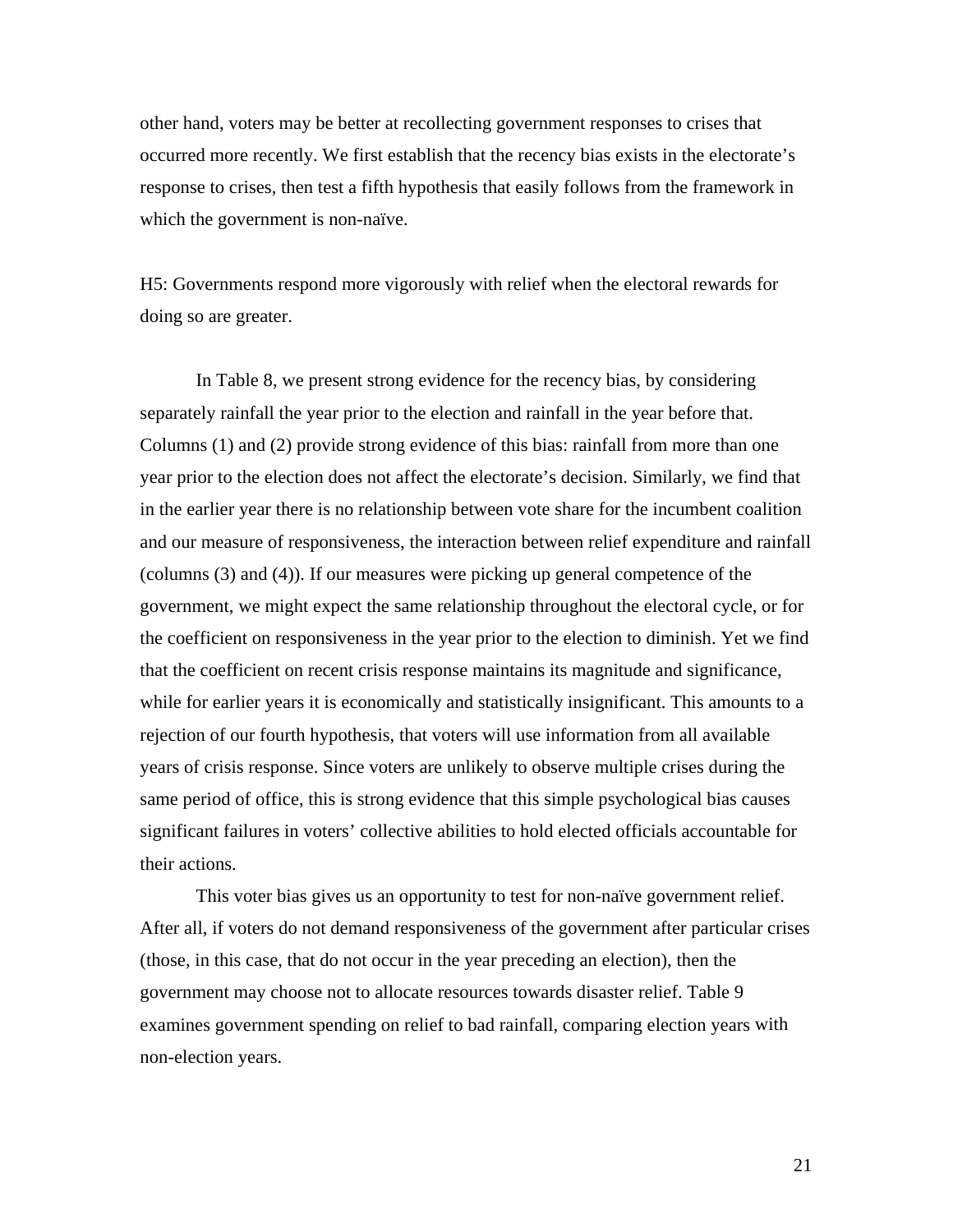other hand, voters may be better at recollecting government responses to crises that occurred more recently. We first establish that the recency bias exists in the electorat e's response to crises, then test a fifth hypothesis that easily follows from the framework in which the government is non-naïve.

H5: Governments respond more vigorously with relief when the electoral rewards for doing so are greater.

In Table 8, we present strong evidence for the recency bias, by considering separat ely rainfall the year prior to the election and rainfall in the year before that. Columns (1) and (2) provide strong evidence of this bias: rainfall from more than one year prior to the election does not affect the electorate's decision. Similarly, we find that government, we might expect the same relationship throughout the electoral cycle, or for while for earlier years it is economically and statistically insignificant. This amounts to a years of crisis response. Since voters are unlikely to observe multiple crises during the in the earlier year there is no relationship between vote share for the incumbent coalition and our measure of responsiveness, the interaction between relief expenditure and rainfall (columns (3) and (4)). If our measures were picking up general competence of the the coefficient on responsiveness in the year prior to the election to diminish. Yet we find that the coefficient on recent crisis response maintains its magnitude and significance, rejection of our fourth hypothesis, that voters will use information from all available same period of office, this is strong evidence that this simple psychological bias causes significant failures in voters' collective abilities to hold elected officials accountable for their actions.

This voter bias gives us an opportunity to test for non-naïve government relief. After all, if voters do not demand responsiveness of the government after particular crises examines government spending on relief to bad rainfall, comparing election years with (those, in this case, that do not occur in the year preceding an election), then the government may choose not to allocate resources towards disaster relief. Table 9 non-election years.

21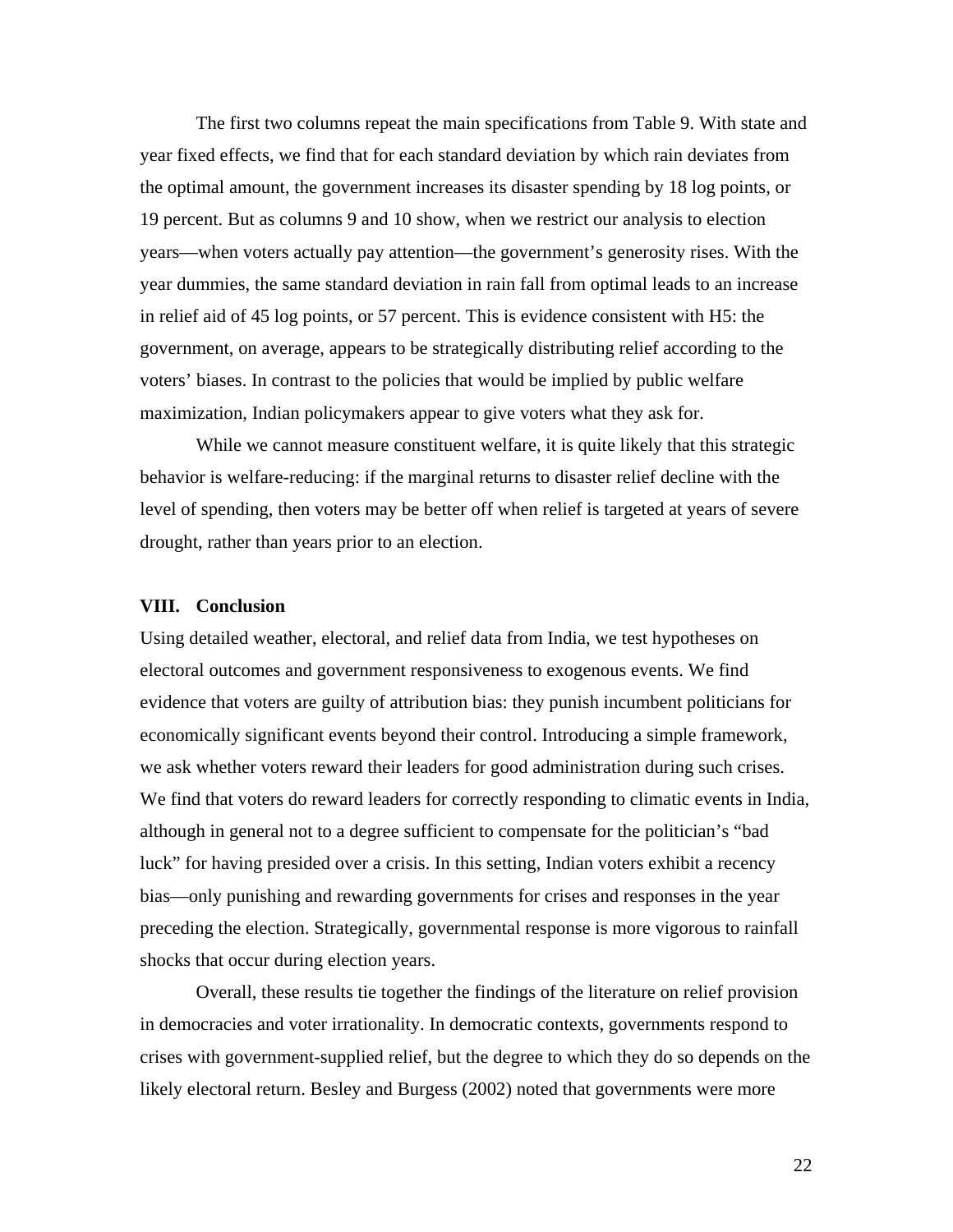The first two columns repeat the main specifications from Table 9. With state and year fixed effects, we find that for each standard deviation by which rain deviates from the optimal amount, the government increases its disaster spending by 18 log points, or 19 percent. But as columns 9 and 10 show, when we restrict our analysis to election years—when voters actually pay attention—the government's generosity rises. With the year dummies, the same standard deviation in rain fall from optimal leads to an increase in relief aid of 45 log points, or 57 percent. This is evidence consistent with H5: the government, on average, appears to be strategically distributing relief according to the voters' biases. In contrast to the policies that would be implied by public welfare maximization, Indian policymakers appear to give voters what they ask for.

While we cannot measure constituent welfare, it is quite likely that this strategic behavior is welfare-reducing: if the marginal returns to disaster relief decline with the level of spending, then voters may be better off when relief is targeted at years of severe drought, rather than years prior to an election.

#### **VIII. Conclusion**

Using detailed weather, electoral, and relief data from India, we test hypotheses on electoral outcomes and government responsiveness to exogenous events. We find evidence that voters are guilty of attribution bias: they punish incumbent politicians for economically significant events beyond their control. Introducing a simple framework, we ask whether voters reward their leaders for good administration during such crises. We find that voters do reward leaders for correctly responding to climatic events in India, although in general not to a degree sufficient to compensate for the politician's "bad luck" for having presided over a crisis. In this setting, Indian voters exhibit a recency bias—only punishing and rewarding governments for crises and responses in the year preceding the election. Strategically, governmental response is more vigorous to rainfall shocks that occur during election years.

Overall, these results tie together the findings of the literature on relief provision in democracies and voter irrationality. In democratic contexts, governments respond to crises with government-supplied relief, but the degree to which they do so depends on the likely electoral return. Besley and Burgess (2002) noted that governments were more

22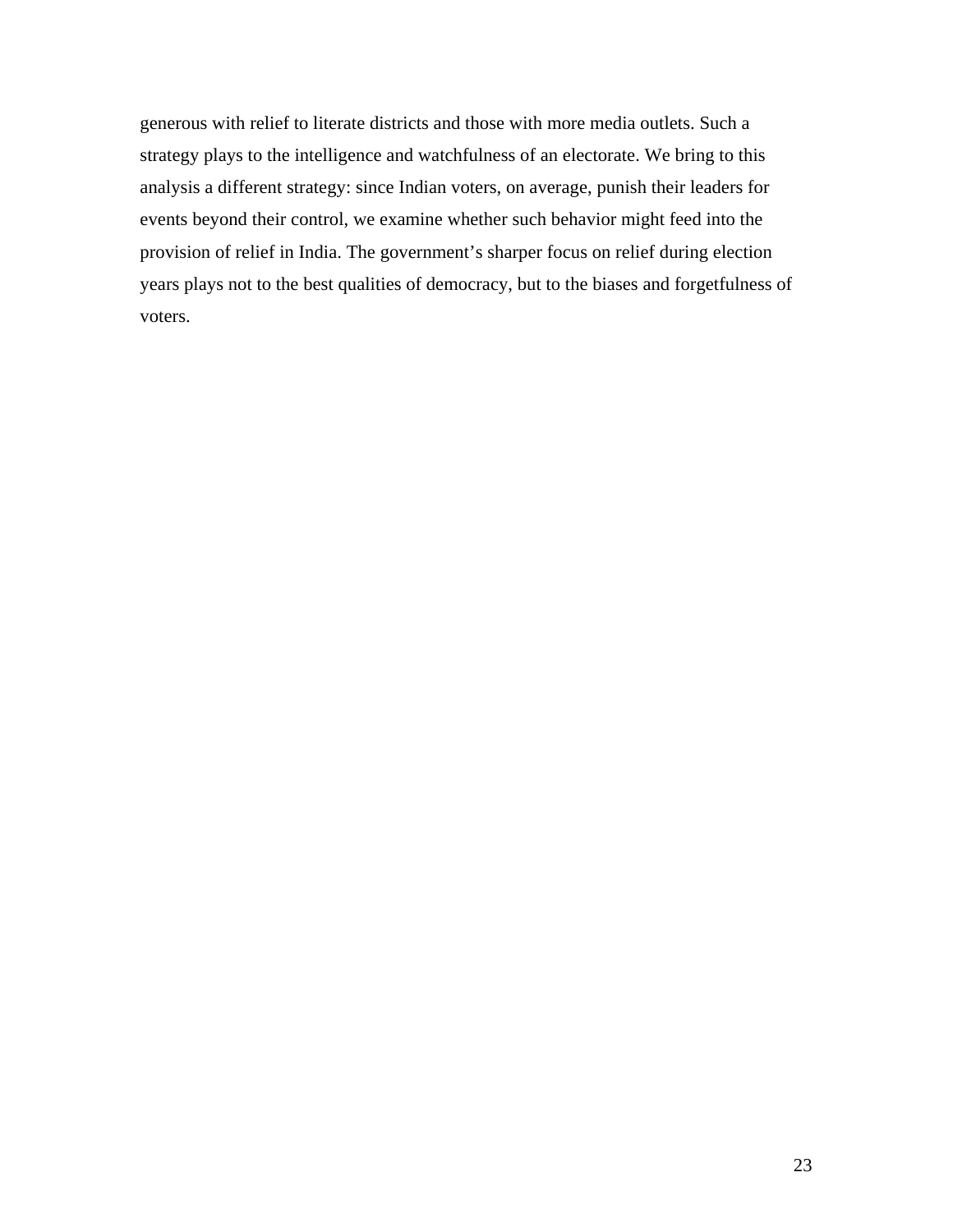generous with relief to literate districts and those with more media outlets. Such a strategy plays to the intelligence and watchfulness of an electorate. We bring to this analysis a different strategy: since Indian voters, on average, punish their leaders for events beyond their control, we examine whether such behavior might feed into the provision of relief in India. The government's sharper focus on relief during election years plays not to the best qualities of democracy, but to the biases and forgetfulness of voters.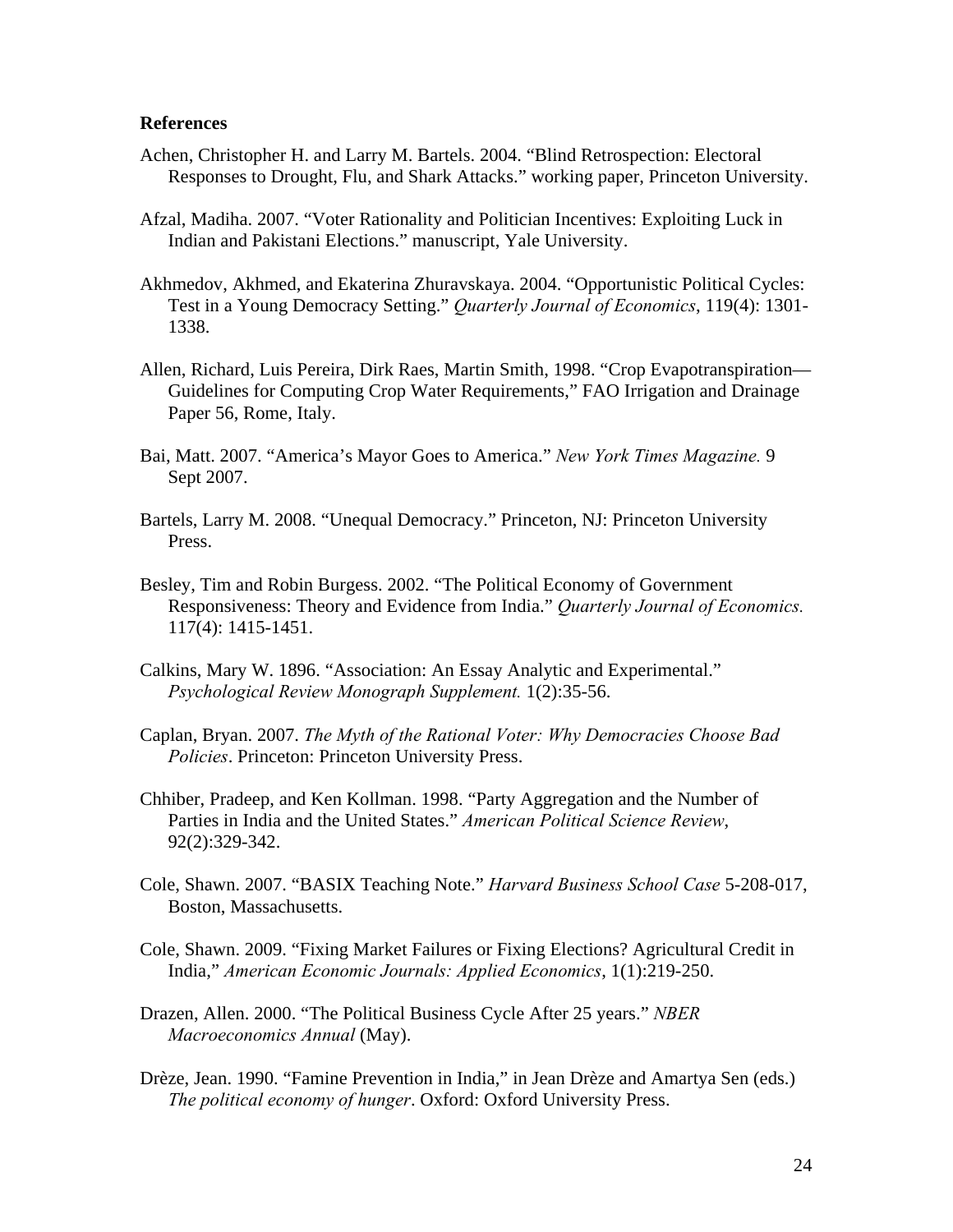### **References**

- Achen, Christopher H. and Larry M. Bartels. 2004. "Blind Retrospection: Electoral Responses to Drought, Flu, and Shark Attacks." working paper, Princeton University.
- Afzal, Madiha. 2007. "Voter Rationality and Politician Incentives: Exploiting Luck in Indian and Pakistani Elections." manuscript, Yale University.
- Akhmedov, Akhmed, and Ekaterina Zhuravskaya. 2004. "Opportunistic Political Cycles: Test in a Young Democracy Setting." *Quarterly Journal of Economics*, 119(4): 1301- 1338.
- Allen, Richard, Luis Pereira, Dirk Raes, Martin Smith, 1998. "Crop Evapotranspiration— Guidelines for Computing Crop Water Requirements," FAO Irrigation and Drainage Paper 56, Rome, Italy.
- Bai, Matt. 2007. "America's Mayor Goes to America." *New York Times Magazine.* 9 Sept 2007.
- Bartels, Larry M. 2008. "Unequal Democracy." Princeton, NJ: Princeton University Press.
- Besley, Tim and Robin Burgess. 2002. "The Political Economy of Government Responsiveness: Theory and Evidence from India." *Quarterly Journal of Economics.* 117(4): 1415-1451.
- Calkins, Mary W. 1896. "Association: An Essay Analytic and Experimental." *Psychological Review Monograph Supplement.* 1(2):35-56.
- Caplan, Bryan. 2007. *The Myth of the Rational Voter: Why Democracies Choose Bad Policies*. Princeton: Princeton University Press.
- Chhiber, Pradeep, and Ken Kollman. 1998. "Party Aggregation and the Number of Parties in India and the United States." *American Political Science Review*, 92(2):329-342.
- Cole, Shawn. 2007. "BASIX Teaching Note." *Harvard Business School Case* 5-208-017, Boston, Massachusetts.
- Cole, Shawn. 2009. "Fixing Market Failures or Fixing Elections? Agricultural Credit in India," *American Economic Journals: Applied Economics*, 1(1):219-250.
- Drazen, Allen. 2000. "The Political Business Cycle After 25 years." *NBER Macroeconomics Annual* (May).
- Drèze, Jean. 1990. "Famine Prevention in India," in Jean Drèze and Amartya Sen (eds.) *The political economy of hunger*. Oxford: Oxford University Press.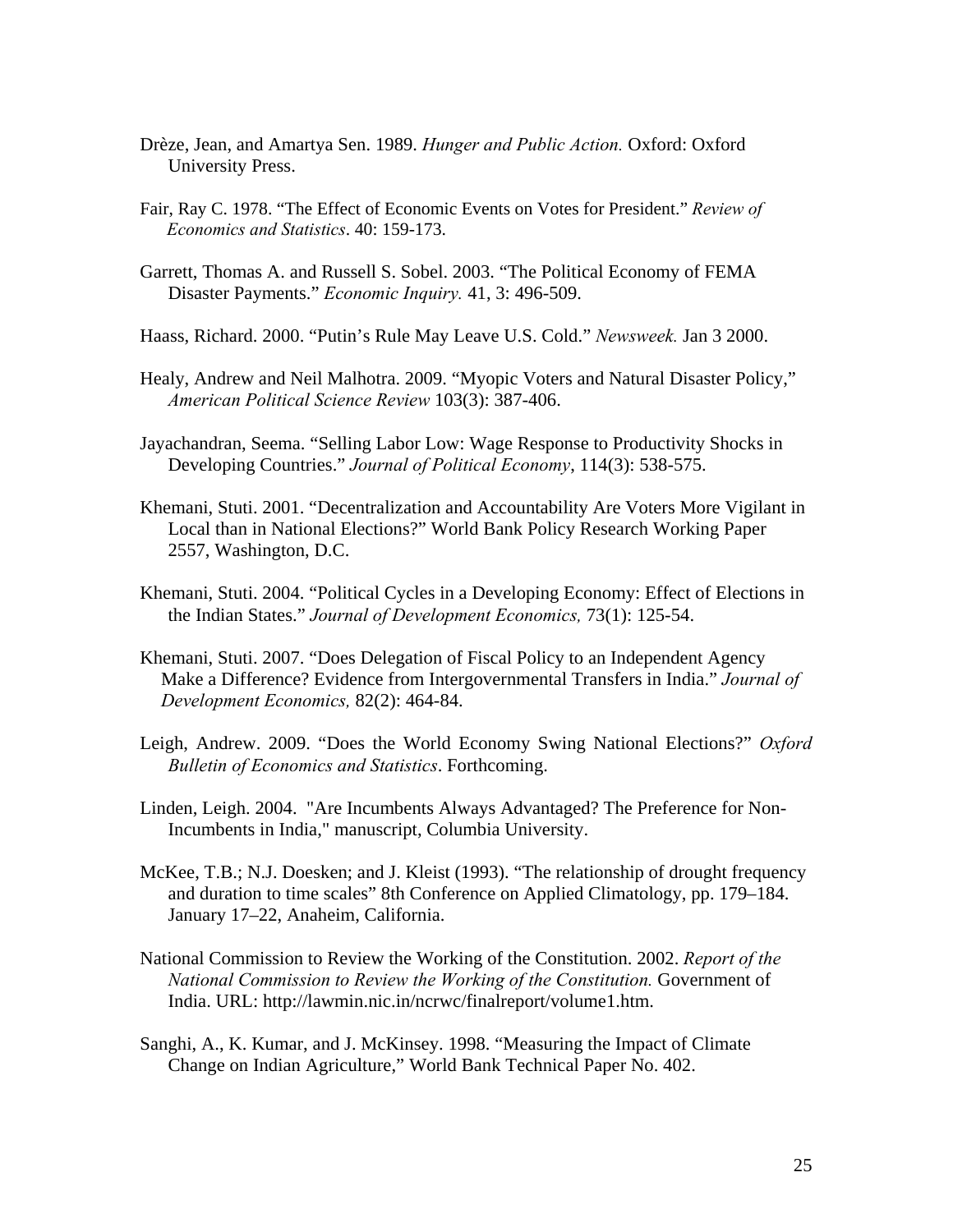- Drèze, Jean, and Amartya Sen. 1989. *Hunger and Public Action.* Oxford: Oxford University Press.
- Fair, Ray C. 1978. "The Effect of Economic Events on Votes for President." *Review of Economics and Statistics*. 40: 159-173.
- Garrett, Thomas A. and Russell S. Sobel. 2003. "The Political Economy of FEMA Disaster Payments." *Economic Inquiry.* 41, 3: 496-509.

Haass, Richard. 2000. "Putin's Rule May Leave U.S. Cold." *Newsweek.* Jan 3 2000.

- Healy, Andrew and Neil Malhotra. 2009. "Myopic Voters and Natural Disaster Policy," *American Political Science Review* 103(3): 387-406.
- Jayachandran, Seema. "Selling Labor Low: Wage Response to Productivity Shocks in Developing Countries." *Journal of Political Economy*, 114(3): 538-575.
- Khemani, Stuti. 2001. "Decentralization and Accountability Are Voters More Vigilant in Local than in National Elections?" World Bank Policy Research Working Paper 2557, Washington, D.C.
- Khemani, Stuti. 2004. "Political Cycles in a Developing Economy: Effect of Elections in the Indian States." *Journal of Development Economics,* 73(1): 125-54.
- Khemani, Stuti. 2007. "Does Delegation of Fiscal Policy to an Independent Agency Make a Difference? Evidence from Intergovernmental Transfers in India." *Journal of Development Economics,* 82(2): 464-84.
- Leigh, Andrew. 2009. "Does the World Economy Swing National Elections?" *Oxford Bulletin of Economics and Statistics*. Forthcoming.
- Linden, Leigh. 2004. "Are Incumbents Always Advantaged? The Preference for Non-Incumbents in India," manuscript, Columbia University.
- McKee, T.B.; N.J. Doesken; and J. Kleist (1993). "The relationship of drought frequency and duration to time scales" 8th Conference on Applied Climatology, pp. 179–184. January 17–22, Anaheim, California.
- National Commission to Review the Working of the Constitution. 2002. *Report of the National Commission to Review the Working of the Constitution.* Government of India. URL: http://lawmin.nic.in/ncrwc/finalreport/volume1.htm.
- Sanghi, A., K. Kumar, and J. McKinsey. 1998. "Measuring the Impact of Climate Change on Indian Agriculture," World Bank Technical Paper No. 402.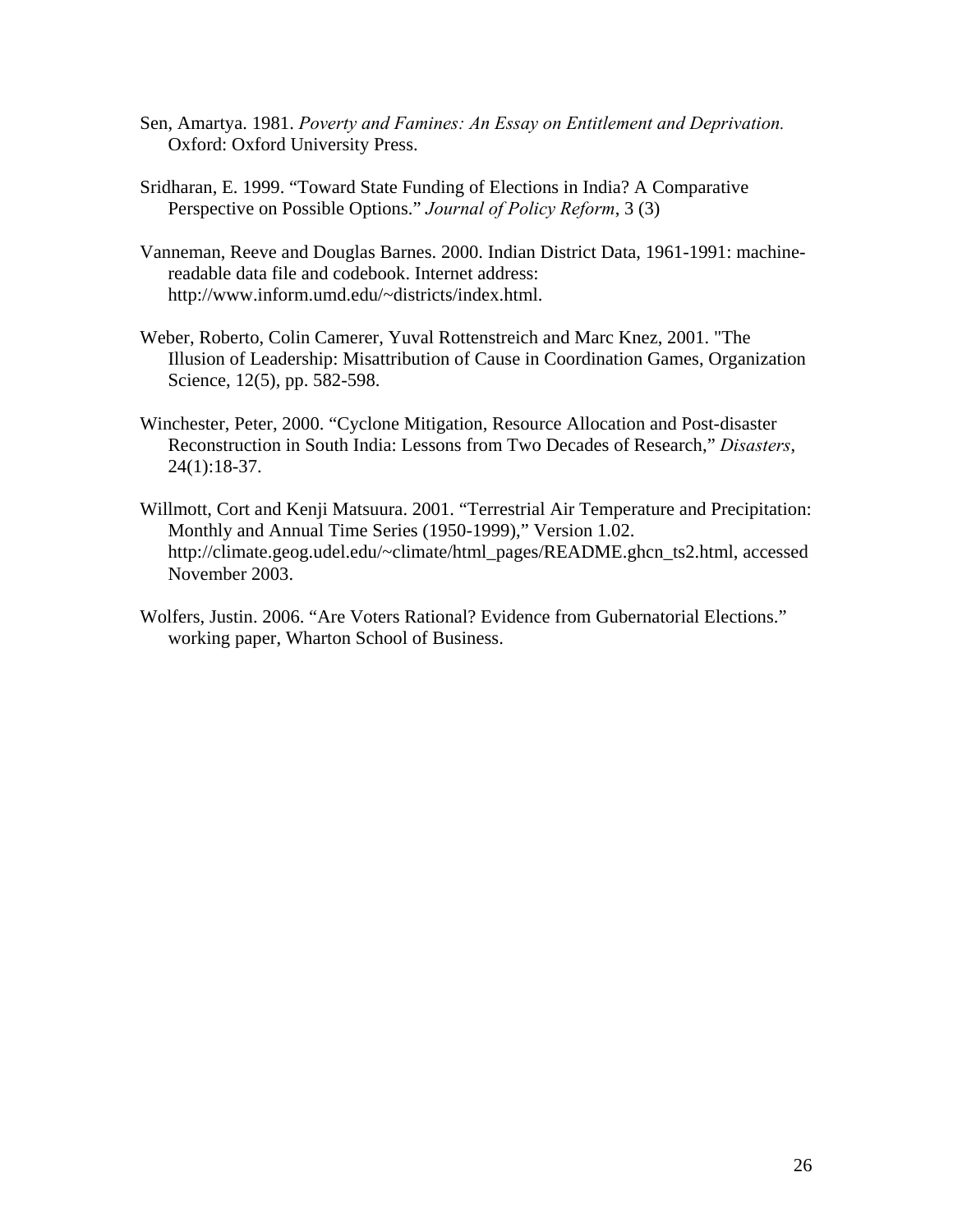- Sen, Amartya. 1981. *Poverty and Famines: An Essay on Entitlement and Deprivation.* Oxford: Oxford University Press.
- Sridharan, E. 1999. "Toward State Funding of Elections in India? A Comparative Perspective on Possible Options." *Journal of Policy Reform*, 3 (3)
- Vanneman, Reeve and Douglas Barnes. 2000. Indian District Data, 1961-1991: machinereadable data file and codebook. Internet address: http://www.inform.umd.edu/~districts/index.html.
- Weber, Roberto, Colin Camerer, Yuval Rottenstreich and Marc Knez, 2001. "The Illusion of Leadership: Misattribution of Cause in Coordination Games, Organization Science, 12(5), pp. 582-598.
- Winchester, Peter, 2000. "Cyclone Mitigation, Resource Allocation and Post-disaster Reconstruction in South India: Lessons from Two Decades of Research," *Disasters*, 24(1):18-37.
- Willmott, Cort and Kenji Matsuura. 2001. "Terrestrial Air Temperature and Precipitation: Monthly and Annual Time Series (1950-1999)," Version 1.02. http://climate.geog.udel.edu/~climate/html\_pages/README.ghcn\_ts2.html, accessed November 2003.
- Wolfers, Justin. 2006. "Are Voters Rational? Evidence from Gubernatorial Elections." working paper, Wharton School of Business.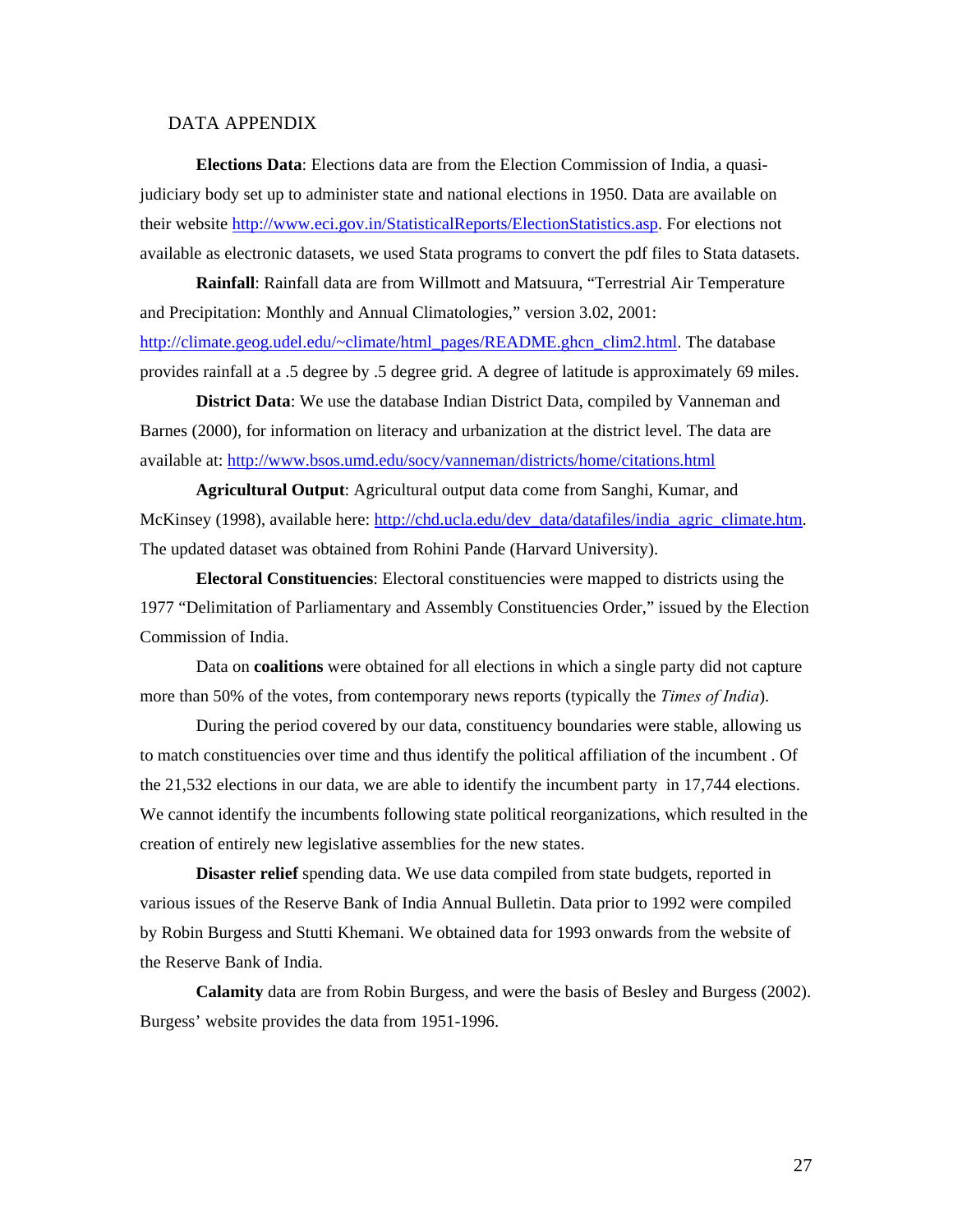#### DATA APPENDIX

**Elections Data**: Elections data are from the Election Commission of India, a quasijudiciary body set up to administer state and national elections in 1950. Data are available on their website [http://www.eci.gov.in/StatisticalReports/ElectionStatistics.asp.](http://www.eci.gov.in/StatisticalReports/ElectionStatistics.asp) For elections not available as electronic datasets, we used Stata programs to convert the pdf files to Stata datasets.

**Rainfall**: Rainfall data are from Willmott and Matsuura, "Terrestrial Air Temperature and Precipitation: Monthly and Annual Climatologies," version 3.02, 2001: [http://climate.geog.udel.edu/~climate/html\\_pages/README.ghcn\\_clim2.html](http://climate.geog.udel.edu/%7Eclimate/html_pages/README.ghcn_clim2.html). The database provides rainfall at a .5 degree by .5 degree grid. A degree of latitude is approximately 69 miles.

**District Data**: We use the database Indian District Data, compiled by Vanneman and Barnes (2000), for information on literacy and urbanization at the district level. The data are available at:<http://www.bsos.umd.edu/socy/vanneman/districts/home/citations.html>

**Agricultural Output**: Agricultural output data come from Sanghi, Kumar, and McKinsey (1998), available here: [http://chd.ucla.edu/dev\\_data/datafiles/india\\_agric\\_climate.htm.](http://chd.ucla.edu/dev_data/datafiles/india_agric_climate.htm) The updated dataset was obtained from Rohini Pande (Harvard University).

**Electoral Constituencies**: Electoral constituencies were mapped to districts using the 1977 "Delimitation of Parliamentary and Assembly Constituencies Order," issued by the Election Commission of India.

Data on **coalitions** were obtained for all elections in which a single party did not capture more than 50% of the votes, from contemporary news reports (typically the *Times of India*).

During the period covered by our data, constituency boundaries were stable, allowing us to match constituencies over time and thus identify the political affiliation of the incumbent . Of the 21,532 elections in our data, we are able to identify the incumbent party in 17,744 elections. We cannot identify the incumbents following state political reorganizations, which resulted in the creation of entirely new legislative assemblies for the new states.

**Disaster relief** spending data. We use data compiled from state budgets, reported in various issues of the Reserve Bank of India Annual Bulletin. Data prior to 1992 were compiled by Robin Burgess and Stutti Khemani. We obtained data for 1993 onwards from the website of the Reserve Bank of India.

**Calamity** data are from Robin Burgess, and were the basis of Besley and Burgess (2002). Burgess' website provides the data from 1951-1996.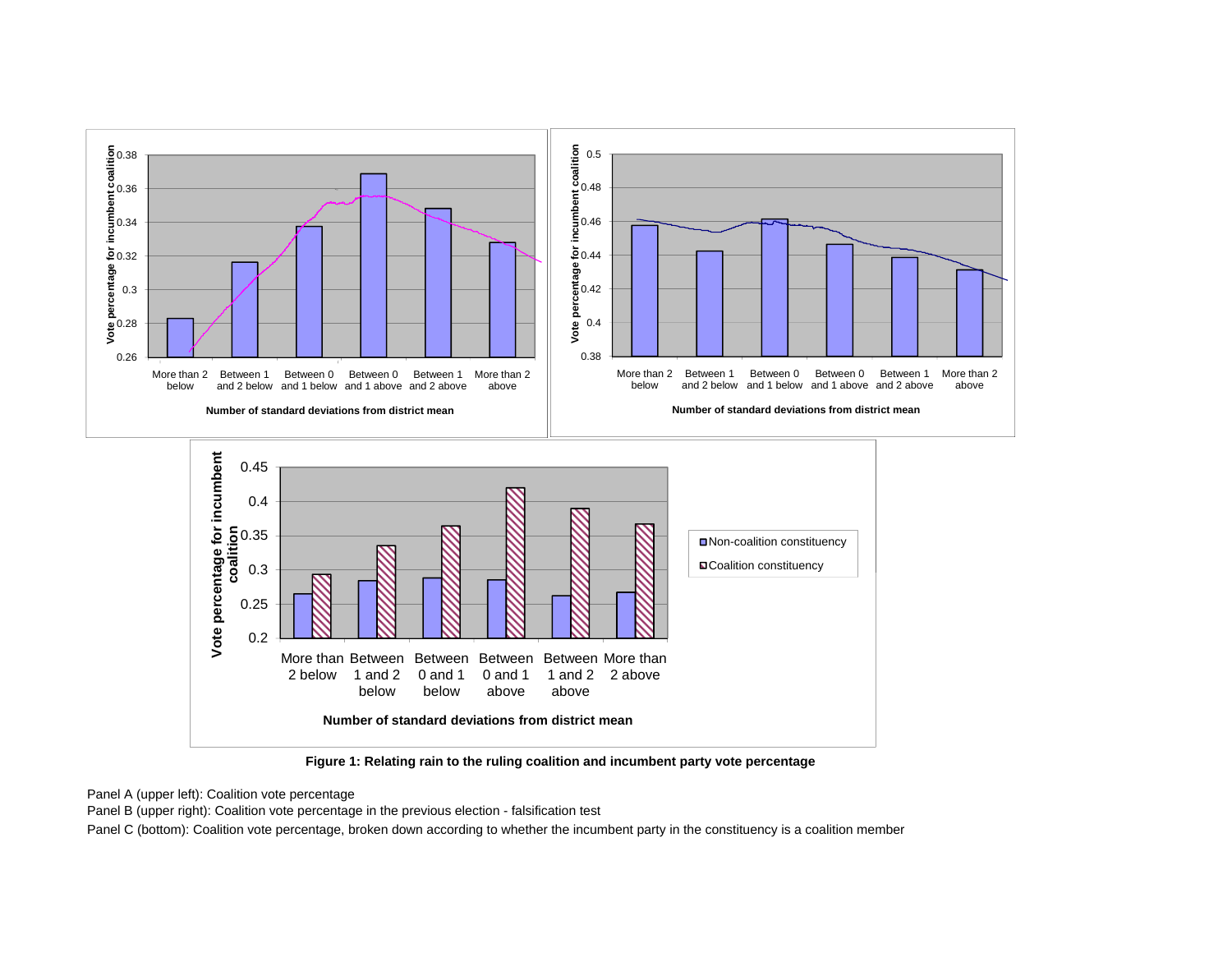

**Figure 1: Relating rain to the ruling coalition and incumbent party vote percentage**

Panel A (upper left): Coalition vote percentage

Panel B (upper right): Coalition vote percentage in the previous election - falsification test

Panel C (bottom): Coalition vote percentage, broken down according to whether the incumbent party in the constituency is a coalition member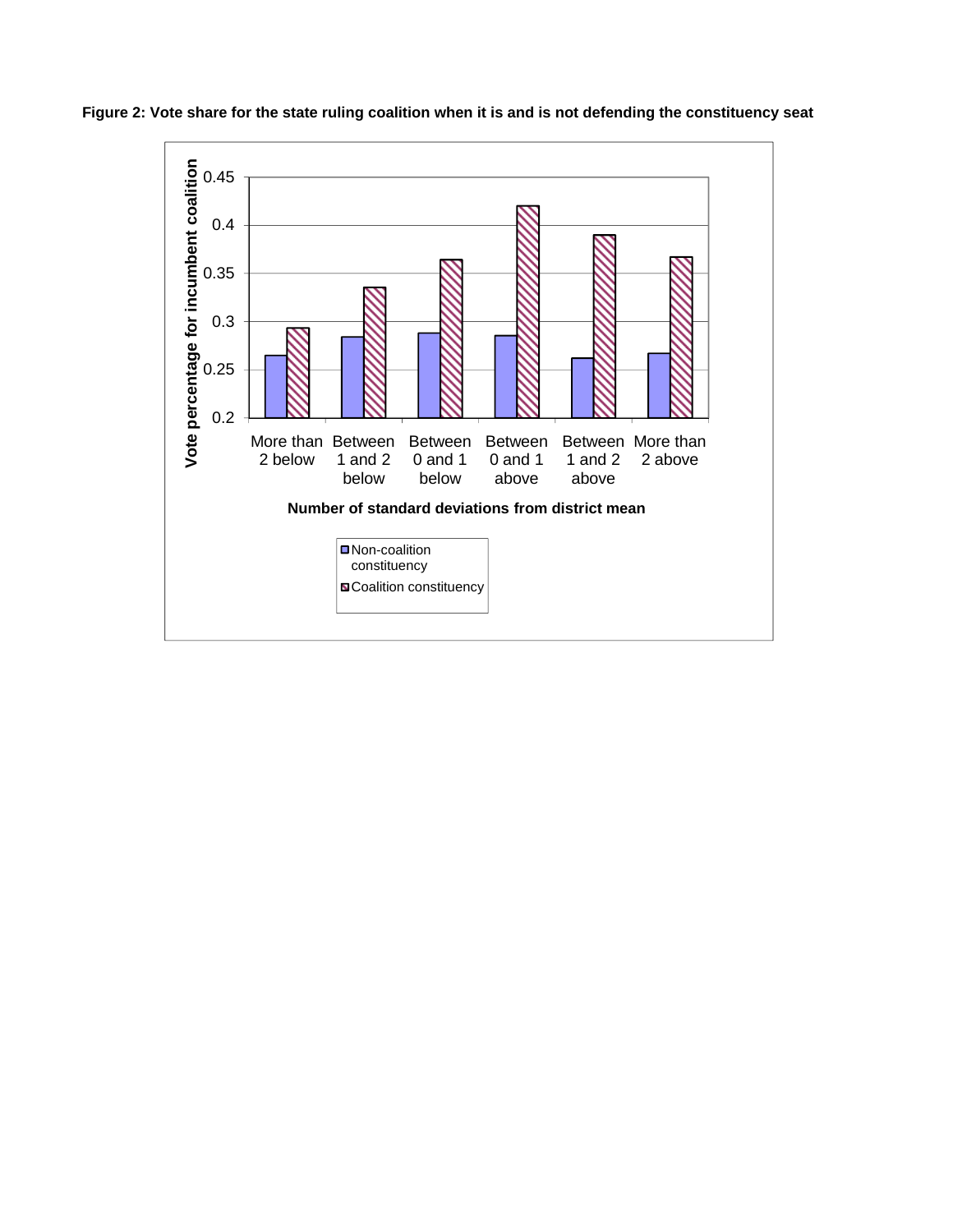

**Figure 2: Vote share for the state ruling coalition when it is and is not defending the constituency seat**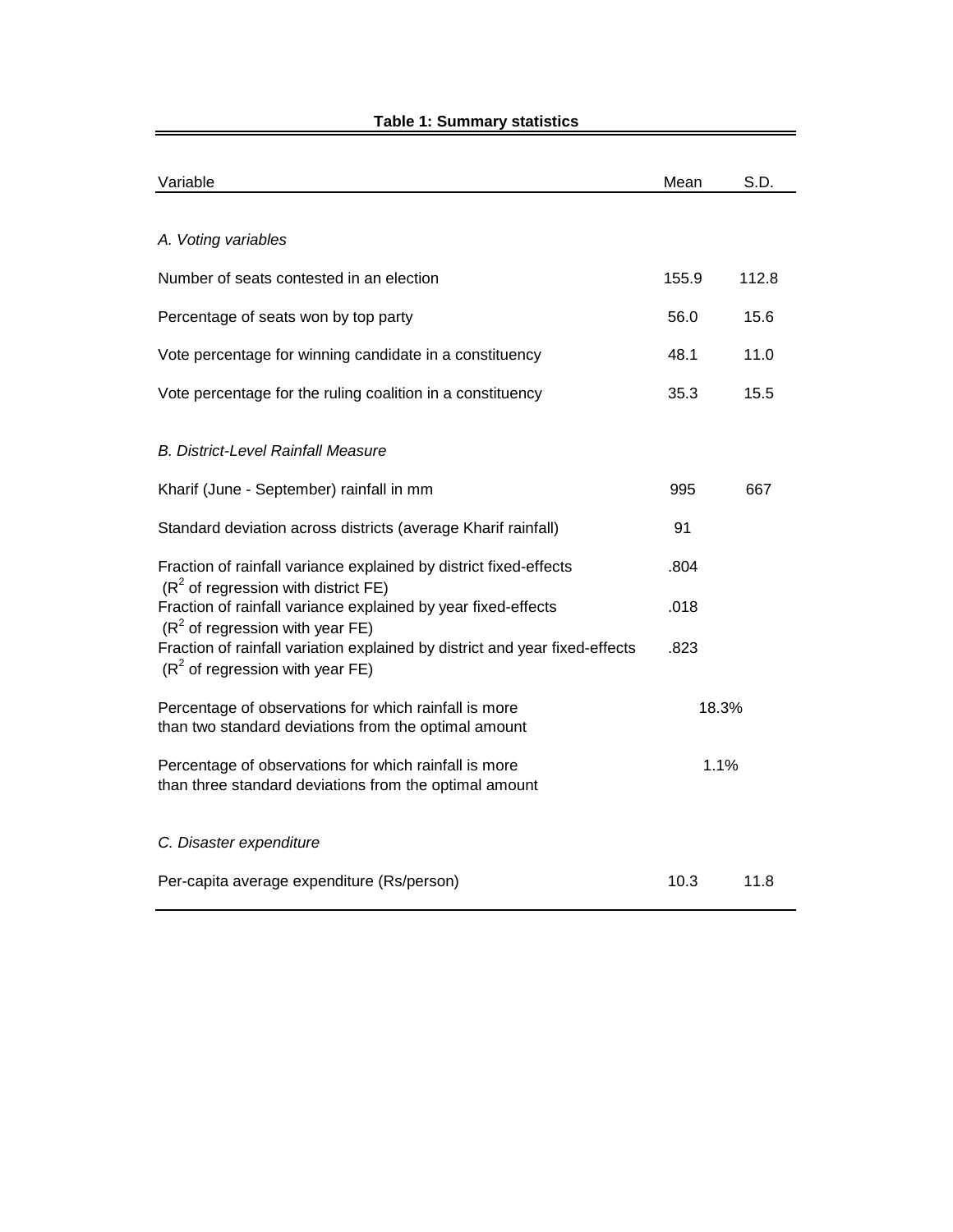| Variable                                                                                                         | Mean  | S.D.  |  |
|------------------------------------------------------------------------------------------------------------------|-------|-------|--|
|                                                                                                                  |       |       |  |
| A. Voting variables                                                                                              |       |       |  |
| Number of seats contested in an election                                                                         | 155.9 | 112.8 |  |
| Percentage of seats won by top party                                                                             | 56.0  | 15.6  |  |
| Vote percentage for winning candidate in a constituency                                                          | 48.1  | 11.0  |  |
| Vote percentage for the ruling coalition in a constituency                                                       | 35.3  | 15.5  |  |
| <b>B. District-Level Rainfall Measure</b>                                                                        |       |       |  |
| Kharif (June - September) rainfall in mm                                                                         | 995   | 667   |  |
| Standard deviation across districts (average Kharif rainfall)                                                    | 91    |       |  |
| Fraction of rainfall variance explained by district fixed-effects<br>$(R2$ of regression with district FE)       | .804  |       |  |
| Fraction of rainfall variance explained by year fixed-effects<br>$(R2$ of regression with year FE)               | .018  |       |  |
| Fraction of rainfall variation explained by district and year fixed-effects<br>$(R2$ of regression with year FE) | .823  |       |  |
| Percentage of observations for which rainfall is more<br>than two standard deviations from the optimal amount    | 18.3% |       |  |
| Percentage of observations for which rainfall is more<br>than three standard deviations from the optimal amount  | 1.1%  |       |  |
| C. Disaster expenditure                                                                                          |       |       |  |
| Per-capita average expenditure (Rs/person)                                                                       | 10.3  | 11.8  |  |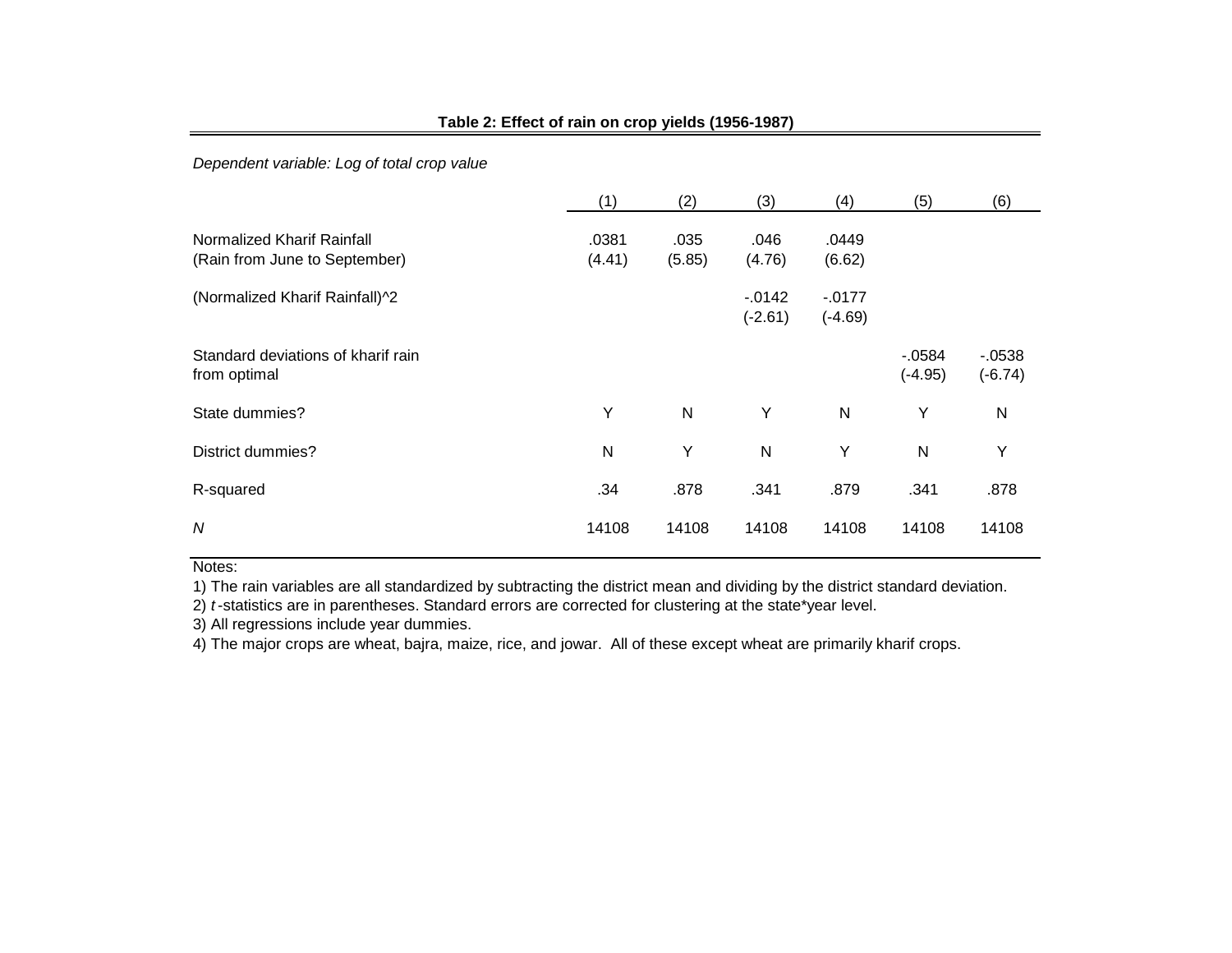|                                                             | (1)             | (2)            | (3)                    | (4)                  | (5)                  | (6)                  |
|-------------------------------------------------------------|-----------------|----------------|------------------------|----------------------|----------------------|----------------------|
| Normalized Kharif Rainfall<br>(Rain from June to September) | .0381<br>(4.41) | .035<br>(5.85) | .046<br>(4.76)         | .0449<br>(6.62)      |                      |                      |
| (Normalized Kharif Rainfall)^2                              |                 |                | $-0.0142$<br>$(-2.61)$ | $-0177$<br>$(-4.69)$ |                      |                      |
| Standard deviations of kharif rain<br>from optimal          |                 |                |                        |                      | $-0584$<br>$(-4.95)$ | $-0538$<br>$(-6.74)$ |
| State dummies?                                              | Y               | $\mathsf{N}$   | Y                      | N                    | Υ                    | $\mathsf{N}$         |
| District dummies?                                           | N               | Y              | $\mathsf{N}$           | Y                    | N                    | Υ                    |
| R-squared                                                   | .34             | .878           | .341                   | .879                 | .341                 | .878                 |
| N                                                           | 14108           | 14108          | 14108                  | 14108                | 14108                | 14108                |

# **Table 2: Effect of rain on crop yields (1956-1987)**

*Dependent variable: Log of total crop value*

#### Notes:

1) The rain variables are all standardized by subtracting the district mean and dividing by the district standard deviation.

2) *t* -statistics are in parentheses. Standard errors are corrected for clustering at the state\*year level.

3) All regressions include year dummies.

4) The major crops are wheat, bajra, maize, rice, and jowar. All of these except wheat are primarily kharif crops.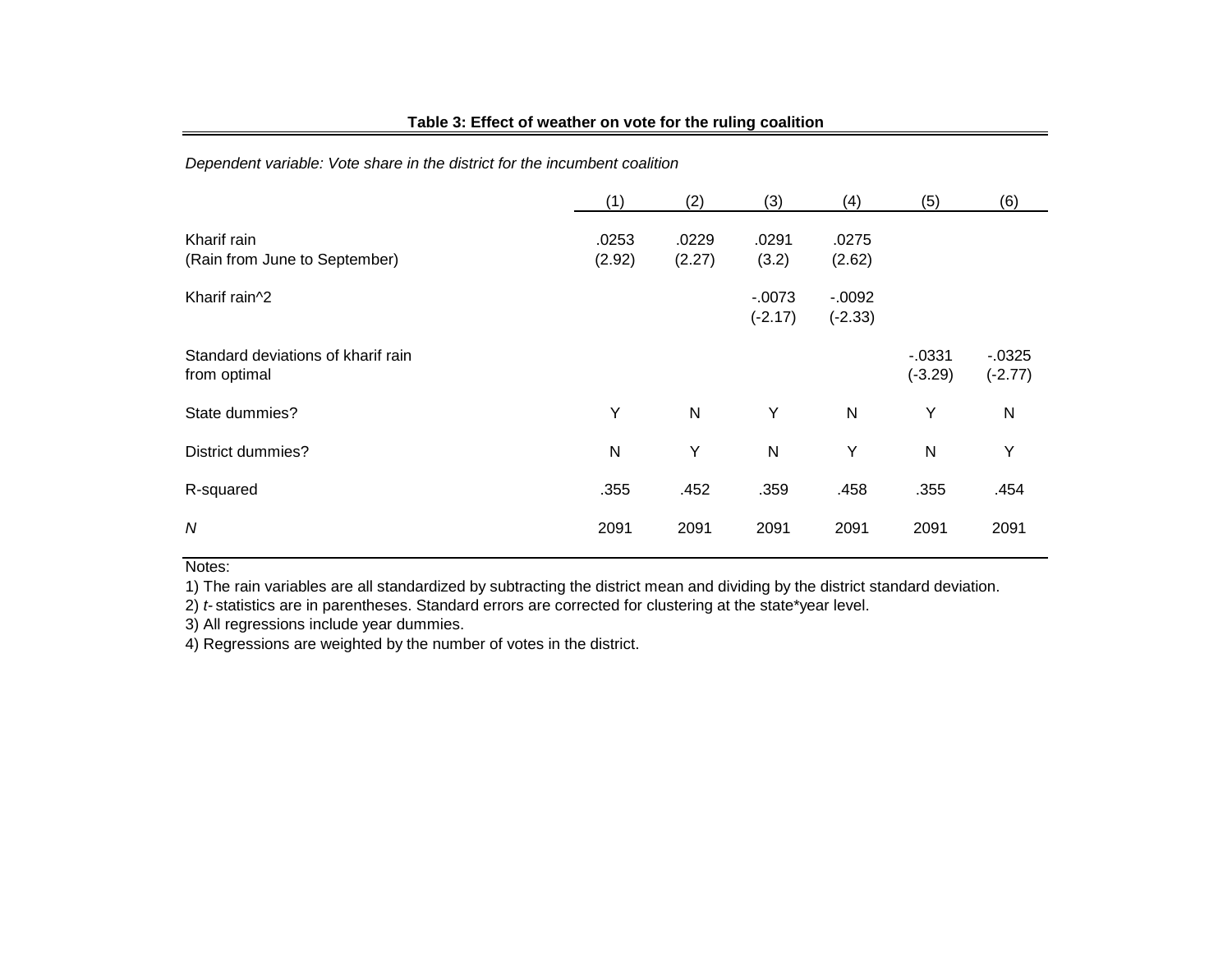## **Table 3: Effect of weather on vote for the ruling coalition**

*Dependent variable: Vote share in the district for the incumbent coalition*

|                                                    | (1)             | (2)             | (3)                    | (4)                   | (5)                    | (6)                    |
|----------------------------------------------------|-----------------|-----------------|------------------------|-----------------------|------------------------|------------------------|
| Kharif rain<br>(Rain from June to September)       | .0253<br>(2.92) | .0229<br>(2.27) | .0291<br>(3.2)         | .0275<br>(2.62)       |                        |                        |
| Kharif rain^2                                      |                 |                 | $-0.0073$<br>$(-2.17)$ | $-0.092$<br>$(-2.33)$ |                        |                        |
| Standard deviations of kharif rain<br>from optimal |                 |                 |                        |                       | $-0.0331$<br>$(-3.29)$ | $-0.0325$<br>$(-2.77)$ |
| State dummies?                                     | Y               | N               | Y                      | $\mathsf{N}$          | Y                      | $\mathsf{N}$           |
| <b>District dummies?</b>                           | N               | Υ               | $\mathsf{N}$           | Υ                     | $\mathsf{N}$           | Y                      |
| R-squared                                          | .355            | .452            | .359                   | .458                  | .355                   | .454                   |
| $\boldsymbol{N}$                                   | 2091            | 2091            | 2091                   | 2091                  | 2091                   | 2091                   |

## Notes:

1) The rain variables are all standardized by subtracting the district mean and dividing by the district standard deviation.

2) *t-* statistics are in parentheses. Standard errors are corrected for clustering at the state\*year level.

3) All regressions include year dummies.

4) Regressions are weighted by the number of votes in the district.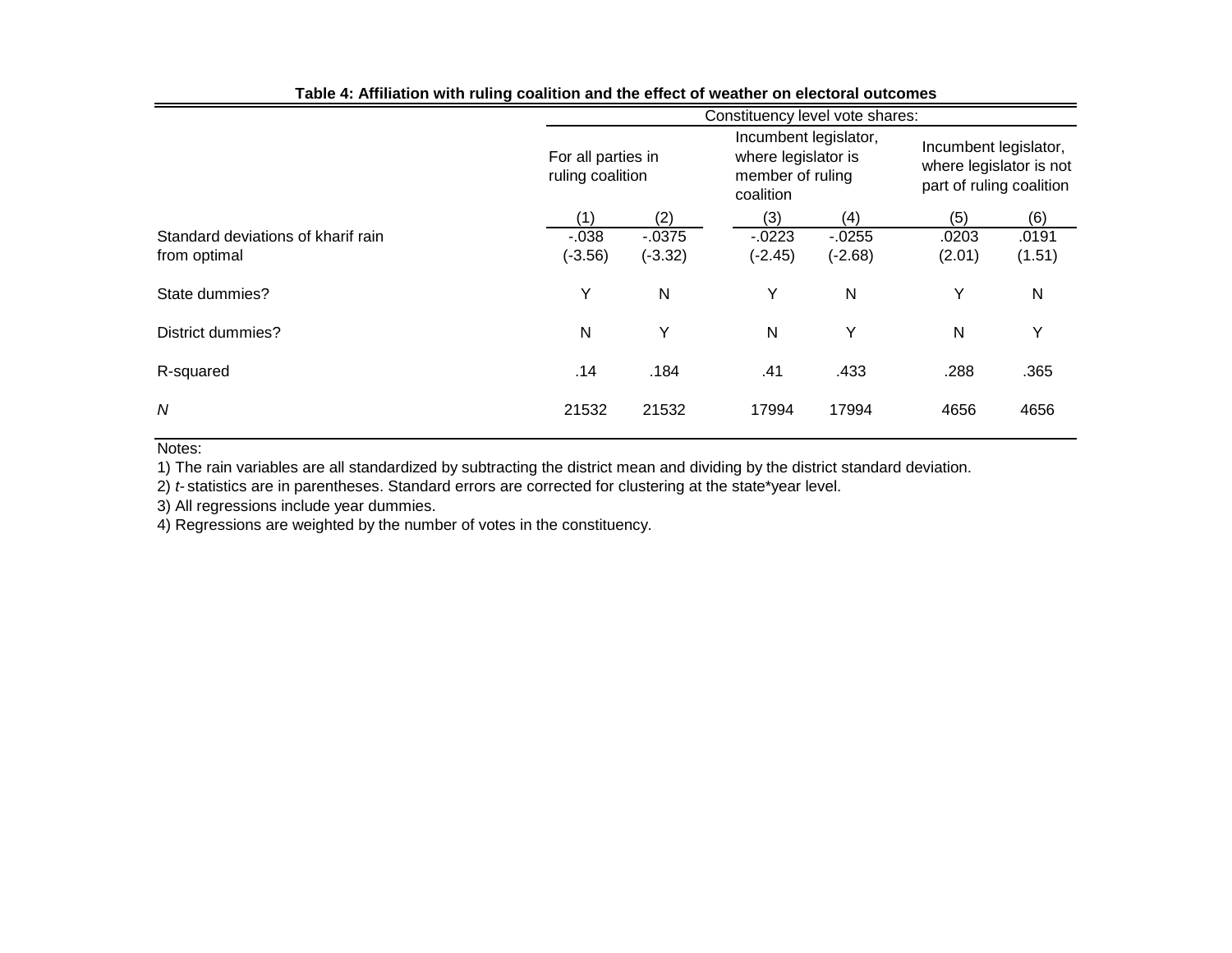| ----- ອ -                          | Constituency level vote shares:        |           |                                                                               |           |                                                                              |           |  |  |  |  |
|------------------------------------|----------------------------------------|-----------|-------------------------------------------------------------------------------|-----------|------------------------------------------------------------------------------|-----------|--|--|--|--|
|                                    | For all parties in<br>ruling coalition |           | Incumbent legislator,<br>where legislator is<br>member of ruling<br>coalition |           | Incumbent legislator,<br>where legislator is not<br>part of ruling coalition |           |  |  |  |  |
|                                    | (1)                                    | (2)       | (3)                                                                           | (4)       | (5)                                                                          | (6)       |  |  |  |  |
| Standard deviations of kharif rain | $-0.038$                               | $-0.0375$ | $-0223$                                                                       | $-0.0255$ | .0203                                                                        | .0191     |  |  |  |  |
| from optimal                       | $(-3.56)$                              | $(-3.32)$ | $(-2.45)$                                                                     | $(-2.68)$ | (2.01)                                                                       | (1.51)    |  |  |  |  |
| State dummies?                     | Y                                      | N         | Y                                                                             | N         | Y                                                                            | ${\sf N}$ |  |  |  |  |
| <b>District dummies?</b>           | N                                      | Υ         | N                                                                             | Υ         | N                                                                            | Υ         |  |  |  |  |
| R-squared                          | .14                                    | .184      | .41                                                                           | .433      | .288                                                                         | .365      |  |  |  |  |
| N                                  | 21532                                  | 21532     | 17994                                                                         | 17994     | 4656                                                                         | 4656      |  |  |  |  |

#### **Table 4: Affiliation with ruling coalition and the effect of weather on electoral outcomes**

#### Notes:

1) The rain variables are all standardized by subtracting the district mean and dividing by the district standard deviation.

2) *t-* statistics are in parentheses. Standard errors are corrected for clustering at the state\*year level.

3) All regressions include year dummies.

4) Regressions are weighted by the number of votes in the constituency.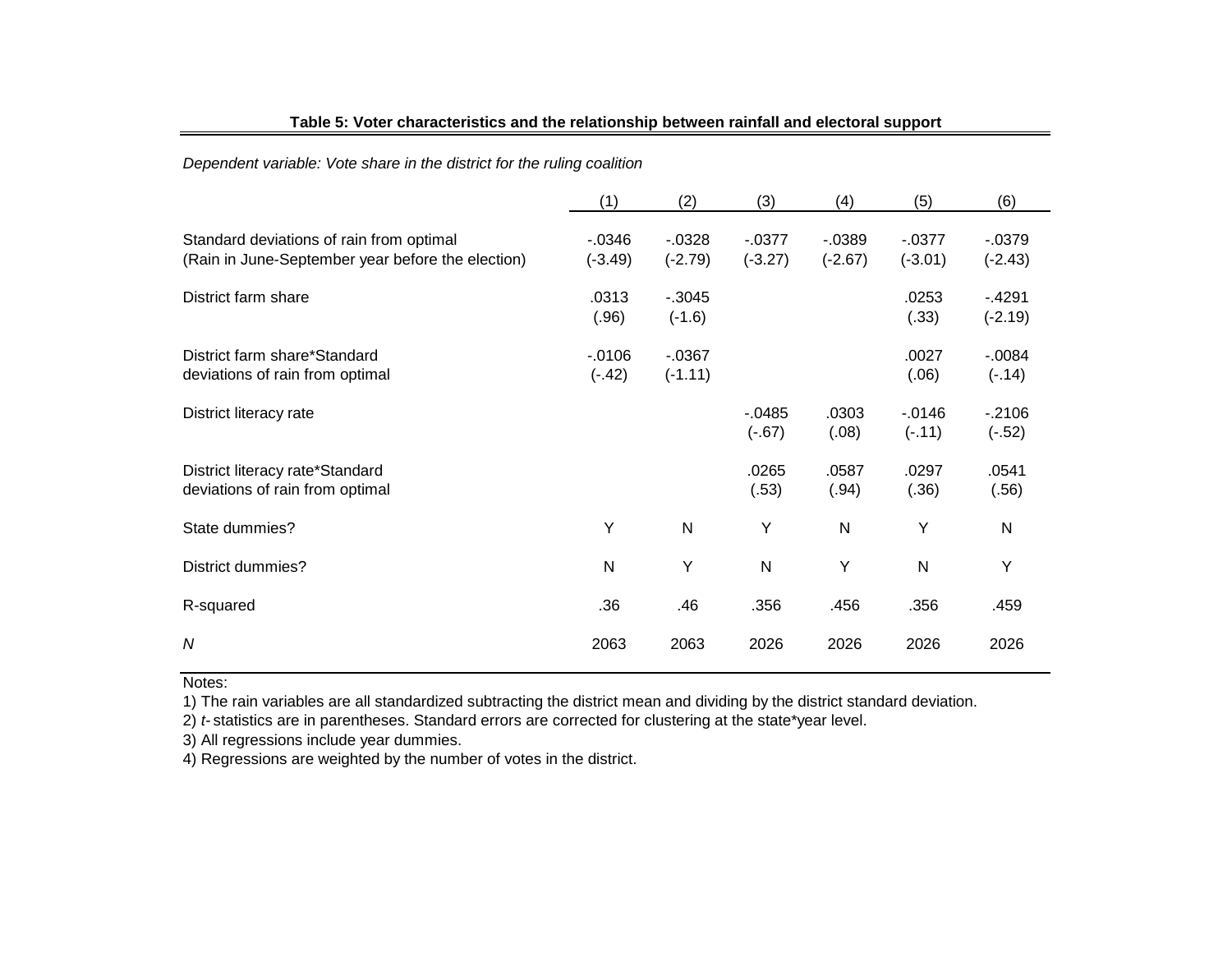|                                                                                               | (1)                    | (2)                    | (3)                    | (4)                    | (5)                    | (6)                    |
|-----------------------------------------------------------------------------------------------|------------------------|------------------------|------------------------|------------------------|------------------------|------------------------|
| Standard deviations of rain from optimal<br>(Rain in June-September year before the election) | $-0.0346$<br>$(-3.49)$ | $-0.0328$<br>$(-2.79)$ | $-0.0377$<br>$(-3.27)$ | $-0.0389$<br>$(-2.67)$ | $-0.0377$<br>$(-3.01)$ | $-0.0379$<br>$(-2.43)$ |
| District farm share                                                                           | .0313<br>(.96)         | $-0.3045$<br>$(-1.6)$  |                        |                        | .0253<br>(.33)         | $-4291$<br>$(-2.19)$   |
| District farm share*Standard<br>deviations of rain from optimal                               | $-0.0106$<br>$(-.42)$  | $-0.0367$<br>$(-1.11)$ |                        |                        | .0027<br>(.06)         | $-0.0084$<br>$(-.14)$  |
| District literacy rate                                                                        |                        |                        | $-0.0485$<br>$(-.67)$  | .0303<br>(.08)         | $-0.0146$<br>$(-.11)$  | $-2106$<br>$(-.52)$    |
| District literacy rate*Standard<br>deviations of rain from optimal                            |                        |                        | .0265<br>(.53)         | .0587<br>(.94)         | .0297<br>(.36)         | .0541<br>(.56)         |
| State dummies?                                                                                | Υ                      | ${\sf N}$              | Y                      | $\mathsf{N}$           | Υ                      | $\mathsf{N}$           |
| <b>District dummies?</b>                                                                      | N                      | Υ                      | $\mathsf{N}$           | Y                      | $\mathsf{N}$           | Y                      |
| R-squared                                                                                     | .36                    | .46                    | .356                   | .456                   | .356                   | .459                   |
| $\boldsymbol{N}$                                                                              | 2063                   | 2063                   | 2026                   | 2026                   | 2026                   | 2026                   |

# **Table 5: Voter characteristics and the relationship between rainfall and electoral support**

*Dependent variable: Vote share in the district for the ruling coalition*

Notes:

1) The rain variables are all standardized subtracting the district mean and dividing by the district standard deviation.

2) *t-* statistics are in parentheses. Standard errors are corrected for clustering at the state\*year level.

3) All regressions include year dummies.

4) Regressions are weighted by the number of votes in the district.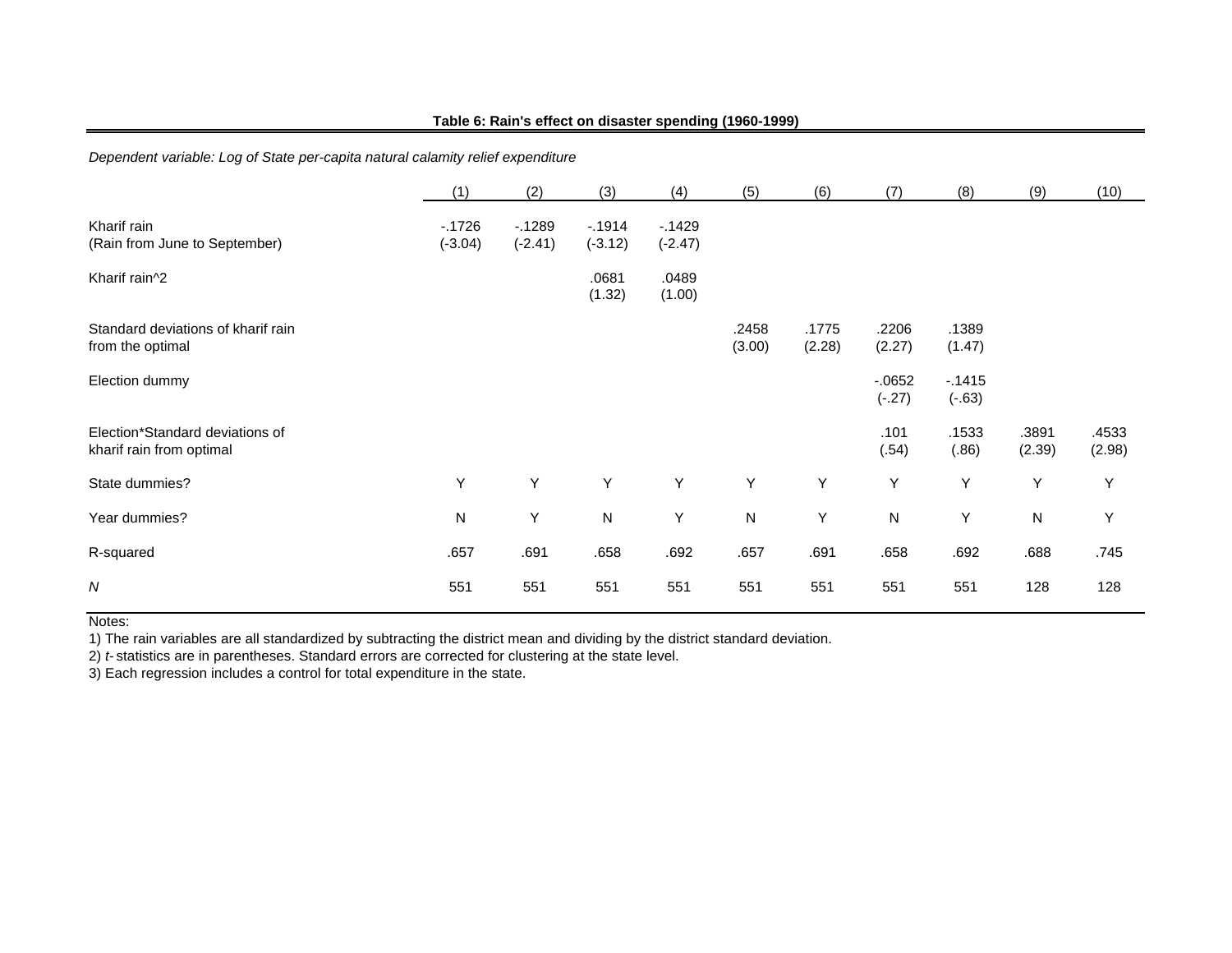#### **Table 6: Rain's effect on disaster spending (1960-1999)**

*Dependent variable: Log of State per-capita natural calamity relief expenditure*

|                                                             | (1)                  | (2)                  | (3)                  | (4)                  | (5)             | (6)             | (7)                 | (8)                 | (9)             | (10)            |
|-------------------------------------------------------------|----------------------|----------------------|----------------------|----------------------|-----------------|-----------------|---------------------|---------------------|-----------------|-----------------|
| Kharif rain<br>(Rain from June to September)                | $-1726$<br>$(-3.04)$ | $-1289$<br>$(-2.41)$ | $-1914$<br>$(-3.12)$ | $-1429$<br>$(-2.47)$ |                 |                 |                     |                     |                 |                 |
| Kharif rain^2                                               |                      |                      | .0681<br>(1.32)      | .0489<br>(1.00)      |                 |                 |                     |                     |                 |                 |
| Standard deviations of kharif rain<br>from the optimal      |                      |                      |                      |                      | .2458<br>(3.00) | .1775<br>(2.28) | .2206<br>(2.27)     | .1389<br>(1.47)     |                 |                 |
| Election dummy                                              |                      |                      |                      |                      |                 |                 | $-0652$<br>$(-.27)$ | $-1415$<br>$(-.63)$ |                 |                 |
| Election*Standard deviations of<br>kharif rain from optimal |                      |                      |                      |                      |                 |                 | .101<br>(.54)       | .1533<br>(.86)      | .3891<br>(2.39) | .4533<br>(2.98) |
| State dummies?                                              | Υ                    | Υ                    | Y                    | Y                    | Υ               | Υ               | Υ                   | Υ                   | Y               | Υ               |
| Year dummies?                                               | N                    | Y                    | ${\sf N}$            | Υ                    | N               | Υ               | $\mathsf{N}$        | Υ                   | $\mathsf{N}$    | Y               |
| R-squared                                                   | .657                 | .691                 | .658                 | .692                 | .657            | .691            | .658                | .692                | .688            | .745            |
| $\boldsymbol{N}$                                            | 551                  | 551                  | 551                  | 551                  | 551             | 551             | 551                 | 551                 | 128             | 128             |

Notes:

1) The rain variables are all standardized by subtracting the district mean and dividing by the district standard deviation.

2) *t-* statistics are in parentheses. Standard errors are corrected for clustering at the state level.

3) Each regression includes a control for total expenditure in the state.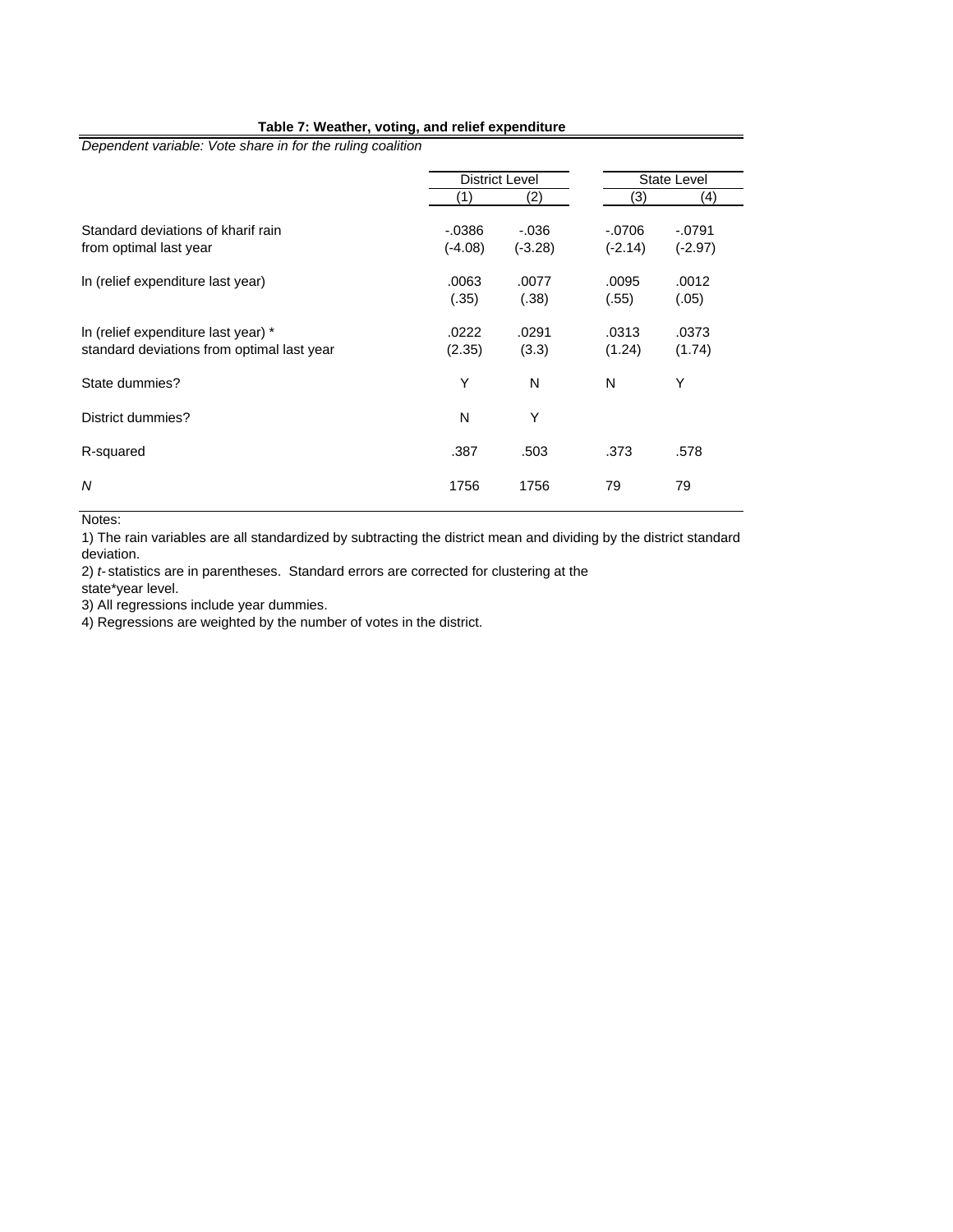#### **Table 7: Weather, voting, and relief expenditure**

*Dependent variable: Vote share in for the ruling coalition*

|                                                                                   | <b>District Level</b>  |                       |                       | State Level          |
|-----------------------------------------------------------------------------------|------------------------|-----------------------|-----------------------|----------------------|
|                                                                                   |                        | (2)                   | (3)                   | (4)                  |
| Standard deviations of kharif rain<br>from optimal last year                      | $-0.0386$<br>$(-4.08)$ | $-0.036$<br>$(-3.28)$ | $-.0706$<br>$(-2.14)$ | $-0791$<br>$(-2.97)$ |
| In (relief expenditure last year)                                                 | .0063<br>(.35)         | .0077<br>(.38)        | .0095<br>(.55)        | .0012<br>(.05)       |
| In (relief expenditure last year) *<br>standard deviations from optimal last year | .0222<br>(2.35)        | .0291<br>(3.3)        | .0313<br>(1.24)       | .0373<br>(1.74)      |
| State dummies?                                                                    | Υ                      | N                     | N                     | Υ                    |
| District dummies?                                                                 | N                      | Υ                     |                       |                      |
| R-squared                                                                         | .387                   | .503                  | .373                  | .578                 |
| N                                                                                 | 1756                   | 1756                  | 79                    | 79                   |

Notes:

1) The rain variables are all standardized by subtracting the district mean and dividing by the district standard deviation.

2) *t-* statistics are in parentheses. Standard errors are corrected for clustering at the

state\*year level.

3) All regressions include year dummies.

4) Regressions are weighted by the number of votes in the district.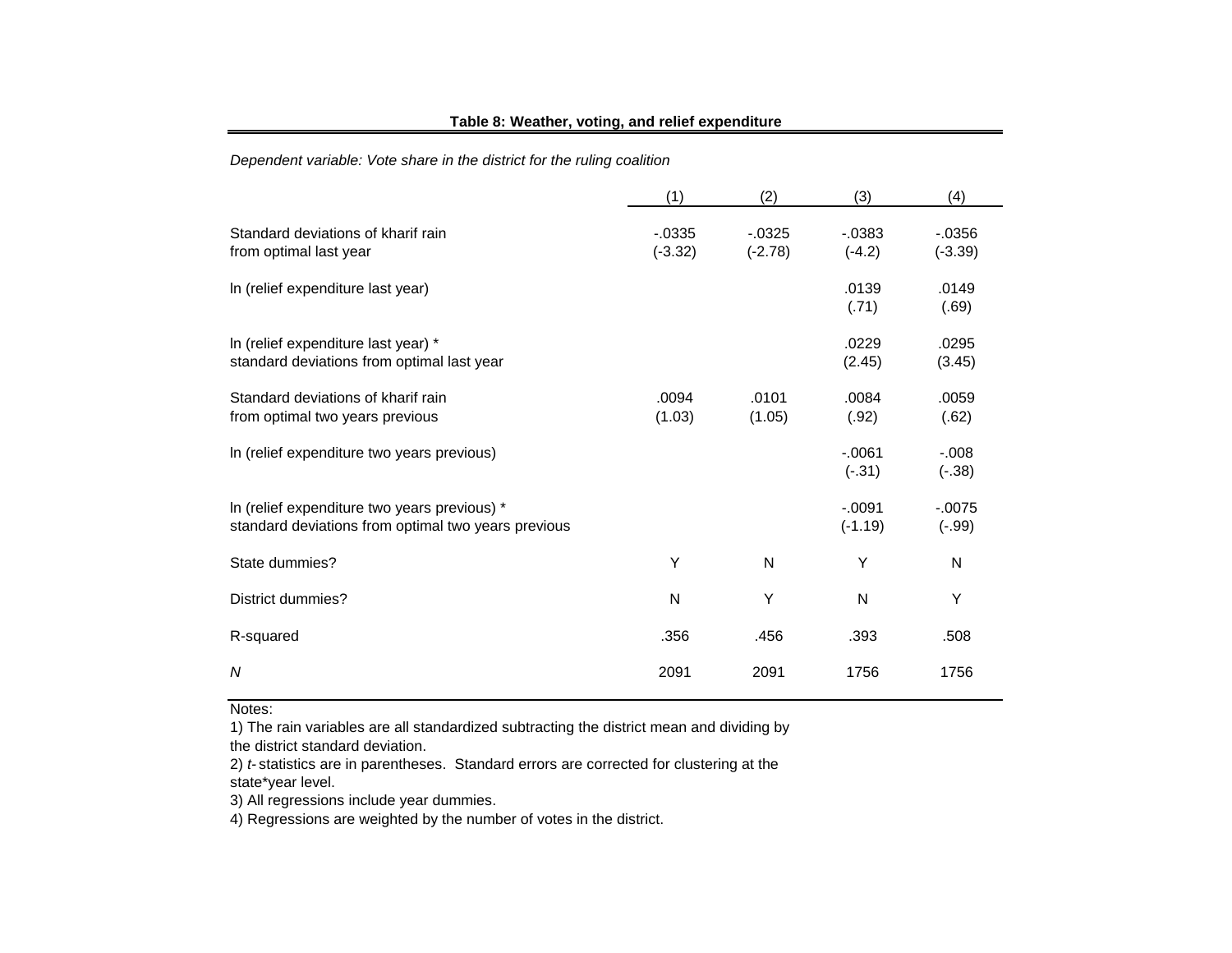#### **Table 8: Weather, voting, and relief expenditure**

*Dependent variable: Vote share in the district for the ruling coalition*

|                                                                                                     | (1)                    | (2)                    | (3)                   | (4)                    |
|-----------------------------------------------------------------------------------------------------|------------------------|------------------------|-----------------------|------------------------|
| Standard deviations of kharif rain<br>from optimal last year                                        | $-0.0335$<br>$(-3.32)$ | $-0.0325$<br>$(-2.78)$ | $-0.0383$<br>$(-4.2)$ | $-0.0356$<br>$(-3.39)$ |
| In (relief expenditure last year)                                                                   |                        |                        | .0139<br>(.71)        | .0149<br>(.69)         |
| In (relief expenditure last year) *<br>standard deviations from optimal last year                   |                        |                        | .0229<br>(2.45)       | .0295<br>(3.45)        |
| Standard deviations of kharif rain<br>from optimal two years previous                               | .0094<br>(1.03)        | .0101<br>(1.05)        | .0084<br>(.92)        | .0059<br>(.62)         |
| In (relief expenditure two years previous)                                                          |                        |                        | $-0.061$<br>$(-.31)$  | $-0.008$<br>$(-.38)$   |
| In (relief expenditure two years previous) *<br>standard deviations from optimal two years previous |                        |                        | $-.0091$<br>$(-1.19)$ | $-0.0075$<br>$(-.99)$  |
| State dummies?                                                                                      | Υ                      | N                      | Υ                     | N                      |
| District dummies?                                                                                   | N                      | Y                      | N                     | Υ                      |
| R-squared                                                                                           | .356                   | .456                   | .393                  | .508                   |
| N                                                                                                   | 2091                   | 2091                   | 1756                  | 1756                   |

#### Notes:

1) The rain variables are all standardized subtracting the district mean and dividing by the district standard deviation.

2) *t-* statistics are in parentheses. Standard errors are corrected for clustering at the state\*year level.

3) All regressions include year dummies.

4) Regressions are weighted by the number of votes in the district.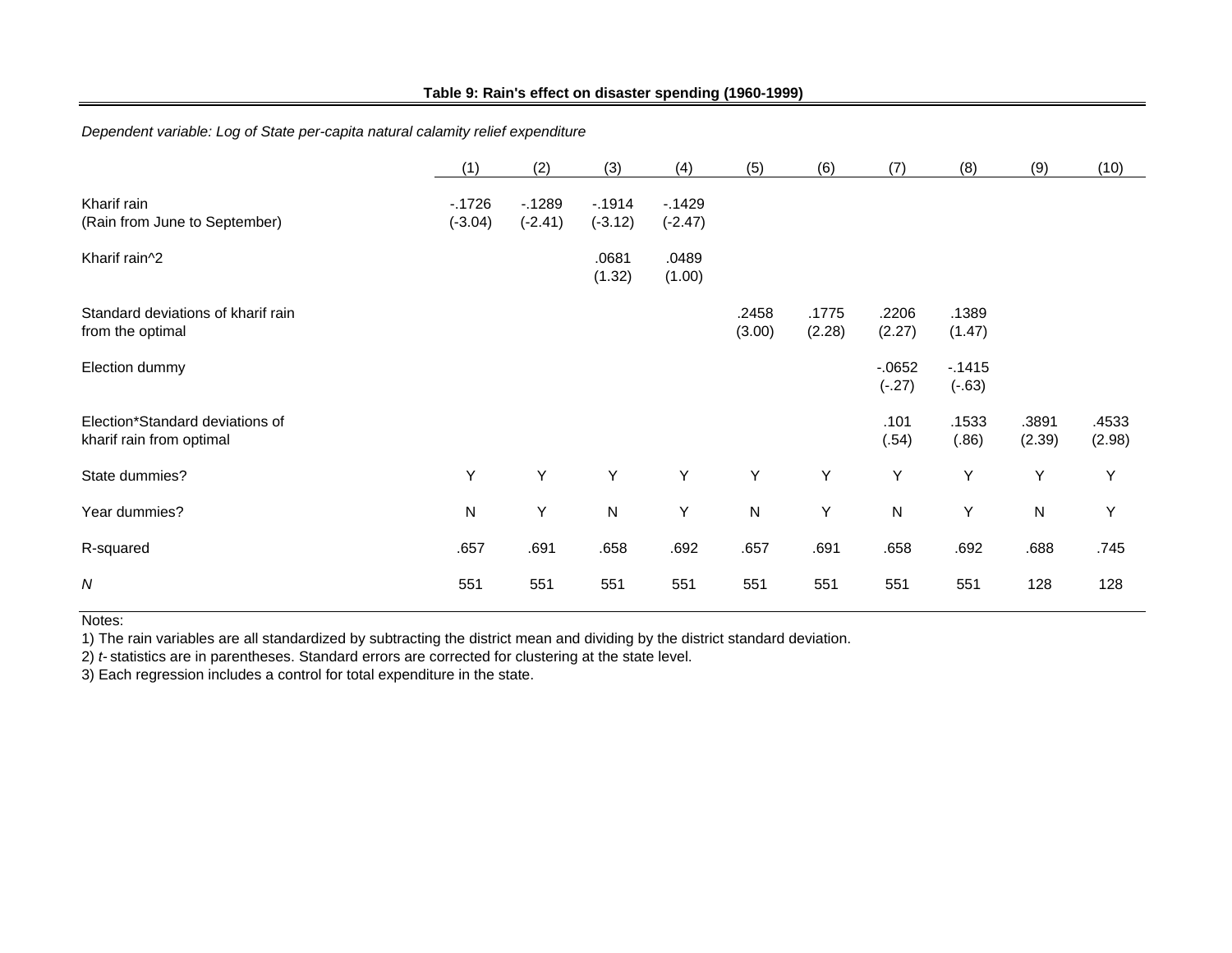#### **Table 9: Rain's effect on disaster spending (1960-1999)**

# *Dependent variable: Log of State per-capita natural calamity relief expenditure*

|                                                             | (1)                  | (2)                  | (3)                  | (4)                  | (5)             | (6)             | (7)                 | (8)                 | (9)             | (10)            |
|-------------------------------------------------------------|----------------------|----------------------|----------------------|----------------------|-----------------|-----------------|---------------------|---------------------|-----------------|-----------------|
| Kharif rain<br>(Rain from June to September)                | $-1726$<br>$(-3.04)$ | $-1289$<br>$(-2.41)$ | $-1914$<br>$(-3.12)$ | $-1429$<br>$(-2.47)$ |                 |                 |                     |                     |                 |                 |
| Kharif rain^2                                               |                      |                      | .0681<br>(1.32)      | .0489<br>(1.00)      |                 |                 |                     |                     |                 |                 |
| Standard deviations of kharif rain<br>from the optimal      |                      |                      |                      |                      | .2458<br>(3.00) | .1775<br>(2.28) | .2206<br>(2.27)     | .1389<br>(1.47)     |                 |                 |
| Election dummy                                              |                      |                      |                      |                      |                 |                 | $-0652$<br>$(-.27)$ | $-1415$<br>$(-.63)$ |                 |                 |
| Election*Standard deviations of<br>kharif rain from optimal |                      |                      |                      |                      |                 |                 | .101<br>(.54)       | .1533<br>(.86)      | .3891<br>(2.39) | .4533<br>(2.98) |
| State dummies?                                              | Υ                    | Υ                    | Υ                    | Y                    | Y               | Y               | Υ                   | Y                   | Y               | Y               |
| Year dummies?                                               | ${\sf N}$            | Υ                    | ${\sf N}$            | Υ                    | ${\sf N}$       | Υ               | ${\sf N}$           | Y                   | ${\sf N}$       | Y               |
| R-squared                                                   | .657                 | .691                 | .658                 | .692                 | .657            | .691            | .658                | .692                | .688            | .745            |
| N                                                           | 551                  | 551                  | 551                  | 551                  | 551             | 551             | 551                 | 551                 | 128             | 128             |

Notes:

1) The rain variables are all standardized by subtracting the district mean and dividing by the district standard deviation.

2) *t-* statistics are in parentheses. Standard errors are corrected for clustering at the state level.

3) Each regression includes a control for total expenditure in the state.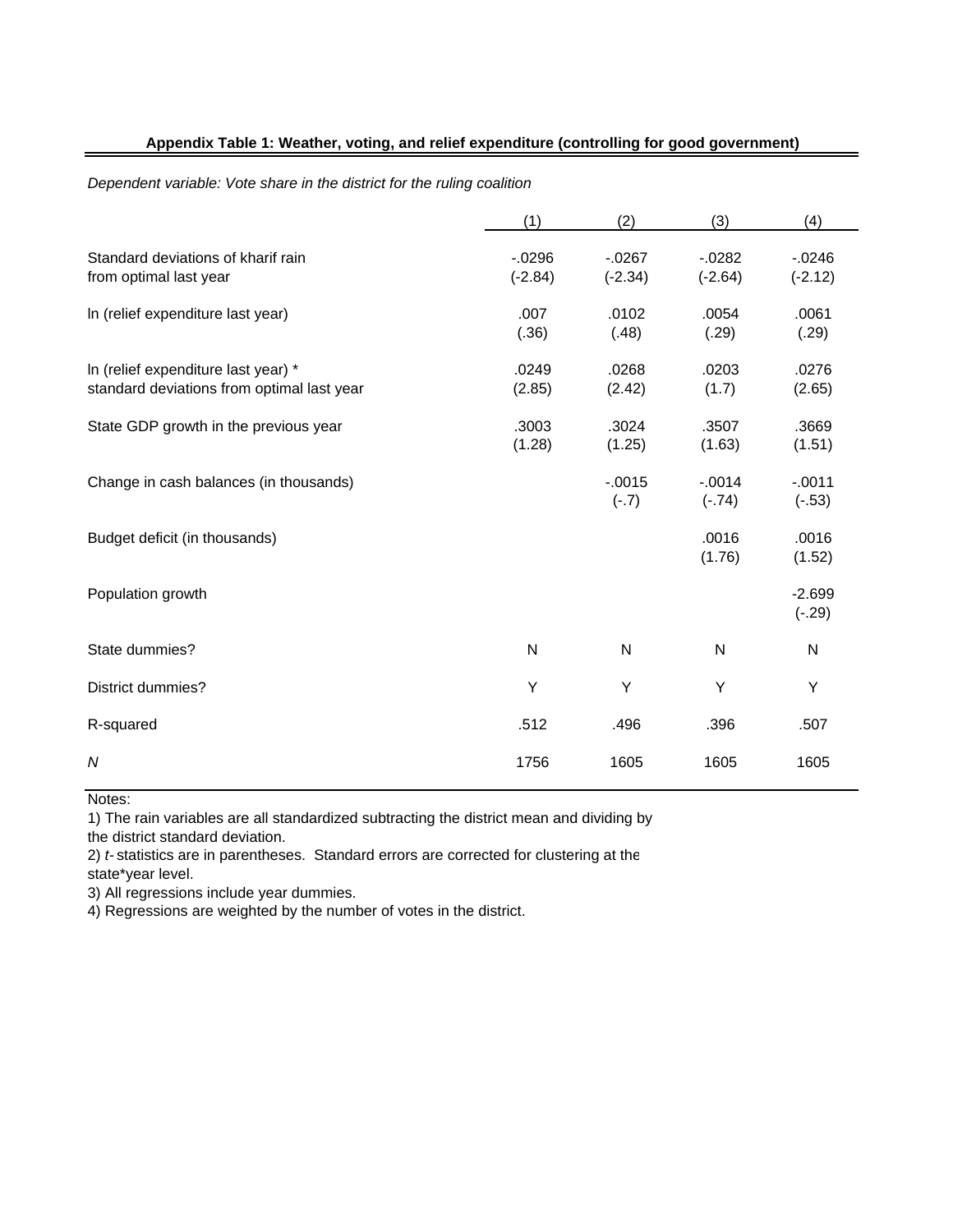## **Appendix Table 1: Weather, voting, and relief expenditure (controlling for good government)**

#### *Dependent variable: Vote share in the district for the ruling coalition*

|                                                                                   | (1)                  | (2)                    | (3)                  | (4)                    |
|-----------------------------------------------------------------------------------|----------------------|------------------------|----------------------|------------------------|
| Standard deviations of kharif rain<br>from optimal last year                      | $-0296$<br>$(-2.84)$ | $-0.0267$<br>$(-2.34)$ | $-0282$<br>$(-2.64)$ | $-0.0246$<br>$(-2.12)$ |
| In (relief expenditure last year)                                                 | .007<br>(.36)        | .0102<br>(.48)         | .0054<br>(.29)       | .0061<br>(.29)         |
| In (relief expenditure last year) *<br>standard deviations from optimal last year | .0249<br>(2.85)      | .0268<br>(2.42)        | .0203<br>(1.7)       | .0276<br>(2.65)        |
| State GDP growth in the previous year                                             | .3003<br>(1.28)      | .3024<br>(1.25)        | .3507<br>(1.63)      | .3669<br>(1.51)        |
| Change in cash balances (in thousands)                                            |                      | $-0.015$<br>$(-.7)$    | $-0.014$<br>$(-74)$  | $-0.011$<br>$(-.53)$   |
| Budget deficit (in thousands)                                                     |                      |                        | .0016<br>(1.76)      | .0016<br>(1.52)        |
| Population growth                                                                 |                      |                        |                      | $-2.699$<br>$(-.29)$   |
| State dummies?                                                                    | N                    | ${\sf N}$              | N                    | N                      |
| District dummies?                                                                 | Y                    | Υ                      | Y                    | Υ                      |
| R-squared                                                                         | .512                 | .496                   | .396                 | .507                   |
| N                                                                                 | 1756                 | 1605                   | 1605                 | 1605                   |

Notes:

1) The rain variables are all standardized subtracting the district mean and dividing by the district standard deviation.

2) *t-* statistics are in parentheses. Standard errors are corrected for clustering at the state\*year level.

3) All regressions include year dummies.

4) Regressions are weighted by the number of votes in the district.